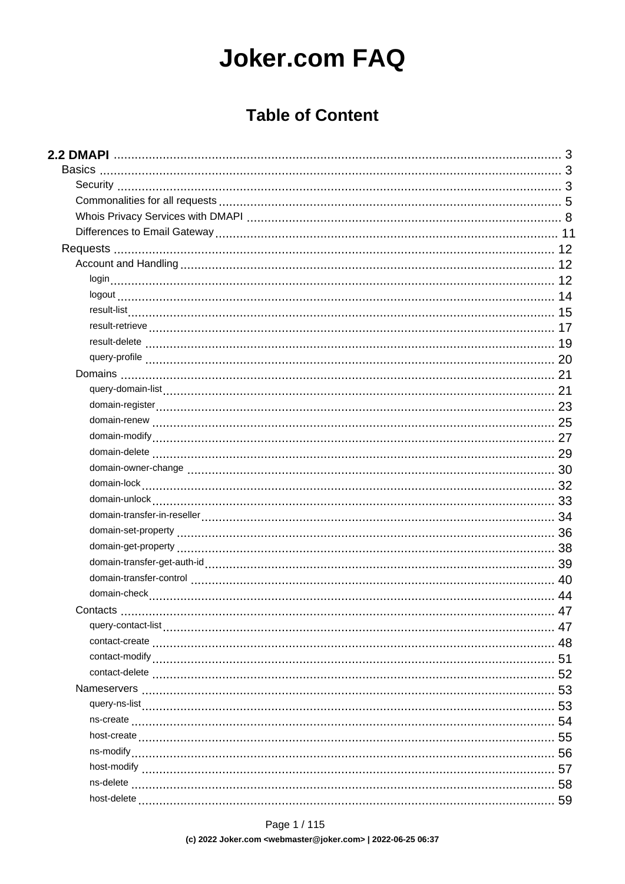# **Joker.com FAQ**

### **Table of Content**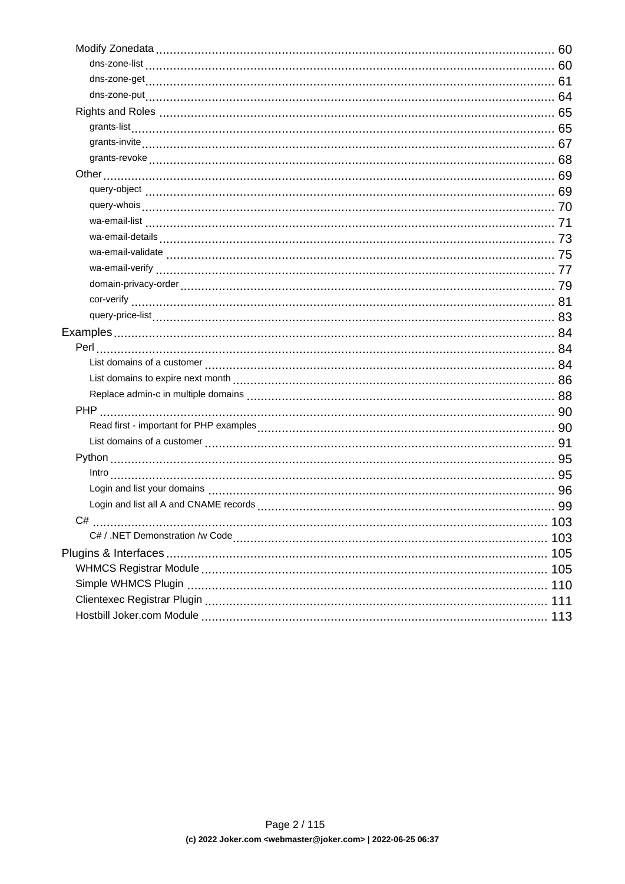| C# |     |
|----|-----|
|    | 103 |
|    |     |
|    |     |
|    |     |
|    | 111 |
|    | 113 |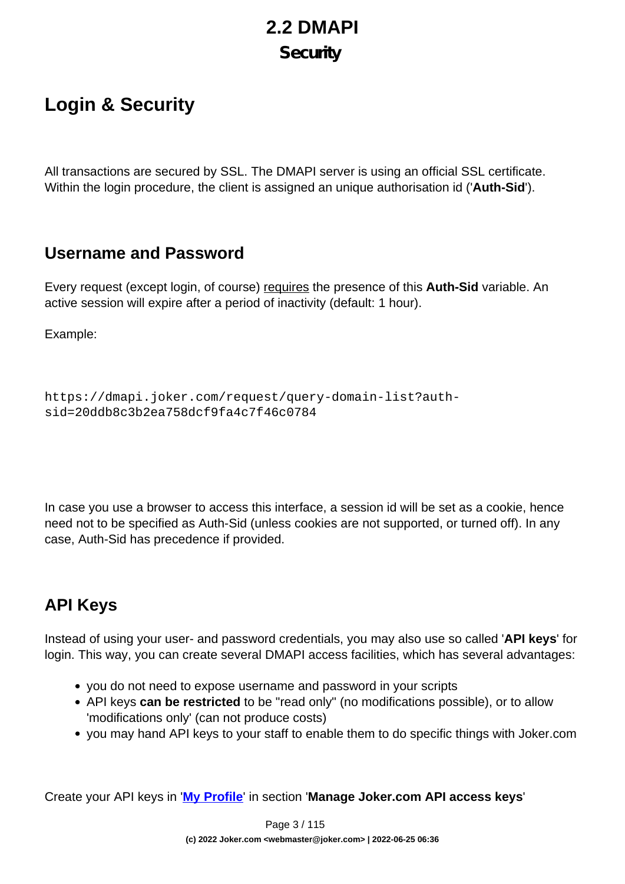# **2.2 DMAPI Security**

## <span id="page-2-0"></span>**Login & Security**

All transactions are secured by SSL. The DMAPI server is using an official SSL certificate. Within the login procedure, the client is assigned an unique authorisation id ('**Auth-Sid**').

### **Username and Password**

Every request (except login, of course) requires the presence of this **Auth-Sid** variable. An active session will expire after a period of inactivity (default: 1 hour).

Example:

```
https://dmapi.joker.com/request/query-domain-list?auth-
sid=20ddb8c3b2ea758dcf9fa4c7f46c0784
```
In case you use a browser to access this interface, a session id will be set as a cookie, hence need not to be specified as Auth-Sid (unless cookies are not supported, or turned off). In any case, Auth-Sid has precedence if provided.

### **API Keys**

Instead of using your user- and password credentials, you may also use so called '**API keys**' for login. This way, you can create several DMAPI access facilities, which has several advantages:

- you do not need to expose username and password in your scripts
- API keys **can be restricted** to be "read only" (no modifications possible), or to allow 'modifications only' (can not produce costs)
- you may hand API keys to your staff to enable them to do specific things with Joker.com

Create your API keys in '**[My Profile](/goto/myjoker)**' in section '**Manage Joker.com API access keys**'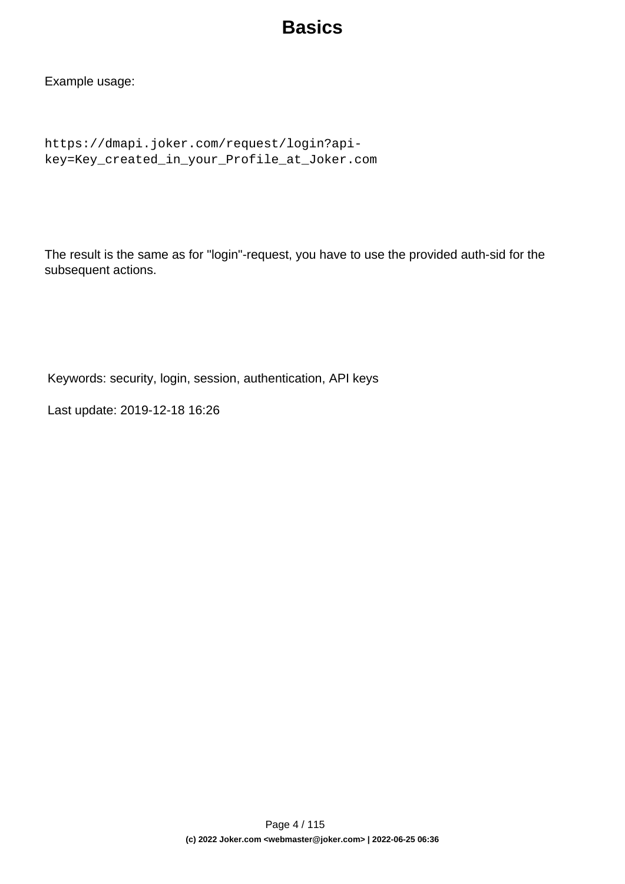## **Basics**

Example usage:

```
https://dmapi.joker.com/request/login?api-
key=Key_created_in_your_Profile_at_Joker.com
```
The result is the same as for "login"-request, you have to use the provided auth-sid for the subsequent actions.

Keywords: security, login, session, authentication, API keys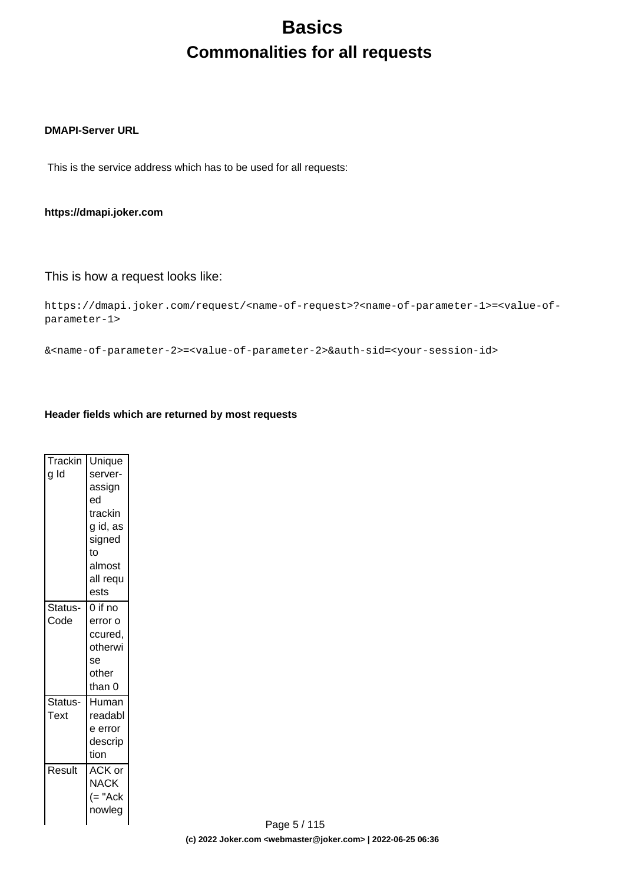# **Basics Commonalities for all requests**

#### <span id="page-4-0"></span>**DMAPI-Server URL**

This is the service address which has to be used for all requests:

#### **https://dmapi.joker.com**

### This is how a request looks like:

```
https://dmapi.joker.com/request/<name-of-request>?<name-of-parameter-1>=<value-of-
parameter-1>
```
&<name-of-parameter-2>=<value-of-parameter-2>&auth-sid=<your-session-id>

#### **Header fields which are returned by most requests**

| Trackin<br>g Id | Unique<br>server-<br>assign<br>ed<br>trackin<br>g id, as<br>signed<br>to |
|-----------------|--------------------------------------------------------------------------|
|                 | almost<br>all requ<br>ests                                               |
| Status-<br>Code | $0$ if no<br>error o<br>ccured,<br>otherwi<br>se<br>other<br>than 0      |
| Status-<br>Text | Human<br>readabl<br>e error<br>descrip<br>tion                           |
| Result          | ACK or<br>NACK<br>$(= "Ack$<br>nowleg                                    |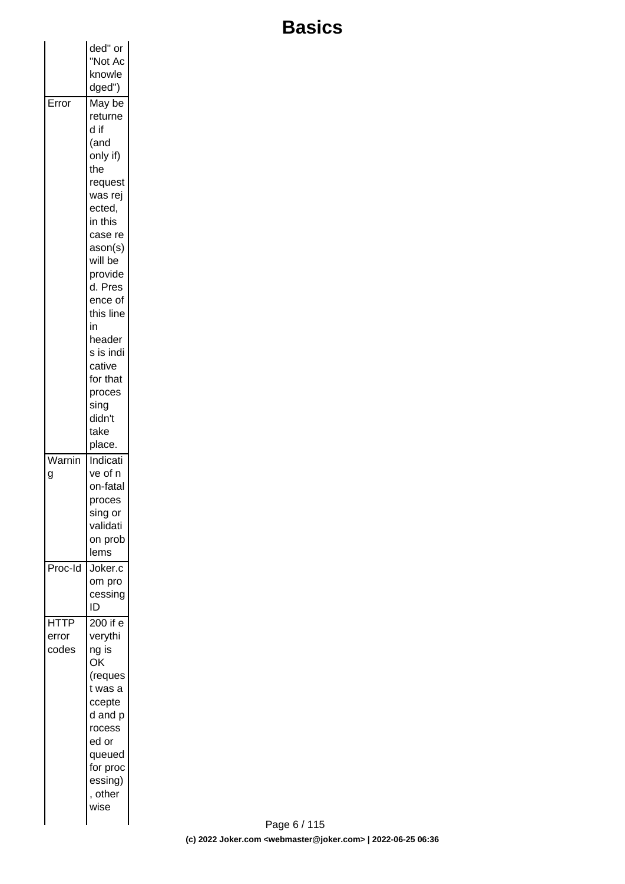# **Basics**

|                               | ded" or                                                                                                                                              |  |
|-------------------------------|------------------------------------------------------------------------------------------------------------------------------------------------------|--|
|                               | "Not Ac<br>knowle<br>dged")                                                                                                                          |  |
| Error                         | May be<br>returne<br>d if<br>(and<br>only if)<br>the                                                                                                 |  |
|                               | request<br>was rej<br>ected,<br>in this<br>case re                                                                                                   |  |
|                               | ason(s)<br>will be<br>provide<br>d. Pres<br>ence of<br>this line                                                                                     |  |
|                               | in<br>header<br>s is indi<br>cative<br>for that                                                                                                      |  |
|                               | proces<br>sing<br>didn't<br>take<br>place.                                                                                                           |  |
| Warnin<br>g                   | Indicati<br>ve of n<br>on-fatal<br>proces<br>sing or<br>validati<br>on prob<br>lems                                                                  |  |
| Proc-Id                       | Joker.c<br>om pro<br>cessing<br>ID                                                                                                                   |  |
| <b>HTTP</b><br>error<br>codes | 200 if e<br>verythi<br>ng is<br>OK<br>(reques<br>t was a<br>ccepte<br>d and p<br>rocess<br>ed or<br>queued<br>for proc<br>essing)<br>, other<br>wise |  |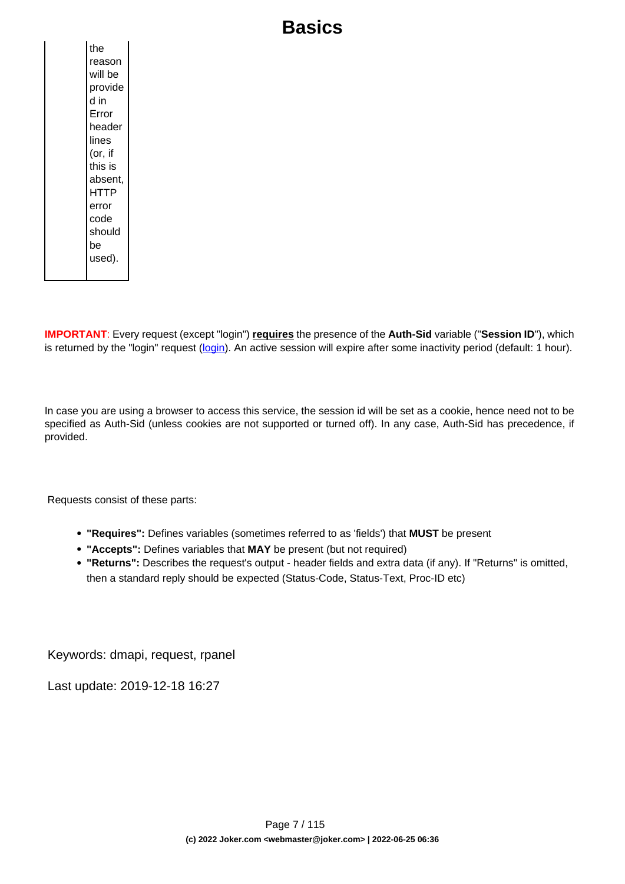## **Basics**

**IMPORTANT**: Every request (except "login") **requires** the presence of the **Auth-Sid** variable ("**Session ID**"), which is returned by the "login" request [\(login](index.php?action=artikel&cat=26&id=14&artlang=en)). An active session will expire after some inactivity period (default: 1 hour).

In case you are using a browser to access this service, the session id will be set as a cookie, hence need not to be specified as Auth-Sid (unless cookies are not supported or turned off). In any case, Auth-Sid has precedence, if provided.

Requests consist of these parts:

- **"Requires":** Defines variables (sometimes referred to as 'fields') that **MUST** be present
- **"Accepts":** Defines variables that **MAY** be present (but not required)
- **"Returns":** Describes the request's output header fields and extra data (if any). If "Returns" is omitted, then a standard reply should be expected (Status-Code, Status-Text, Proc-ID etc)

Keywords: dmapi, request, rpanel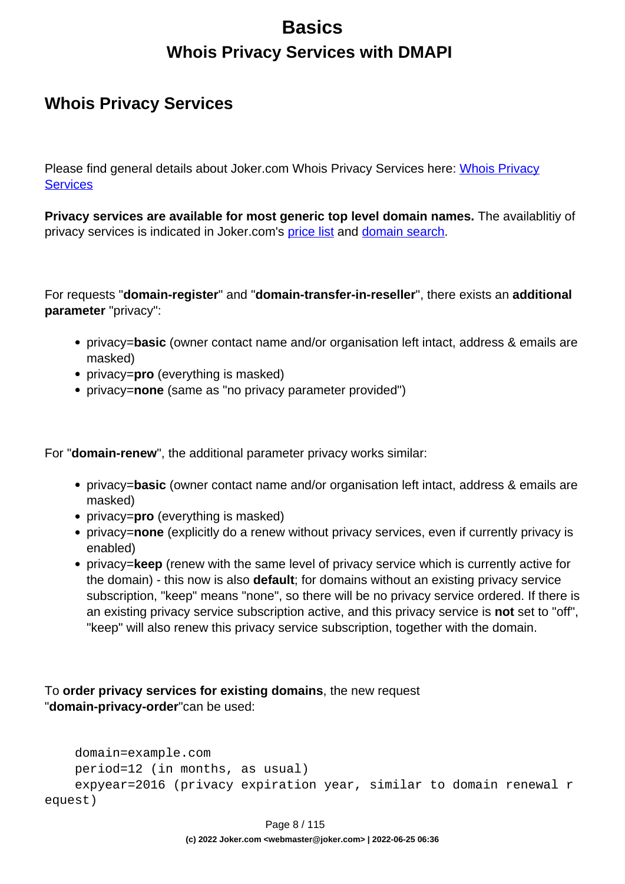## **Basics Whois Privacy Services with DMAPI**

### <span id="page-7-0"></span>**Whois Privacy Services**

Please find general details about Joker.com [Whois Privacy](index.php?action=artikel&cat=5&id=476&artlang=en) Services here: Whois Privacy **[Services](index.php?action=artikel&cat=5&id=476&artlang=en)** 

**Privacy services are available for most generic top level domain names.** The availablitiy of privacy services is indicated in Joker.com's [price list](https://joker.com/goto/prices) and [domain search.](https://joker.com/goto/order)

For requests "**domain-register**" and "**domain-transfer-in-reseller**", there exists an **additional parameter** "privacy":

- privacy=**basic** (owner contact name and/or organisation left intact, address & emails are masked)
- privacy=**pro** (everything is masked)
- privacy=**none** (same as "no privacy parameter provided")

For "**domain-renew**", the additional parameter privacy works similar:

- privacy=**basic** (owner contact name and/or organisation left intact, address & emails are masked)
- privacy=**pro** (everything is masked)
- privacy=**none** (explicitly do a renew without privacy services, even if currently privacy is enabled)
- privacy=**keep** (renew with the same level of privacy service which is currently active for the domain) - this now is also **default**; for domains without an existing privacy service subscription, "keep" means "none", so there will be no privacy service ordered. If there is an existing privacy service subscription active, and this privacy service is **not** set to "off", "keep" will also renew this privacy service subscription, together with the domain.

To **order privacy services for existing domains**, the new request "**domain-privacy-order**"can be used:

```
 domain=example.com
    period=12 (in months, as usual)
     expyear=2016 (privacy expiration year, similar to domain renewal r
equest)
```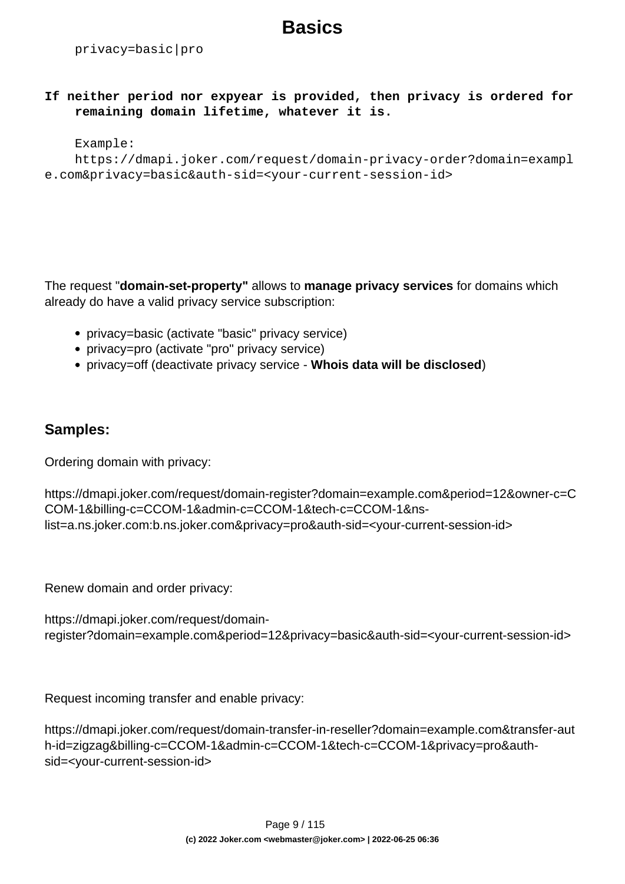## **Basics**

privacy=basic|pro

**If neither period nor expyear is provided, then privacy is ordered for remaining domain lifetime, whatever it is.**

#### Example:

```
 https://dmapi.joker.com/request/domain-privacy-order?domain=exampl
e.com&privacy=basic&auth-sid=<your-current-session-id>
```
The request "**domain-set-property"** allows to **manage privacy services** for domains which already do have a valid privacy service subscription:

- privacy=basic (activate "basic" privacy service)
- privacy=pro (activate "pro" privacy service)
- privacy=off (deactivate privacy service **Whois data will be disclosed**)

### **Samples:**

Ordering domain with privacy:

```
https://dmapi.joker.com/request/domain-register?domain=example.com&period=12&owner-c=C
COM-1&billing-c=CCOM-1&admin-c=CCOM-1&tech-c=CCOM-1&ns-
list=a.ns.joker.com:b.ns.joker.com&privacy=pro&auth-sid=<your-current-session-id>
```
Renew domain and order privacy:

```
https://dmapi.joker.com/request/domain-
register?domain=example.com&period=12&privacy=basic&auth-sid=<your-current-session-id>
```
Request incoming transfer and enable privacy:

https://dmapi.joker.com/request/domain-transfer-in-reseller?domain=example.com&transfer-aut h-id=zigzag&billing-c=CCOM-1&admin-c=CCOM-1&tech-c=CCOM-1&privacy=pro&authsid=<your-current-session-id>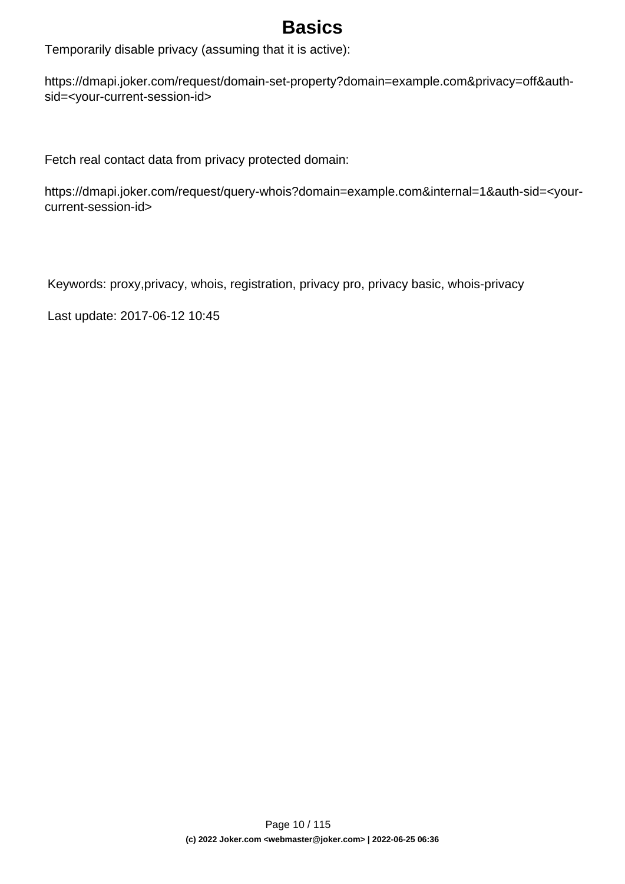## **Basics**

Temporarily disable privacy (assuming that it is active):

https://dmapi.joker.com/request/domain-set-property?domain=example.com&privacy=off&authsid=<your-current-session-id>

Fetch real contact data from privacy protected domain:

https://dmapi.joker.com/request/query-whois?domain=example.com&internal=1&auth-sid=<yourcurrent-session-id>

Keywords: proxy,privacy, whois, registration, privacy pro, privacy basic, whois-privacy

Last update: 2017-06-12 10:45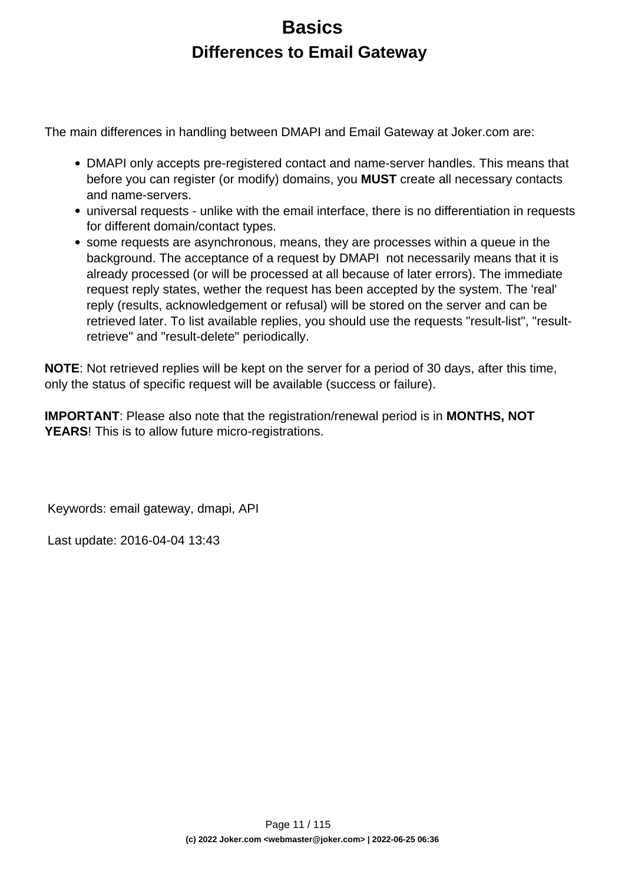## **Basics Differences to Email Gateway**

<span id="page-10-0"></span>The main differences in handling between DMAPI and Email Gateway at Joker.com are:

- DMAPI only accepts pre-registered contact and name-server handles. This means that before you can register (or modify) domains, you **MUST** create all necessary contacts and name-servers.
- universal requests unlike with the email interface, there is no differentiation in requests for different domain/contact types.
- some requests are asynchronous, means, they are processes within a queue in the background. The acceptance of a request by DMAPI not necessarily means that it is already processed (or will be processed at all because of later errors). The immediate request reply states, wether the request has been accepted by the system. The 'real' reply (results, acknowledgement or refusal) will be stored on the server and can be retrieved later. To list available replies, you should use the requests "result-list", "resultretrieve" and "result-delete" periodically.

**NOTE**: Not retrieved replies will be kept on the server for a period of 30 days, after this time, only the status of specific request will be available (success or failure).

**IMPORTANT**: Please also note that the registration/renewal period is in **MONTHS, NOT YEARS**! This is to allow future micro-registrations.

Keywords: email gateway, dmapi, API

Last update: 2016-04-04 13:43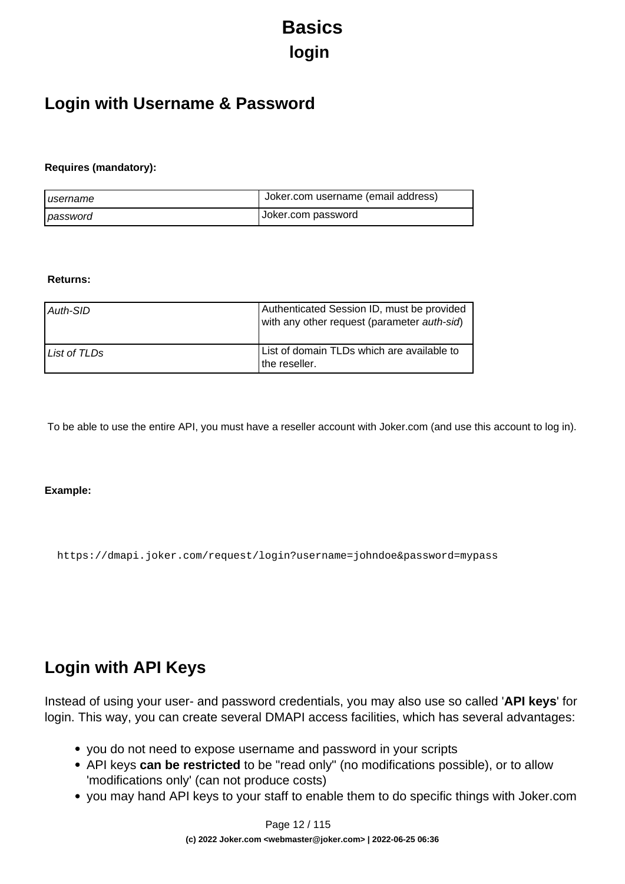# **Basics login**

### <span id="page-11-0"></span>**Login with Username & Password**

#### **Requires (mandatory):**

| I username | Uoker.com username (email address) |
|------------|------------------------------------|
| password   | Joker.com password                 |

#### **Returns:**

| Auth-SID     | Authenticated Session ID, must be provided<br>with any other request (parameter auth-sid) |
|--------------|-------------------------------------------------------------------------------------------|
| List of TLDs | List of domain TLDs which are available to<br>I the reseller.                             |

To be able to use the entire API, you must have a reseller account with Joker.com (and use this account to log in).

#### **Example:**

https://dmapi.joker.com/request/login?username=johndoe&password=mypass

### **Login with API Keys**

Instead of using your user- and password credentials, you may also use so called '**API keys**' for login. This way, you can create several DMAPI access facilities, which has several advantages:

- you do not need to expose username and password in your scripts
- API keys **can be restricted** to be "read only" (no modifications possible), or to allow 'modifications only' (can not produce costs)
- you may hand API keys to your staff to enable them to do specific things with Joker.com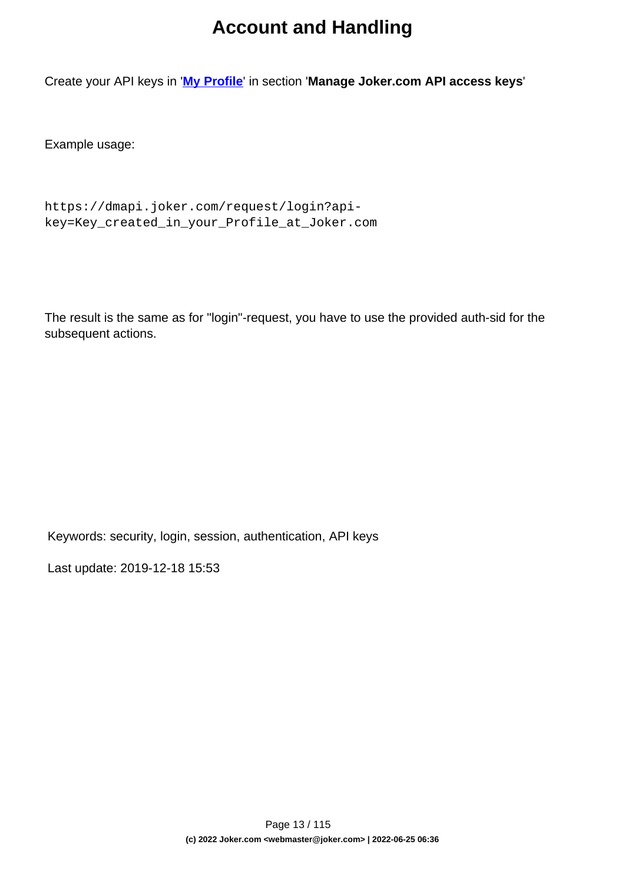## **Account and Handling**

Create your API keys in '**[My Profile](/goto/myjoker)**' in section '**Manage Joker.com API access keys**'

Example usage:

```
https://dmapi.joker.com/request/login?api-
key=Key_created_in_your_Profile_at_Joker.com
```
The result is the same as for "login"-request, you have to use the provided auth-sid for the subsequent actions.

Keywords: security, login, session, authentication, API keys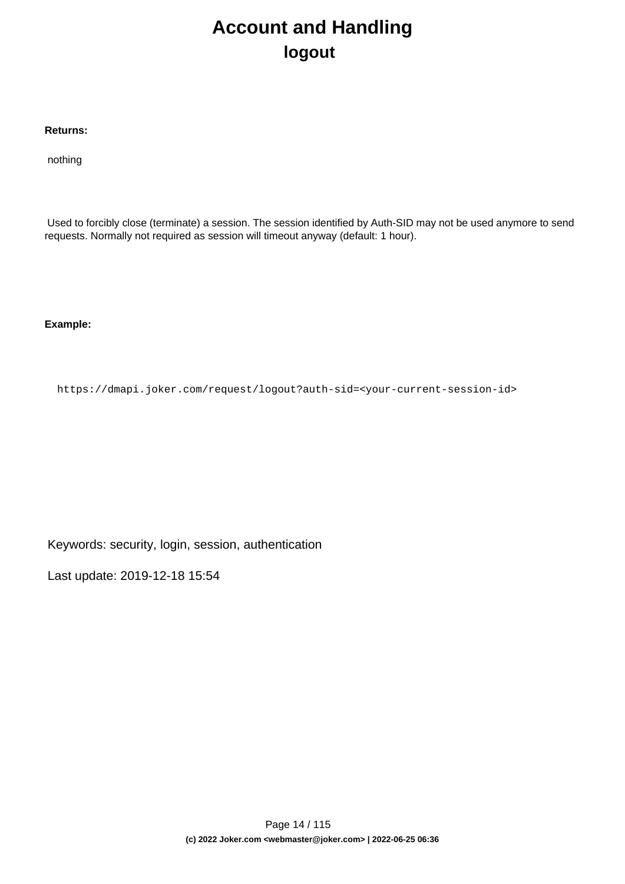## **Account and Handling logout**

#### <span id="page-13-0"></span>**Returns:**

nothing

 Used to forcibly close (terminate) a session. The session identified by Auth-SID may not be used anymore to send requests. Normally not required as session will timeout anyway (default: 1 hour).

**Example:**

https://dmapi.joker.com/request/logout?auth-sid=<your-current-session-id>

Keywords: security, login, session, authentication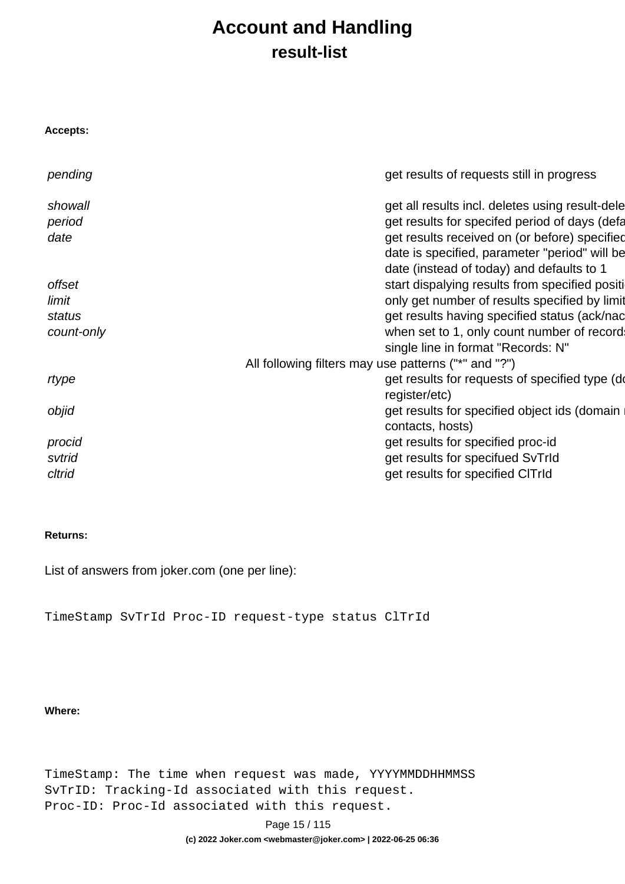## **Account and Handling result-list**

<span id="page-14-0"></span>

| <b>Accepts:</b> |                                                      |
|-----------------|------------------------------------------------------|
| pending         | get results of requests still in progress            |
| showall         | get all results incl. deletes using result-dele      |
| period          | get results for specifed period of days (defa        |
| date            | get results received on (or before) specified        |
|                 | date is specified, parameter "period" will be        |
|                 | date (instead of today) and defaults to 1            |
| offset          | start dispalying results from specified positi       |
| limit           | only get number of results specified by limit        |
| status          | get results having specified status (ack/nac         |
| count-only      | when set to 1, only count number of record           |
|                 | single line in format "Records: N"                   |
|                 | All following filters may use patterns ("*" and "?") |
| rtype           | get results for requests of specified type (do       |
|                 | register/etc)                                        |
| objid           | get results for specified object ids (domain         |
|                 | contacts, hosts)                                     |
| procid          | get results for specified proc-id                    |
| svtrid          | get results for specifued SvTrId                     |
| cltrid          | get results for specified CITrId                     |

#### **Returns:**

List of answers from joker.com (one per line):

TimeStamp SvTrId Proc-ID request-type status ClTrId

#### **Where:**

TimeStamp: The time when request was made, YYYYMMDDHHMMSS SvTrID: Tracking-Id associated with this request. Proc-ID: Proc-Id associated with this request.

Page 15 / 115

**(c) 2022 Joker.com <webmaster@joker.com> | 2022-06-25 06:36**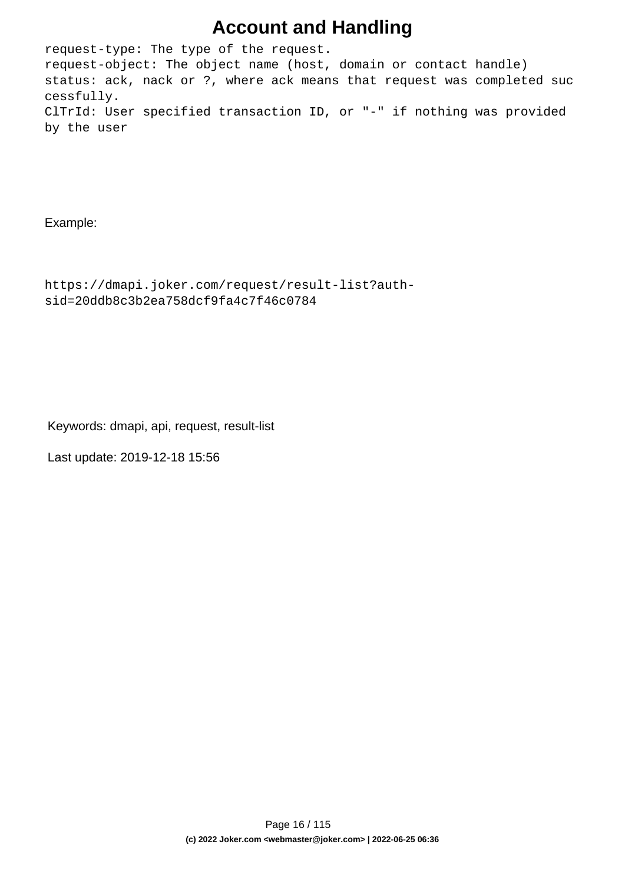### **Account and Handling**

request-type: The type of the request. request-object: The object name (host, domain or contact handle) status: ack, nack or ?, where ack means that request was completed suc cessfully. ClTrId: User specified transaction ID, or "-" if nothing was provided by the user

Example:

```
https://dmapi.joker.com/request/result-list?auth-
sid=20ddb8c3b2ea758dcf9fa4c7f46c0784
```
Keywords: dmapi, api, request, result-list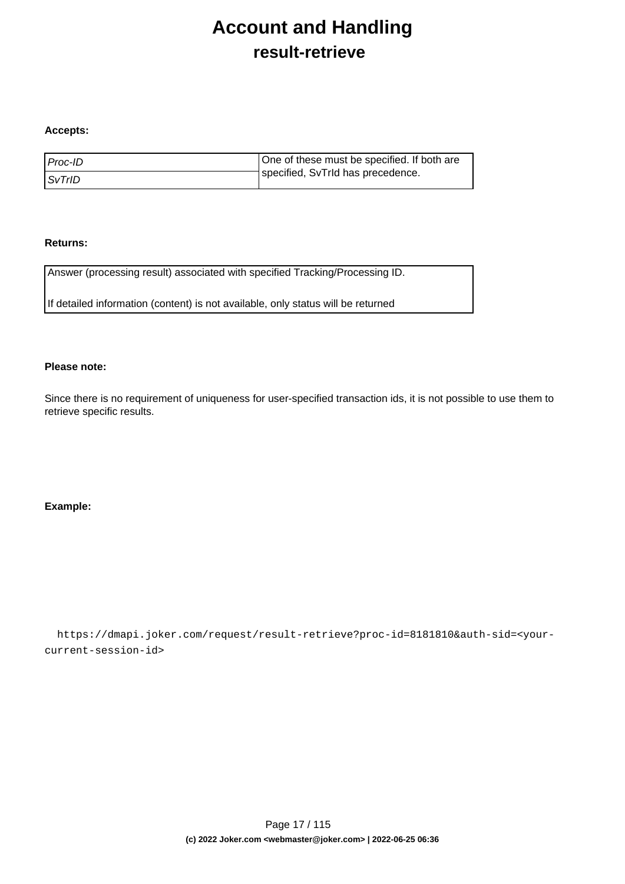## **Account and Handling result-retrieve**

#### <span id="page-16-0"></span>**Accepts:**

| l Proc-ID     | One of these must be specified. If both are |
|---------------|---------------------------------------------|
| <i>SvTrID</i> | specified, SvTrId has precedence.           |

#### **Returns:**

Answer (processing result) associated with specified Tracking/Processing ID.

If detailed information (content) is not available, only status will be returned

#### **Please note:**

Since there is no requirement of uniqueness for user-specified transaction ids, it is not possible to use them to retrieve specific results.

#### **Example:**

 https://dmapi.joker.com/request/result-retrieve?proc-id=8181810&auth-sid=<yourcurrent-session-id>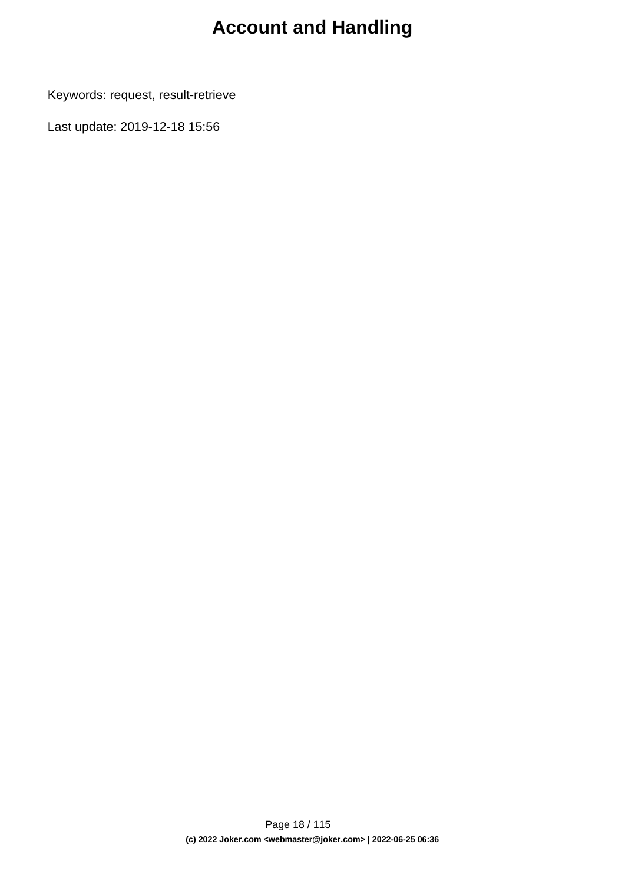# **Account and Handling**

Keywords: request, result-retrieve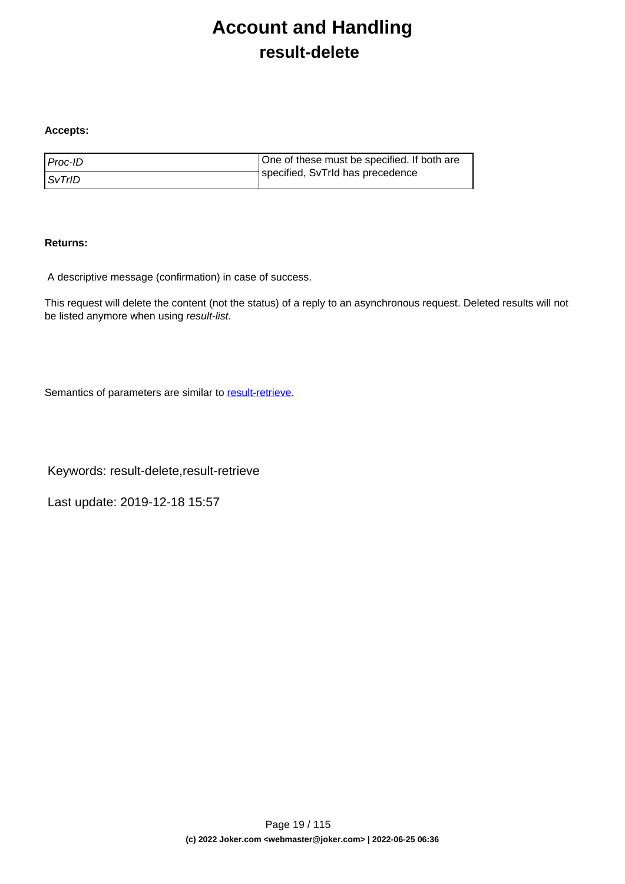## **Account and Handling result-delete**

#### <span id="page-18-0"></span>**Accepts:**

| l Proc-ID     | One of these must be specified. If both are |
|---------------|---------------------------------------------|
| <i>SvTrID</i> | specified, SvTrId has precedence            |

#### **Returns:**

A descriptive message (confirmation) in case of success.

This request will delete the content (not the status) of a reply to an asynchronous request. Deleted results will not be listed anymore when using result-list.

Semantics of parameters are similar to [result-retrieve.](index.php?action=artikel&cat=26&id=17&artlang=en)

Keywords: result-delete,result-retrieve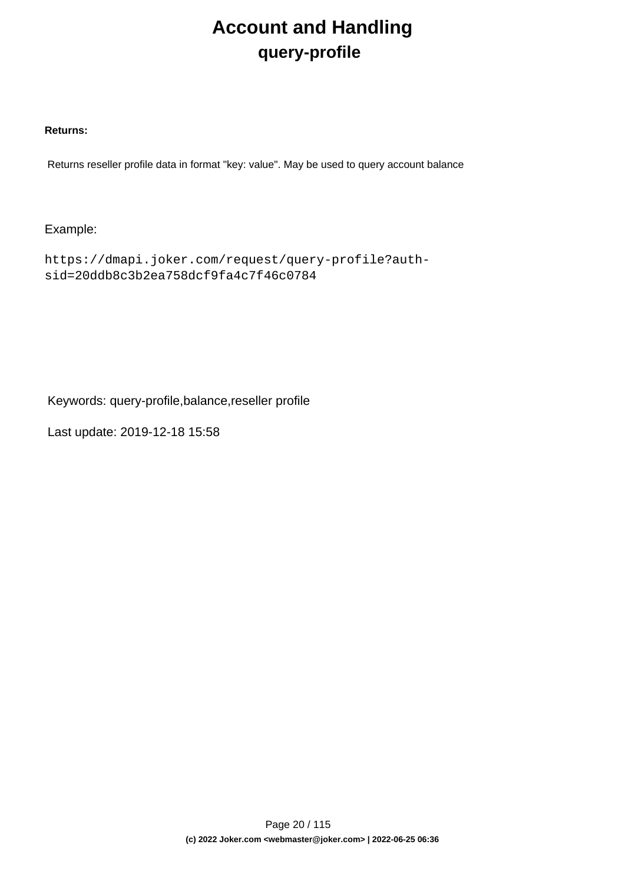# **Account and Handling query-profile**

#### <span id="page-19-0"></span>**Returns:**

Returns reseller profile data in format "key: value". May be used to query account balance

### Example:

https://dmapi.joker.com/request/query-profile?authsid=20ddb8c3b2ea758dcf9fa4c7f46c0784

Keywords: query-profile,balance,reseller profile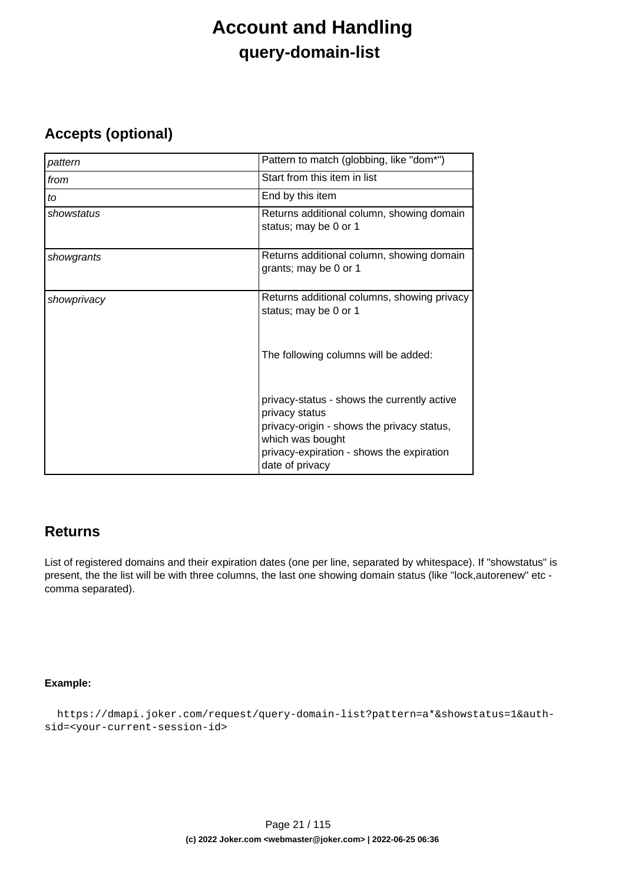## **Account and Handling query-domain-list**

### <span id="page-20-0"></span>**Accepts (optional)**

| pattern     | Pattern to match (globbing, like "dom*")                                                                                                                                                        |
|-------------|-------------------------------------------------------------------------------------------------------------------------------------------------------------------------------------------------|
| from        | Start from this item in list                                                                                                                                                                    |
| to          | End by this item                                                                                                                                                                                |
| showstatus  | Returns additional column, showing domain<br>status; may be 0 or 1                                                                                                                              |
| showgrants  | Returns additional column, showing domain<br>grants; may be 0 or 1                                                                                                                              |
| showprivacy | Returns additional columns, showing privacy<br>status; may be 0 or 1                                                                                                                            |
|             | The following columns will be added:                                                                                                                                                            |
|             | privacy-status - shows the currently active<br>privacy status<br>privacy-origin - shows the privacy status,<br>which was bought<br>privacy-expiration - shows the expiration<br>date of privacy |

### **Returns**

List of registered domains and their expiration dates (one per line, separated by whitespace). If "showstatus" is present, the the list will be with three columns, the last one showing domain status (like "lock,autorenew" etc comma separated).

#### **Example:**

```
 https://dmapi.joker.com/request/query-domain-list?pattern=a*&showstatus=1&auth-
sid=<your-current-session-id>
```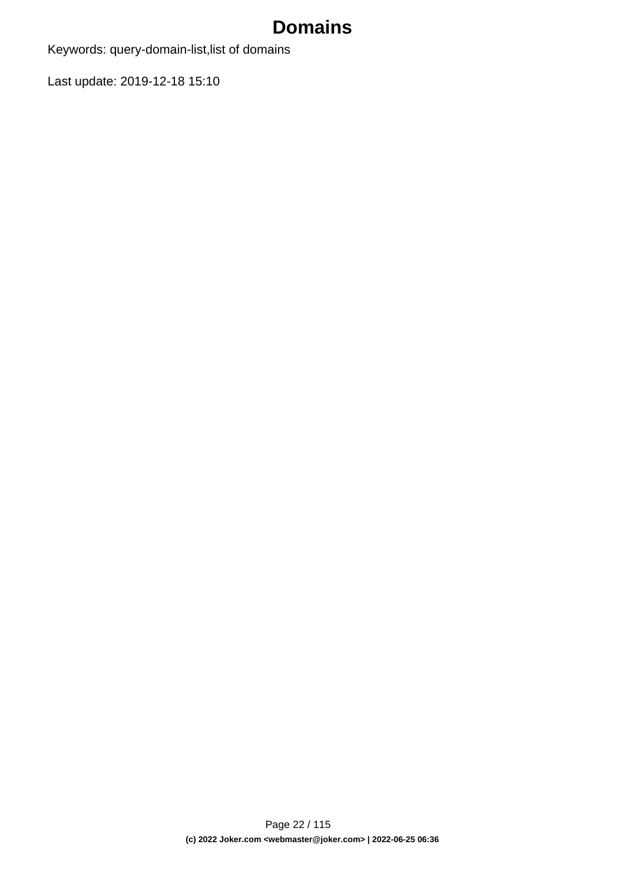# **Domains**

Keywords: query-domain-list,list of domains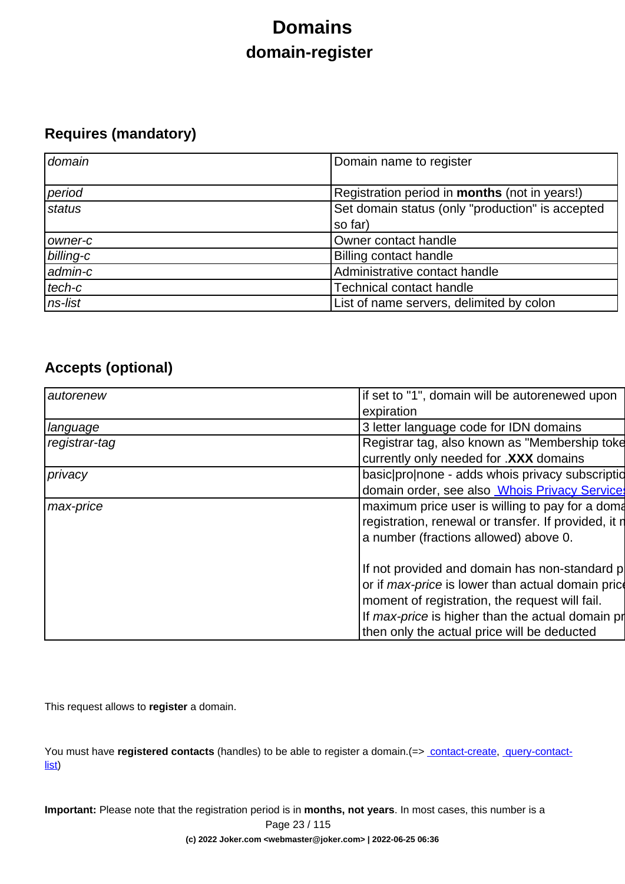# **Domains domain-register**

### <span id="page-22-0"></span>**Requires (mandatory)**

| domain    | Domain name to register                              |
|-----------|------------------------------------------------------|
| period    | Registration period in <b>months</b> (not in years!) |
| status    | Set domain status (only "production" is accepted     |
|           | so far)                                              |
| owner-c   | Owner contact handle                                 |
| billing-c | <b>Billing contact handle</b>                        |
| admin-c   | Administrative contact handle                        |
| tech-c    | <b>Technical contact handle</b>                      |
| ns-list   | List of name servers, delimited by colon             |

### **Accepts (optional)**

| if set to "1", domain will be autorenewed upon           |
|----------------------------------------------------------|
| expiration                                               |
| 3 letter language code for IDN domains                   |
| Registrar tag, also known as "Membership toke            |
| currently only needed for .XXX domains                   |
| basic pronone - adds whois privacy subscription          |
| domain order, see also <b>Whois Privacy Services</b>     |
| maximum price user is willing to pay for a doma          |
| registration, renewal or transfer. If provided, it n     |
| a number (fractions allowed) above 0.                    |
|                                                          |
| If not provided and domain has non-standard p            |
| or if <i>max-price</i> is lower than actual domain price |
| moment of registration, the request will fail.           |
| If max-price is higher than the actual domain pr         |
| then only the actual price will be deducted              |
|                                                          |

This request allows to **register** a domain.

You must have **registered contacts** (handles) to be able to register a domain.(=> [contact-create](index.php?action=artikel&cat=28&id=30&artlang=en), [query-contact](index.php?action=artikel&cat=28&id=29&artlang=en)[list\)](index.php?action=artikel&cat=28&id=29&artlang=en)

**Important:** Please note that the registration period is in **months, not years**. In most cases, this number is a Page 23 / 115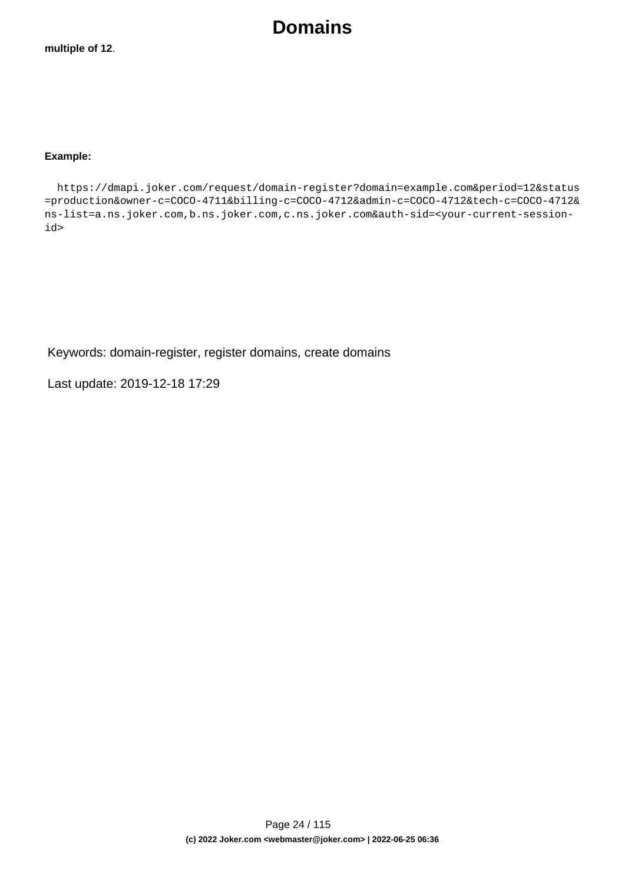**Domains**

#### **Example:**

 https://dmapi.joker.com/request/domain-register?domain=example.com&period=12&status =production&owner-c=COCO-4711&billing-c=COCO-4712&admin-c=COCO-4712&tech-c=COCO-4712& ns-list=a.ns.joker.com,b.ns.joker.com,c.ns.joker.com&auth-sid=<your-current-sessionid>

Keywords: domain-register, register domains, create domains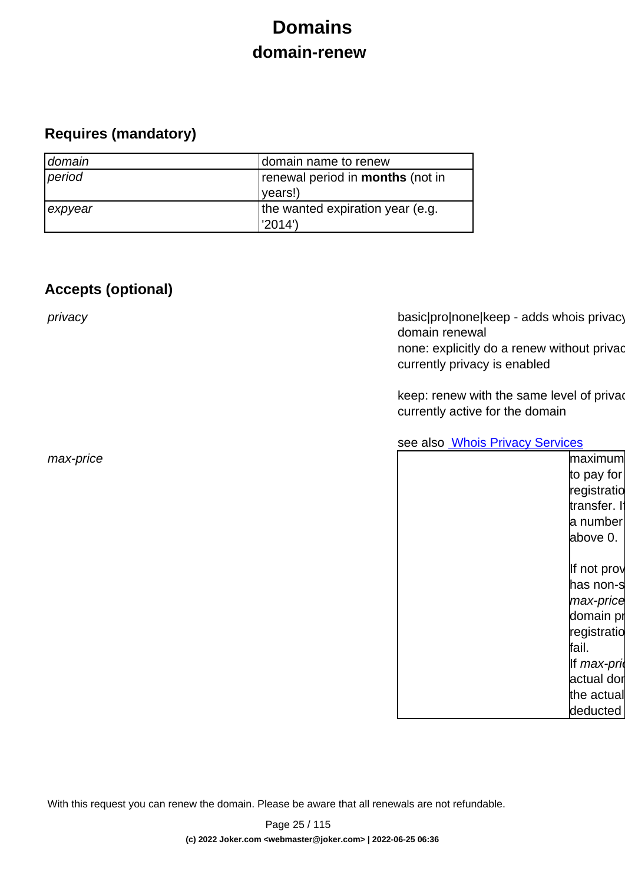# **Domains domain-renew**

### <span id="page-24-0"></span>**Requires (mandatory)**

| domain  | domain name to renew                    |
|---------|-----------------------------------------|
| period  | renewal period in <b>months</b> (not in |
|         | vears!)                                 |
| expyear | the wanted expiration year (e.g.        |
|         | l'2014')                                |

### **Accepts (optional)**

privacy basic|pro|none|keep - adds whois privacy domain renewal none: explicitly do a renew without privac currently privacy is enabled

> keep: renew with the same level of priva currently active for the domain

see also **[Whois Privacy Services](index.php?action=artikel&cat=22&id=477&artlang=en)** 

| max-price | maximum      |
|-----------|--------------|
|           | to pay for   |
|           | registratio  |
|           | transfer. If |
|           | a number     |
|           | above 0.     |
|           |              |
|           | If not prov  |
|           | has non-s    |
|           | max-price    |
|           | domain pr    |
|           | registratio  |
|           | fail.        |
|           | If max-pri   |
|           | actual dor   |
|           | the actual   |
|           | deducted     |
|           |              |

With this request you can renew the domain. Please be aware that all renewals are not refundable.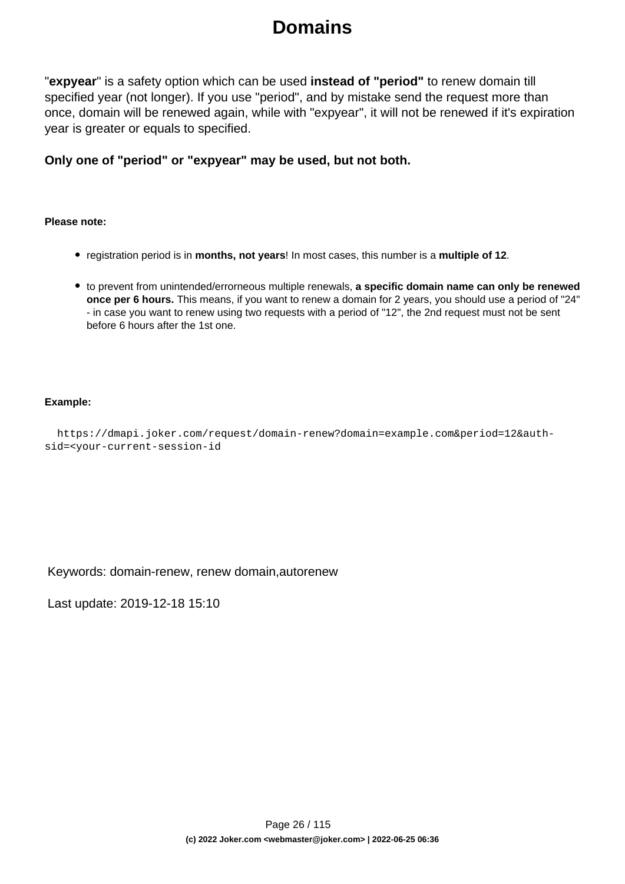## **Domains**

"**expyear**" is a safety option which can be used **instead of "period"** to renew domain till specified year (not longer). If you use "period", and by mistake send the request more than once, domain will be renewed again, while with "expyear", it will not be renewed if it's expiration year is greater or equals to specified.

**Only one of "period" or "expyear" may be used, but not both.**

#### **Please note:**

- registration period is in **months, not years**! In most cases, this number is a **multiple of 12**.
- to prevent from unintended/errorneous multiple renewals, **a specific domain name can only be renewed once per 6 hours.** This means, if you want to renew a domain for 2 years, you should use a period of "24" - in case you want to renew using two requests with a period of "12", the 2nd request must not be sent before 6 hours after the 1st one.

#### **Example:**

```
 https://dmapi.joker.com/request/domain-renew?domain=example.com&period=12&auth-
sid=<your-current-session-id
```
Keywords: domain-renew, renew domain,autorenew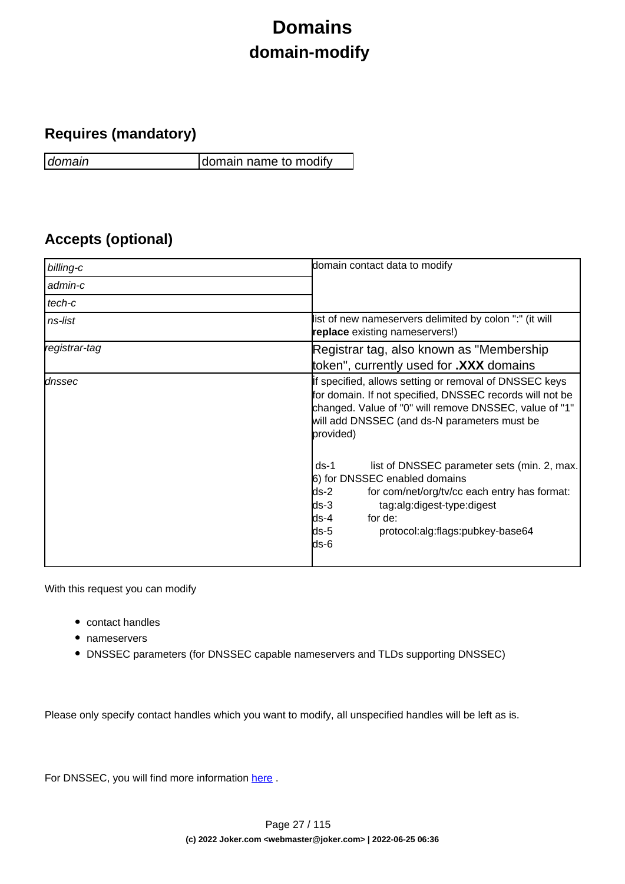# **Domains domain-modify**

### <span id="page-26-0"></span>**Requires (mandatory)**

domain domain name to modify

### **Accepts (optional)**

| billing-c     | domain contact data to modify                                                                                                                                                                                                                                 |
|---------------|---------------------------------------------------------------------------------------------------------------------------------------------------------------------------------------------------------------------------------------------------------------|
| admin-c       |                                                                                                                                                                                                                                                               |
| tech-c        |                                                                                                                                                                                                                                                               |
| ns-list       | list of new nameservers delimited by colon ":" (it will<br>replace existing nameservers!)                                                                                                                                                                     |
| registrar-tag | Registrar tag, also known as "Membership"                                                                                                                                                                                                                     |
|               | token", currently used for .XXX domains                                                                                                                                                                                                                       |
| dnssec        | If specified, allows setting or removal of DNSSEC keys<br>for domain. If not specified, DNSSEC records will not be<br>changed. Value of "0" will remove DNSSEC, value of "1"<br>will add DNSSEC (and ds-N parameters must be<br>provided)                     |
|               | list of DNSSEC parameter sets (min. 2, max.<br>$ds-1$<br>6) for DNSSEC enabled domains<br>ds-2<br>for com/net/org/tv/cc each entry has format:<br>lds-3<br>tag:alg:digest-type:digest<br>for de:<br>lds-4<br>ds-5<br>protocol:alg:flags:pubkey-base64<br>ds-6 |

With this request you can modify

- contact handles
- nameservers
- DNSSEC parameters (for DNSSEC capable nameservers and TLDs supporting DNSSEC)

Please only specify contact handles which you want to modify, all unspecified handles will be left as is.

For DNSSEC, you will find more information here.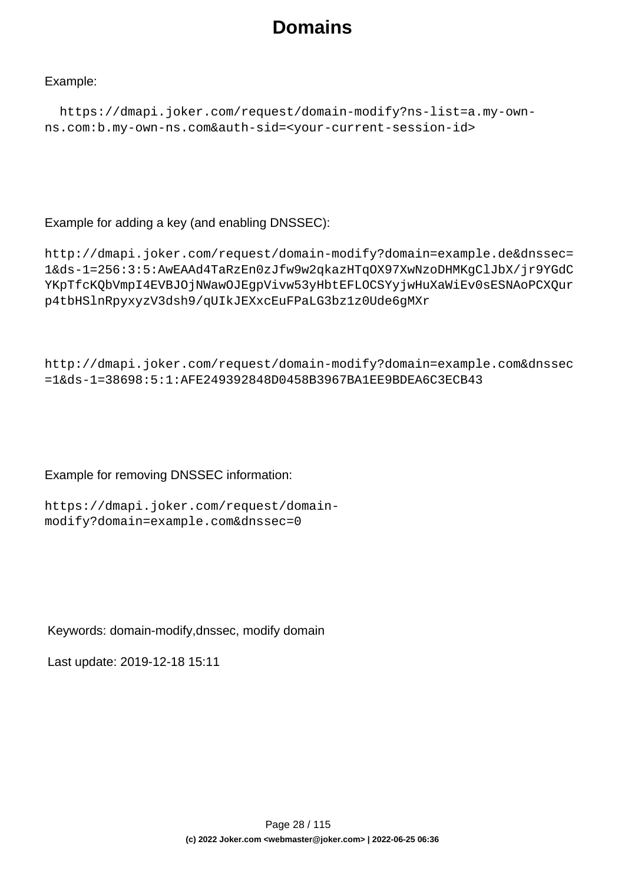## **Domains**

### Example:

```
 https://dmapi.joker.com/request/domain-modify?ns-list=a.my-own-
ns.com:b.my-own-ns.com&auth-sid=<your-current-session-id>
```
### Example for adding a key (and enabling DNSSEC):

```
http://dmapi.joker.com/request/domain-modify?domain=example.de&dnssec=
1&ds-1=256:3:5:AwEAAd4TaRzEn0zJfw9w2qkazHTqOX97XwNzoDHMKgClJbX/jr9YGdC
YKpTfcKQbVmpI4EVBJOjNWawOJEgpVivw53yHbtEFLOCSYyjwHuXaWiEv0sESNAoPCXQur
p4tbHSlnRpyxyzV3dsh9/qUIkJEXxcEuFPaLG3bz1z0Ude6gMXr
```

```
http://dmapi.joker.com/request/domain-modify?domain=example.com&dnssec
=1&ds-1=38698:5:1:AFE249392848D0458B3967BA1EE9BDEA6C3ECB43
```
### Example for removing DNSSEC information:

```
https://dmapi.joker.com/request/domain-
modify?domain=example.com&dnssec=0
```
### Keywords: domain-modify,dnssec, modify domain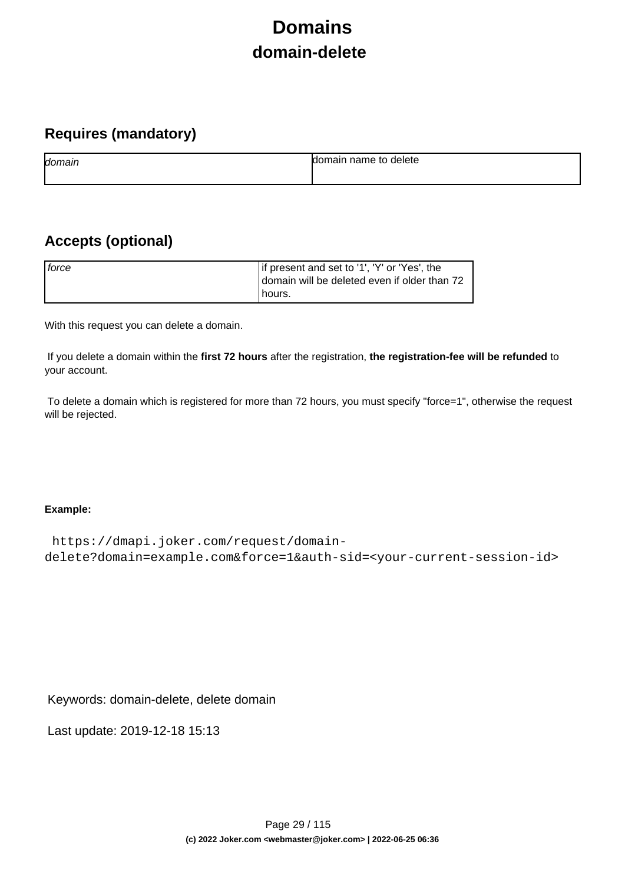# **Domains domain-delete**

### <span id="page-28-0"></span>**Requires (mandatory)**

| domain | name to<br>delete<br>ы |
|--------|------------------------|
|        |                        |

### **Accepts (optional)**

| force | If present and set to '1', 'Y' or 'Yes', the<br>domain will be deleted even if older than 72 |
|-------|----------------------------------------------------------------------------------------------|
|       | Thours.                                                                                      |

With this request you can delete a domain.

 If you delete a domain within the **first 72 hours** after the registration, **the registration-fee will be refunded** to your account.

 To delete a domain which is registered for more than 72 hours, you must specify "force=1", otherwise the request will be rejected.

### **Example:**

```
 https://dmapi.joker.com/request/domain-
delete?domain=example.com&force=1&auth-sid=<your-current-session-id>
```
Keywords: domain-delete, delete domain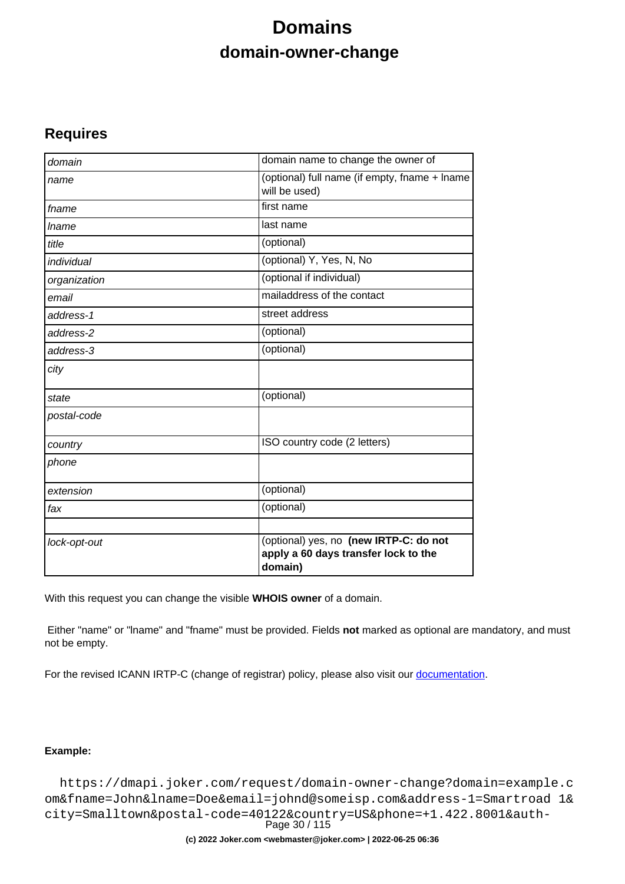## **Domains domain-owner-change**

### <span id="page-29-0"></span>**Requires**

| domain       | domain name to change the owner of                                                        |
|--------------|-------------------------------------------------------------------------------------------|
| name         | (optional) full name (if empty, fname + lname<br>will be used)                            |
| fname        | first name                                                                                |
| <i>Iname</i> | last name                                                                                 |
| title        | (optional)                                                                                |
| individual   | (optional) Y, Yes, N, No                                                                  |
| organization | (optional if individual)                                                                  |
| email        | mailaddress of the contact                                                                |
| address-1    | street address                                                                            |
| address-2    | (optional)                                                                                |
| address-3    | $\overline{(\text{optional})}$                                                            |
| city         |                                                                                           |
| state        | (optional)                                                                                |
| postal-code  |                                                                                           |
| country      | ISO country code (2 letters)                                                              |
| phone        |                                                                                           |
| extension    | (optional)                                                                                |
| fax          | (optional)                                                                                |
| lock-opt-out | (optional) yes, no (new IRTP-C: do not<br>apply a 60 days transfer lock to the<br>domain) |

With this request you can change the visible **WHOIS owner** of a domain.

 Either "name" or "lname" and "fname" must be provided. Fields **not** marked as optional are mandatory, and must not be empty.

For the revised ICANN IRTP-C (change of registrar) policy, please also visit our [documentation](https://joker.com/goto/resdocs).

### **Example:**

 https://dmapi.joker.com/request/domain-owner-change?domain=example.c om&fname=John&lname=Doe&email=johnd@someisp.com&address-1=Smartroad 1& city=Smalltown&postal-code=40122&country=US&phone=+1.422.8001&auth-Page 30 / 115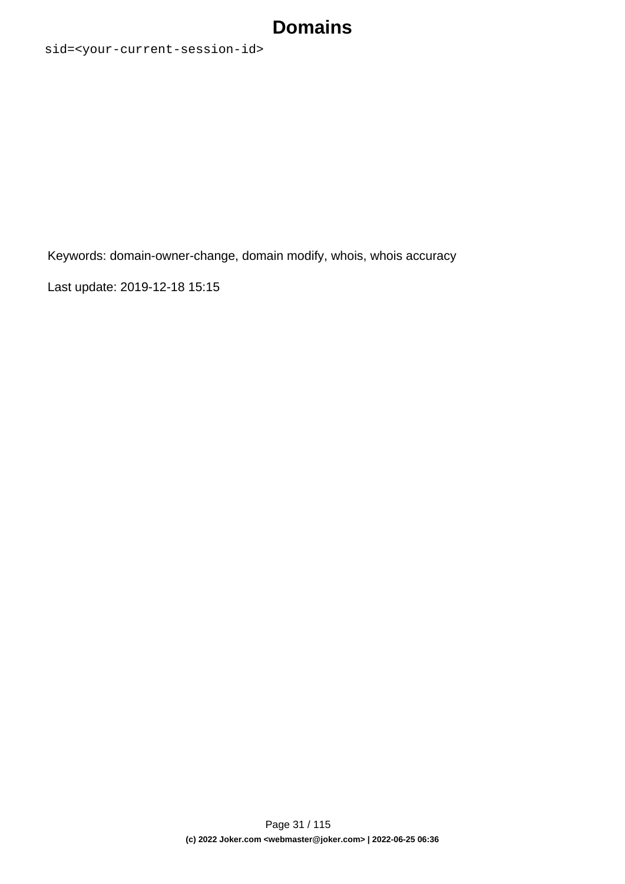## **Domains**

sid=<your-current-session-id>

Keywords: domain-owner-change, domain modify, whois, whois accuracy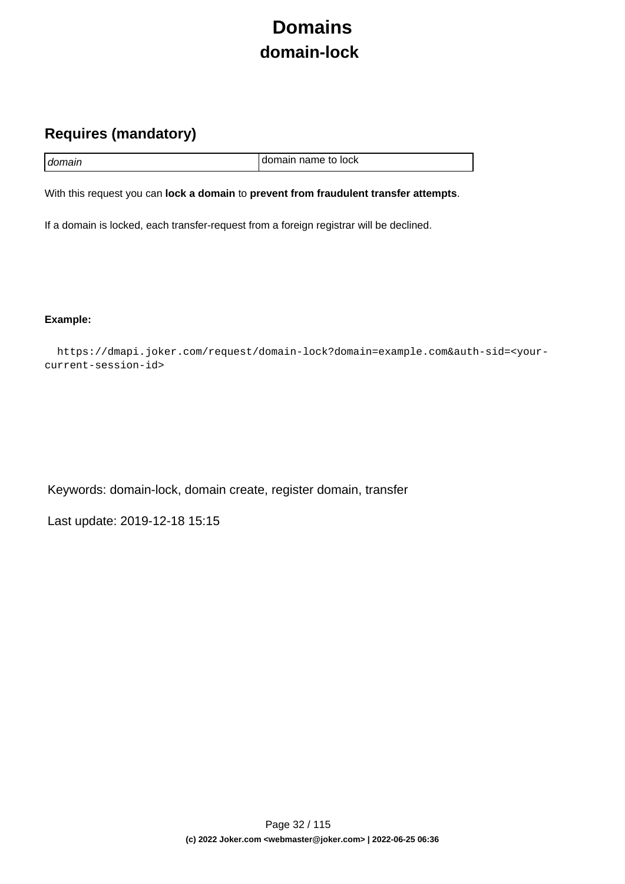# **Domains domain-lock**

### <span id="page-31-0"></span>**Requires (mandatory)**

| I domain | I domain name to lock |
|----------|-----------------------|

With this request you can **lock a domain** to **prevent from fraudulent transfer attempts**.

If a domain is locked, each transfer-request from a foreign registrar will be declined.

**Example:**

 https://dmapi.joker.com/request/domain-lock?domain=example.com&auth-sid=<yourcurrent-session-id>

Keywords: domain-lock, domain create, register domain, transfer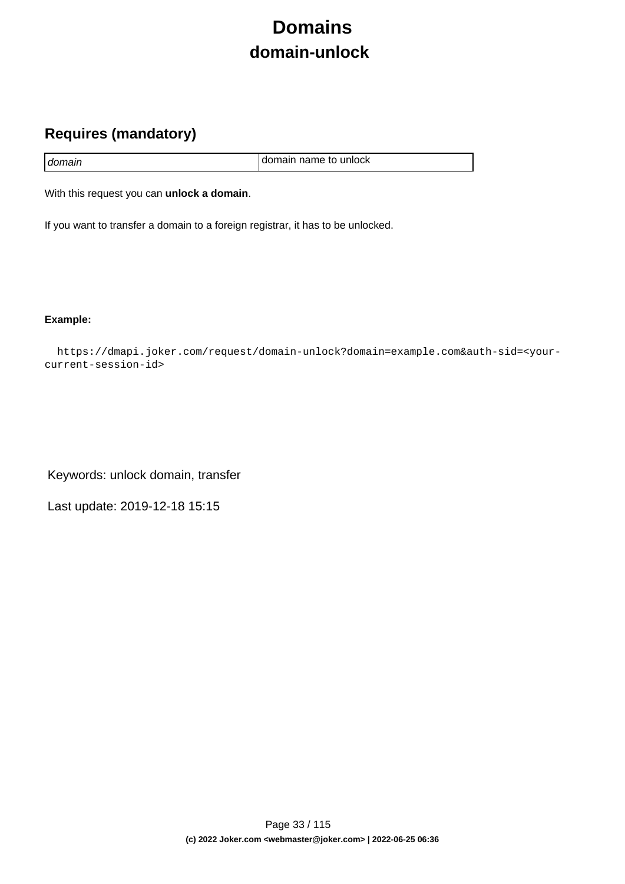# **Domains domain-unlock**

### <span id="page-32-0"></span>**Requires (mandatory)**

|        | I domain name to unlock |
|--------|-------------------------|
| domain |                         |

With this request you can **unlock a domain**.

If you want to transfer a domain to a foreign registrar, it has to be unlocked.

**Example:**

 https://dmapi.joker.com/request/domain-unlock?domain=example.com&auth-sid=<yourcurrent-session-id>

Keywords: unlock domain, transfer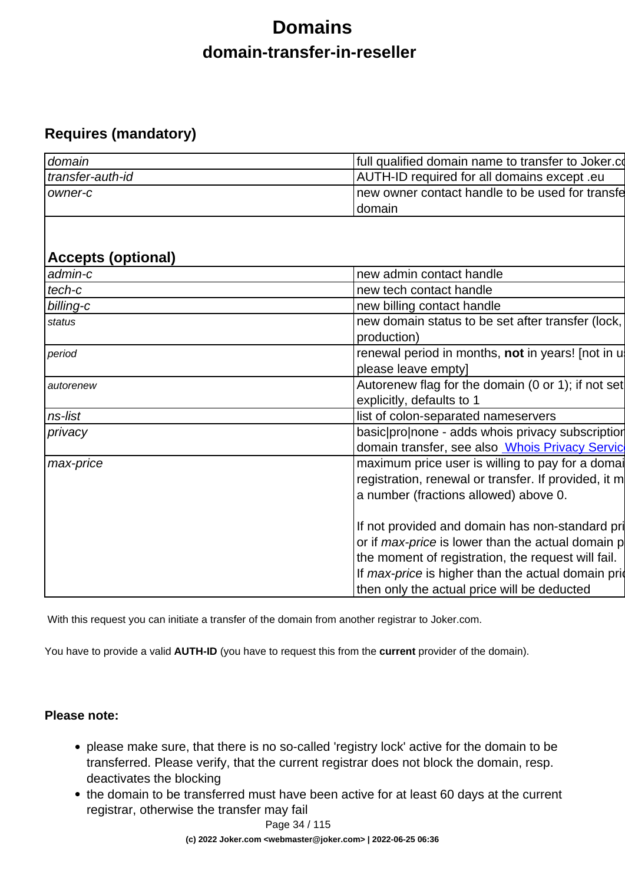# **Domains domain-transfer-in-reseller**

### <span id="page-33-0"></span>**Requires (mandatory)**

| domain           | full qualified domain name to transfer to Joker.com |
|------------------|-----------------------------------------------------|
| transfer-auth-id | AUTH-ID required for all domains except .eu         |
| Towner-c         | Inew owner contact handle to be used for transfe    |
|                  | Idomain                                             |

### **Accepts (optional)**

| admin-c   | new admin contact handle                                                                                                                                                                                                                                                |
|-----------|-------------------------------------------------------------------------------------------------------------------------------------------------------------------------------------------------------------------------------------------------------------------------|
| tech-c    | new tech contact handle                                                                                                                                                                                                                                                 |
| billing-c | new billing contact handle                                                                                                                                                                                                                                              |
| status    | new domain status to be set after transfer (lock,<br>production)                                                                                                                                                                                                        |
| period    | renewal period in months, not in years! [not in u<br>please leave empty]                                                                                                                                                                                                |
| autorenew | Autorenew flag for the domain (0 or 1); if not set<br>explicitly, defaults to 1                                                                                                                                                                                         |
| ns-list   | list of colon-separated nameservers                                                                                                                                                                                                                                     |
| privacy   | basic pronone - adds whois privacy subscription                                                                                                                                                                                                                         |
|           | domain transfer, see also <b>Whois Privacy Servic</b>                                                                                                                                                                                                                   |
| max-price | maximum price user is willing to pay for a domain<br>registration, renewal or transfer. If provided, it m<br>a number (fractions allowed) above 0.                                                                                                                      |
|           | If not provided and domain has non-standard pri<br>or if <i>max-price</i> is lower than the actual domain p<br>the moment of registration, the request will fail.<br>If max-price is higher than the actual domain prior<br>then only the actual price will be deducted |

With this request you can initiate a transfer of the domain from another registrar to Joker.com.

You have to provide a valid **AUTH-ID** (you have to request this from the **current** provider of the domain).

### **Please note:**

- please make sure, that there is no so-called 'registry lock' active for the domain to be transferred. Please verify, that the current registrar does not block the domain, resp. deactivates the blocking
- the domain to be transferred must have been active for at least 60 days at the current registrar, otherwise the transfer may fail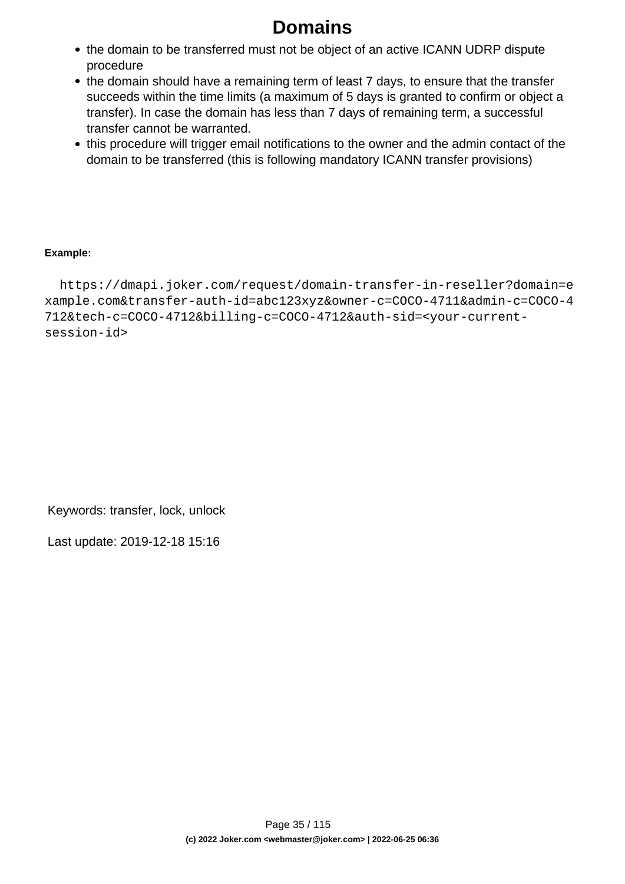# **Domains**

- the domain to be transferred must not be object of an active ICANN UDRP dispute procedure
- the domain should have a remaining term of least 7 days, to ensure that the transfer succeeds within the time limits (a maximum of 5 days is granted to confirm or object a transfer). In case the domain has less than 7 days of remaining term, a successful transfer cannot be warranted.
- this procedure will trigger email notifications to the owner and the admin contact of the domain to be transferred (this is following mandatory ICANN transfer provisions)

### **Example:**

 https://dmapi.joker.com/request/domain-transfer-in-reseller?domain=e xample.com&transfer-auth-id=abc123xyz&owner-c=COCO-4711&admin-c=COCO-4 712&tech-c=COCO-4712&billing-c=COCO-4712&auth-sid=<your-currentsession-id>

Keywords: transfer, lock, unlock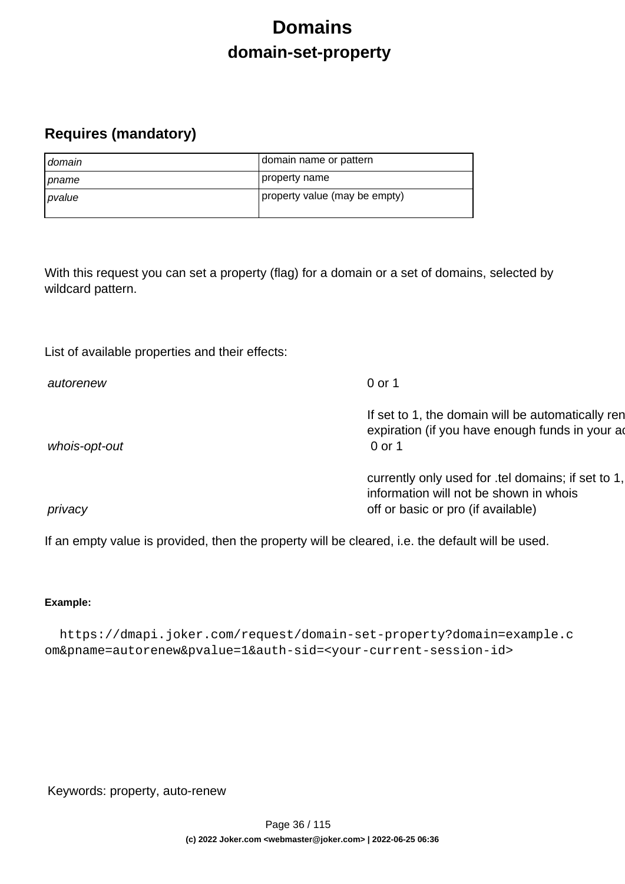## **Domains domain-set-property**

### <span id="page-35-0"></span>**Requires (mandatory)**

| domain         | domain name or pattern        |
|----------------|-------------------------------|
| <i>I pname</i> | property name                 |
| pvalue         | property value (may be empty) |

With this request you can set a property (flag) for a domain or a set of domains, selected by wildcard pattern.

List of available properties and their effects:

| autorenew     | 0 or 1                                                                                                                             |
|---------------|------------------------------------------------------------------------------------------------------------------------------------|
| whois-opt-out | If set to 1, the domain will be automatically ren<br>expiration (if you have enough funds in your ad<br>0 or 1                     |
| privacy       | currently only used for .tel domains; if set to 1,<br>information will not be shown in whois<br>off or basic or pro (if available) |

If an empty value is provided, then the property will be cleared, i.e. the default will be used.

### **Example:**

 https://dmapi.joker.com/request/domain-set-property?domain=example.c om&pname=autorenew&pvalue=1&auth-sid=<your-current-session-id>

Keywords: property, auto-renew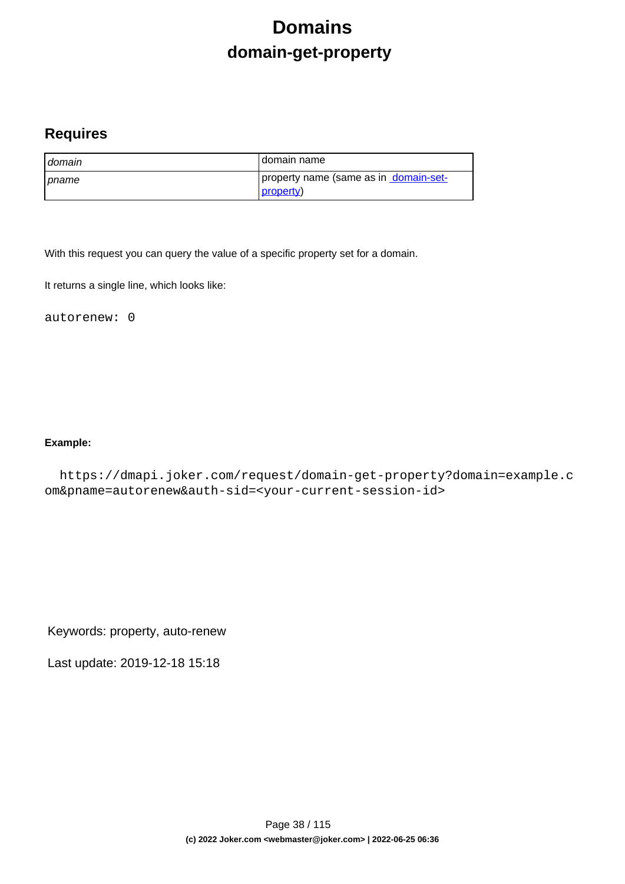# **Domains domain-get-property**

### **Requires**

| I domain       | I domain name                                               |
|----------------|-------------------------------------------------------------|
| <b>I</b> pname | property name (same as in domain-set-<br><u> property</u> ) |

With this request you can query the value of a specific property set for a domain.

It returns a single line, which looks like:

autorenew: 0

### **Example:**

 https://dmapi.joker.com/request/domain-get-property?domain=example.c om&pname=autorenew&auth-sid=<your-current-session-id>

Keywords: property, auto-renew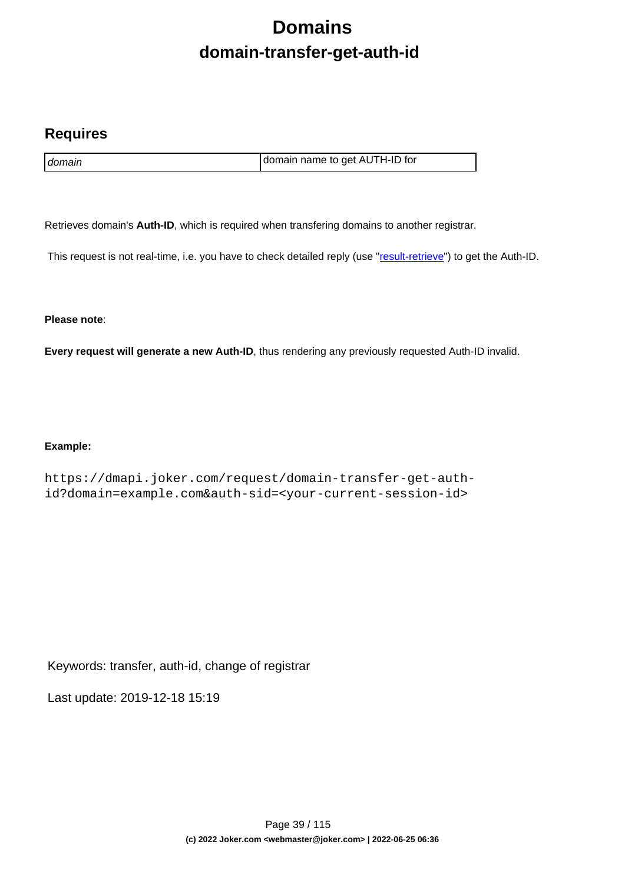# **Domains domain-transfer-get-auth-id**

### **Requires**

domain domain name to get AUTH-ID for

Retrieves domain's **Auth-ID**, which is required when transfering domains to another registrar.

This request is not real-time, i.e. you have to check detailed reply (use "[result-retrieve"](index.php?action=artikel&cat=26&id=17&artlang=en)) to get the Auth-ID.

**Please note**:

**Every request will generate a new Auth-ID**, thus rendering any previously requested Auth-ID invalid.

### **Example:**

https://dmapi.joker.com/request/domain-transfer-get-authid?domain=example.com&auth-sid=<your-current-session-id>

Keywords: transfer, auth-id, change of registrar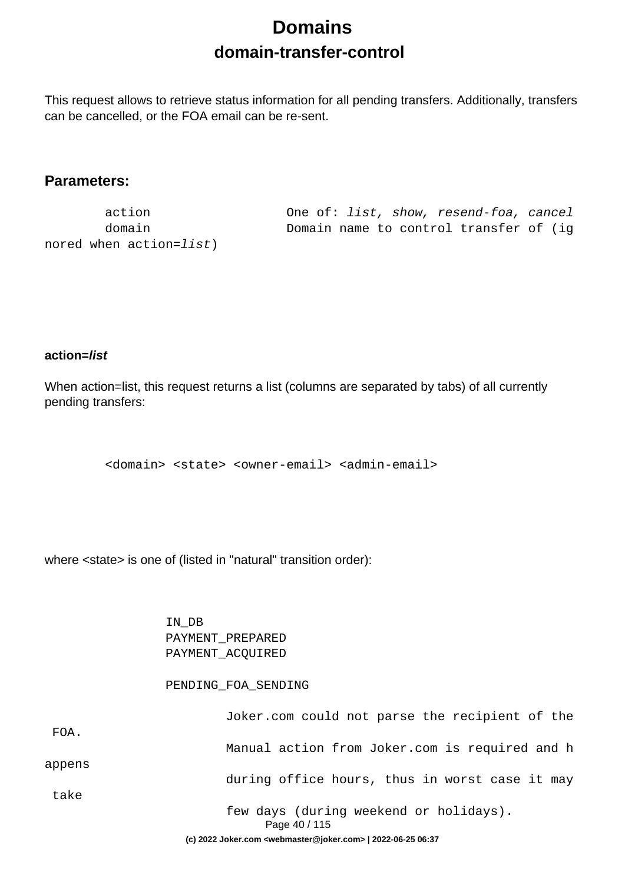# **Domains domain-transfer-control**

This request allows to retrieve status information for all pending transfers. Additionally, transfers can be cancelled, or the FOA email can be re-sent.

### **Parameters:**

nored when action=list)

 action One of: list, show, resend-foa, cancel domain Domain name to control transfer of (ig

### **action=list**

When action=list, this request returns a list (columns are separated by tabs) of all currently pending transfers:

<domain> <state> <owner-email> <admin-email>

where <state> is one of (listed in "natural" transition order):

 IN\_DB PAYMENT\_PREPARED PAYMENT\_ACQUIRED

#### PENDING\_FOA\_SENDING

|        | (c) 2022 Joker.com <webmaster@joker.com>   2022-06-25 06:37</webmaster@joker.com> |
|--------|-----------------------------------------------------------------------------------|
|        | few days (during weekend or holidays).<br>Page 40 / 115                           |
| take   |                                                                                   |
|        | during office hours, thus in worst case it may                                    |
| appens | Manual action from Joker.com is required and h                                    |
| FOA.   |                                                                                   |
|        | Joker.com could not parse the recipient of the                                    |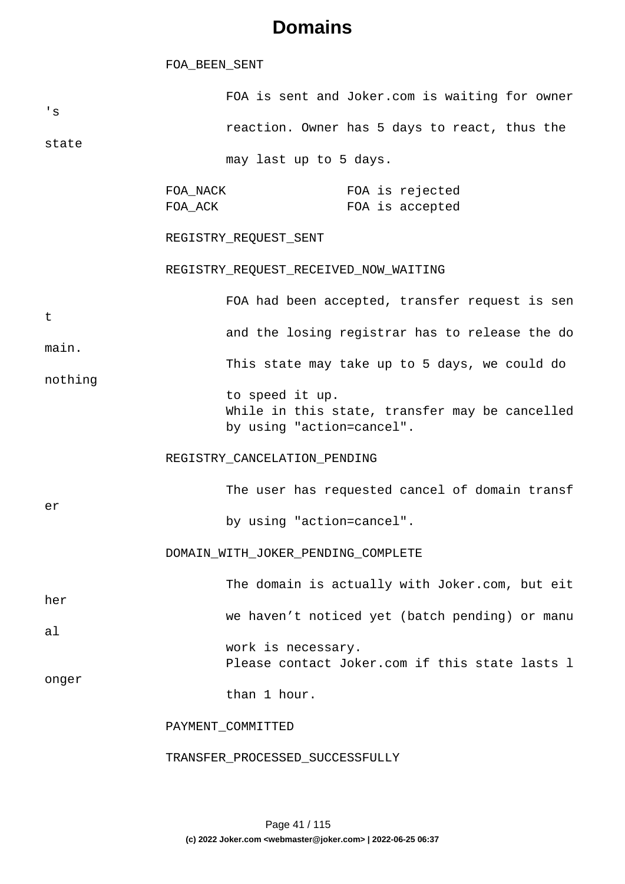#### FOA\_BEEN\_SENT

| 's      |                           | FOA is sent and Joker.com is waiting for owner                                                 |                                    |  |
|---------|---------------------------|------------------------------------------------------------------------------------------------|------------------------------------|--|
|         |                           | reaction. Owner has 5 days to react, thus the                                                  |                                    |  |
| state   |                           | may last up to 5 days.                                                                         |                                    |  |
|         | FOA_NACK<br>FOA_ACK       |                                                                                                | FOA is rejected<br>FOA is accepted |  |
|         |                           | REGISTRY_REQUEST_SENT                                                                          |                                    |  |
|         |                           | REGISTRY_REQUEST_RECEIVED_NOW_WAITING                                                          |                                    |  |
| t       |                           | FOA had been accepted, transfer request is sen                                                 |                                    |  |
| main.   |                           | and the losing registrar has to release the do                                                 |                                    |  |
| nothing |                           | This state may take up to 5 days, we could do                                                  |                                    |  |
|         |                           | to speed it up.<br>While in this state, transfer may be cancelled<br>by using "action=cancel". |                                    |  |
|         |                           | REGISTRY_CANCELATION_PENDING                                                                   |                                    |  |
|         |                           | The user has requested cancel of domain transf                                                 |                                    |  |
| er      | by using "action=cancel". |                                                                                                |                                    |  |
|         |                           | DOMAIN_WITH_JOKER_PENDING_COMPLETE                                                             |                                    |  |
| her     |                           | The domain is actually with Joker.com, but eit                                                 |                                    |  |
| al      |                           | we haven't noticed yet (batch pending) or manu                                                 |                                    |  |
| onger   |                           | work is necessary.<br>Please contact Joker.com if this state lasts 1                           |                                    |  |
|         |                           | than 1 hour.                                                                                   |                                    |  |
|         |                           | PAYMENT_COMMITTED                                                                              |                                    |  |
|         |                           | TRANSFER_PROCESSED_SUCCESSFULLY                                                                |                                    |  |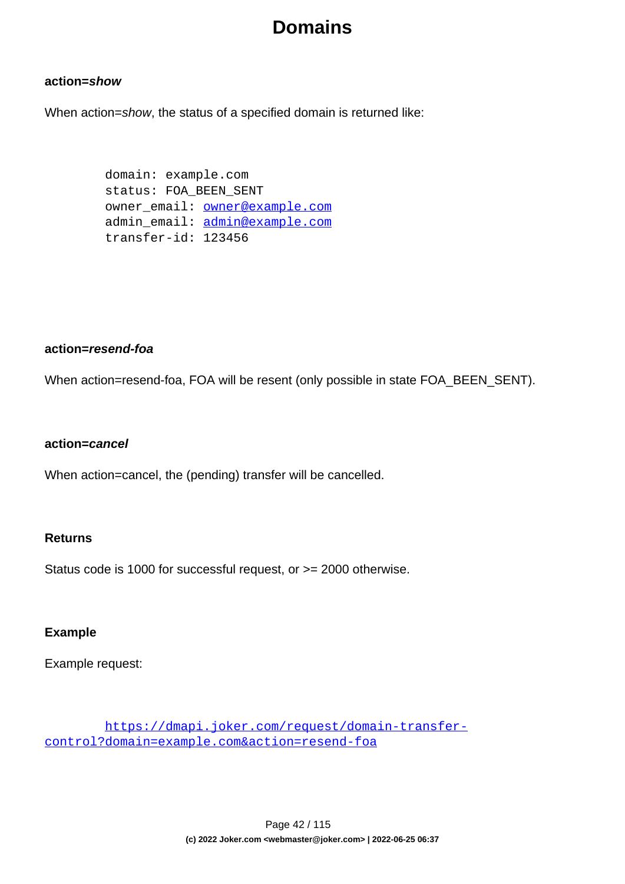### **action=show**

When action=show, the status of a specified domain is returned like:

 domain: example.com status: FOA\_BEEN\_SENT owner email: **owner@example.com**  admin\_email: admin@example.com transfer-id: 123456

### **action=resend-foa**

When action=resend-foa, FOA will be resent (only possible in state FOA\_BEEN\_SENT).

### **action=cancel**

When action=cancel, the (pending) transfer will be cancelled.

### **Returns**

Status code is 1000 for successful request, or >= 2000 otherwise.

### **Example**

Example request:

 https://dmapi.joker.com/request/domain-transfercontrol?domain=example.com&action=resend-foa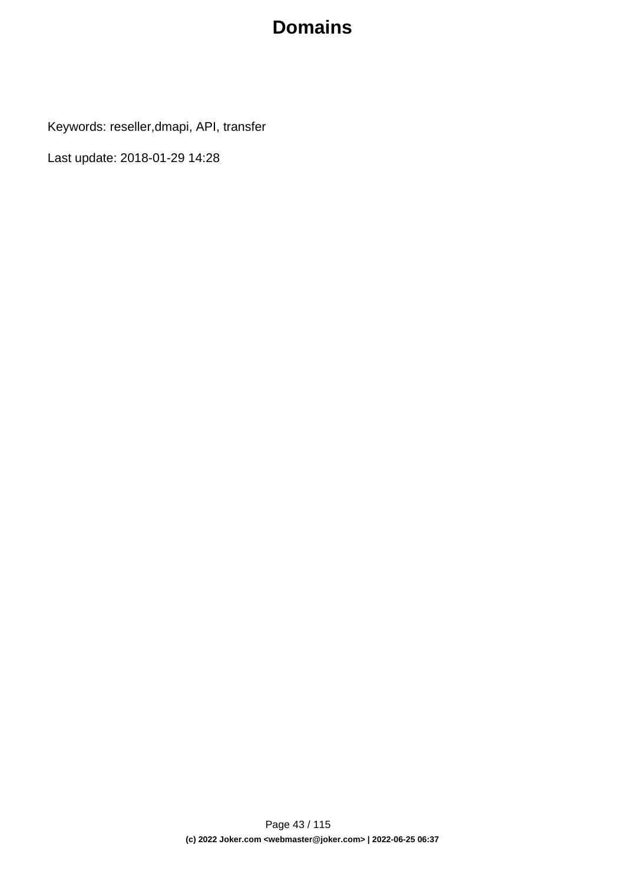Keywords: reseller,dmapi, API, transfer

Last update: 2018-01-29 14:28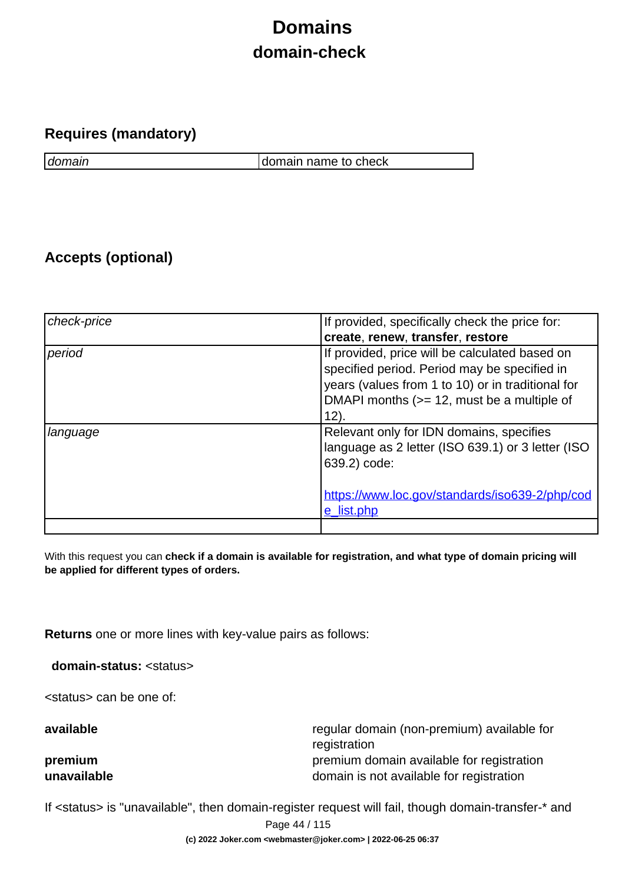# **Domains domain-check**

### **Requires (mandatory)**

domain domain name to check

### **Accepts (optional)**

| check-price | If provided, specifically check the price for:                                                                                                                                                               |
|-------------|--------------------------------------------------------------------------------------------------------------------------------------------------------------------------------------------------------------|
|             | create, renew, transfer, restore                                                                                                                                                                             |
| period      | If provided, price will be calculated based on<br>specified period. Period may be specified in<br>years (values from 1 to 10) or in traditional for<br>DMAPI months (>= 12, must be a multiple of<br>$12)$ . |
| language    | Relevant only for IDN domains, specifies<br>language as 2 letter (ISO 639.1) or 3 letter (ISO<br>639.2) code:<br>https://www.loc.gov/standards/iso639-2/php/cod<br>e list.php                                |
|             |                                                                                                                                                                                                              |

With this request you can **check if a domain is available for registration, and what type of domain pricing will be applied for different types of orders.**

**Returns** one or more lines with key-value pairs as follows:

**domain-status:** <status>

<status> can be one of:

**available** regular domain (non-premium) available for registration **premium premium** premium domain available for registration **unavailable domain is not available for registration** 

If <status> is "unavailable", then domain-register request will fail, though domain-transfer-\* and

Page 44 / 115

**(c) 2022 Joker.com <webmaster@joker.com> | 2022-06-25 06:37**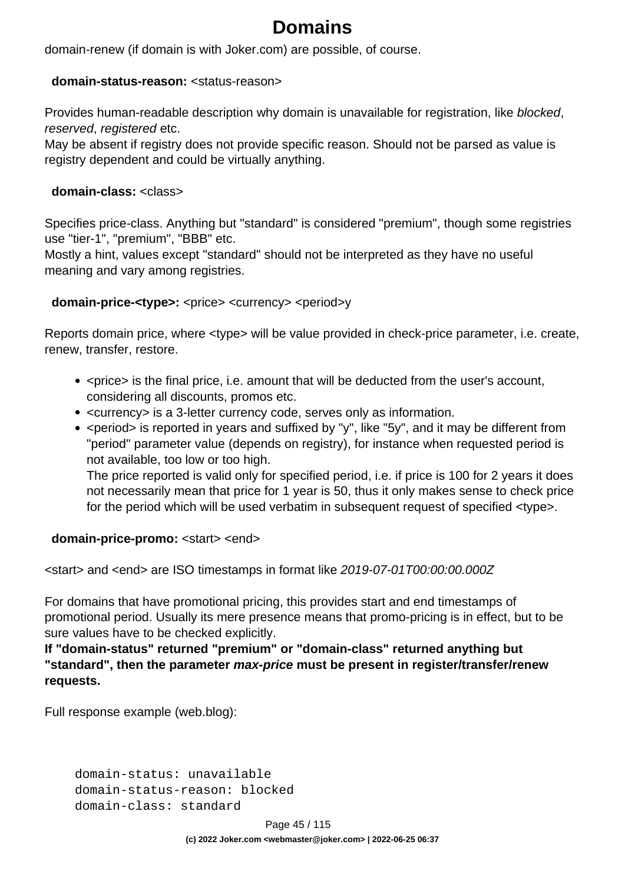domain-renew (if domain is with Joker.com) are possible, of course.

### **domain-status-reason:** <status-reason>

Provides human-readable description why domain is unavailable for registration, like blocked, reserved, registered etc.

May be absent if registry does not provide specific reason. Should not be parsed as value is registry dependent and could be virtually anything.

### **domain-class:** <class>

Specifies price-class. Anything but "standard" is considered "premium", though some registries use "tier-1", "premium", "BBB" etc.

Mostly a hint, values except "standard" should not be interpreted as they have no useful meaning and vary among registries.

### **domain-price-<type>:** <price> <currency> <period>y

Reports domain price, where <type> will be value provided in check-price parameter, i.e. create, renew, transfer, restore.

- <price> is the final price, i.e. amount that will be deducted from the user's account, considering all discounts, promos etc.
- <currency> is a 3-letter currency code, serves only as information.
- < period > is reported in years and suffixed by "y", like "5y", and it may be different from "period" parameter value (depends on registry), for instance when requested period is not available, too low or too high.

The price reported is valid only for specified period, i.e. if price is 100 for 2 years it does not necessarily mean that price for 1 year is 50, thus it only makes sense to check price for the period which will be used verbatim in subsequent request of specified <type>.

### **domain-price-promo:** <start> <end>

<start> and <end> are ISO timestamps in format like 2019-07-01T00:00:00.000Z

For domains that have promotional pricing, this provides start and end timestamps of promotional period. Usually its mere presence means that promo-pricing is in effect, but to be sure values have to be checked explicitly.

**If "domain-status" returned "premium" or "domain-class" returned anything but "standard", then the parameter max-price must be present in register/transfer/renew requests.** 

Full response example (web.blog):

 domain-status: unavailable domain-status-reason: blocked domain-class: standard

Page 45 / 115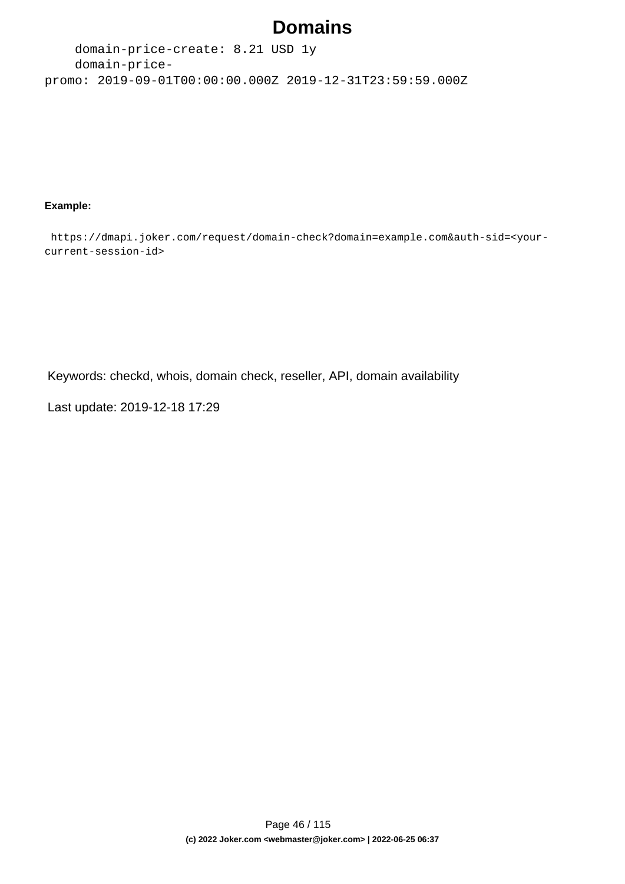domain-price-create: 8.21 USD 1y domain-pricepromo: 2019-09-01T00:00:00.000Z 2019-12-31T23:59:59.000Z

#### **Example:**

 https://dmapi.joker.com/request/domain-check?domain=example.com&auth-sid=<yourcurrent-session-id>

Keywords: checkd, whois, domain check, reseller, API, domain availability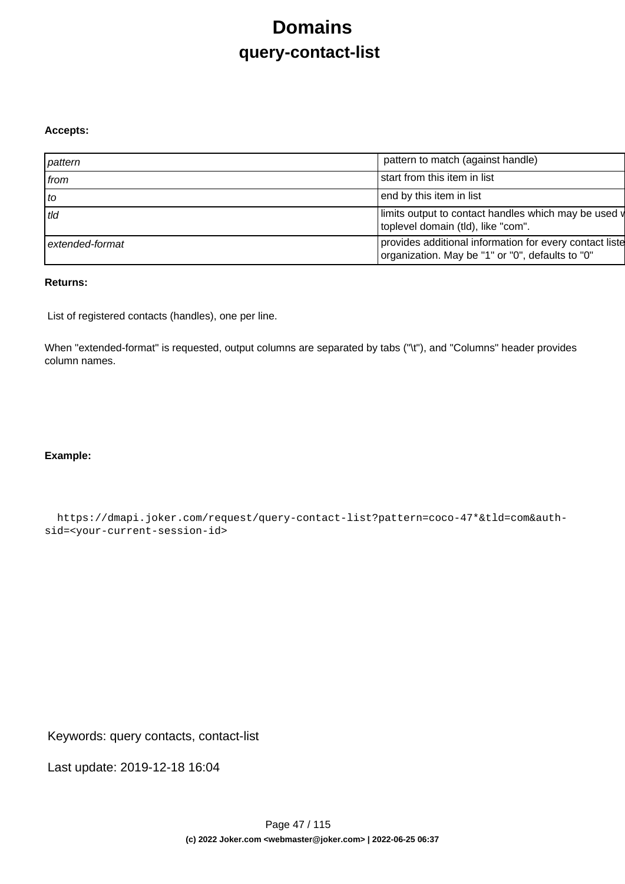# **Domains query-contact-list**

#### **Accepts:**

| pattern         | pattern to match (against handle)                                                                           |
|-----------------|-------------------------------------------------------------------------------------------------------------|
| from            | start from this item in list                                                                                |
| to              | end by this item in list                                                                                    |
| tld             | limits output to contact handles which may be used v<br>toplevel domain (tld), like "com".                  |
| extended-format | provides additional information for every contact liste<br>organization. May be "1" or "0", defaults to "0" |

### **Returns:**

List of registered contacts (handles), one per line.

When "extended-format" is requested, output columns are separated by tabs ("\t"), and "Columns" header provides column names.

### **Example:**

 https://dmapi.joker.com/request/query-contact-list?pattern=coco-47\*&tld=com&authsid=<your-current-session-id>

Keywords: query contacts, contact-list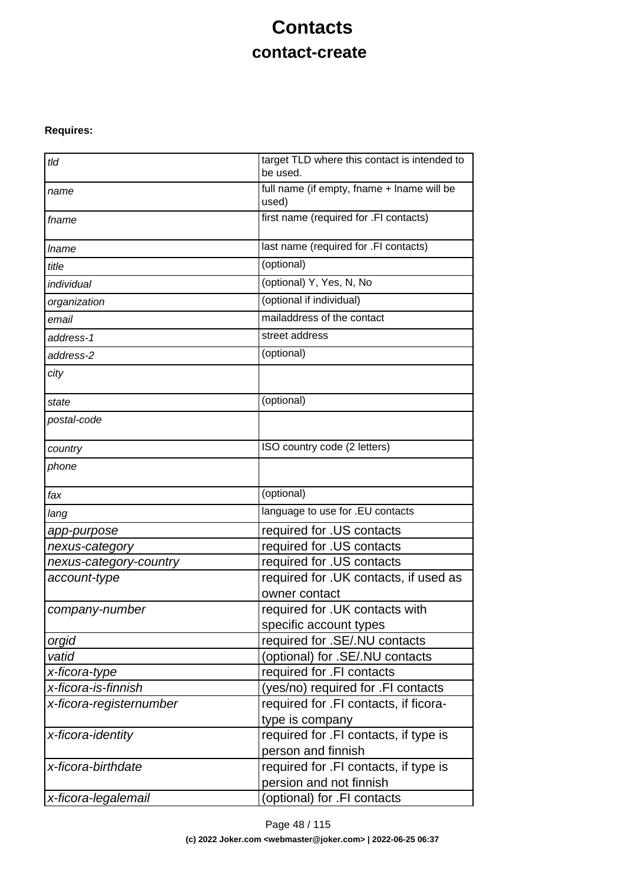# **Contacts contact-create**

### **Requires:**

| tld                     | target TLD where this contact is intended to<br>be used. |  |
|-------------------------|----------------------------------------------------------|--|
| name                    | full name (if empty, fname + lname will be<br>used)      |  |
| fname                   | first name (required for .FI contacts)                   |  |
| <i>Iname</i>            | last name (required for .FI contacts)                    |  |
| title                   | (optional)                                               |  |
| individual              | (optional) Y, Yes, N, No                                 |  |
| organization            | (optional if individual)                                 |  |
| email                   | mailaddress of the contact                               |  |
| address-1               | street address                                           |  |
| address-2               | (optional)                                               |  |
| city                    |                                                          |  |
| state                   | (optional)                                               |  |
| postal-code             |                                                          |  |
| country                 | ISO country code (2 letters)                             |  |
| phone                   |                                                          |  |
| fax                     | (optional)                                               |  |
| lang                    | language to use for .EU contacts                         |  |
| app-purpose             | required for .US contacts                                |  |
| nexus-category          | required for .US contacts                                |  |
| nexus-category-country  | required for .US contacts                                |  |
| account-type            | required for . UK contacts, if used as                   |  |
|                         | owner contact                                            |  |
| company-number          | required for .UK contacts with                           |  |
|                         | specific account types                                   |  |
| orgid                   | required for .SE/.NU contacts                            |  |
| vatid                   | (optional) for .SE/.NU contacts                          |  |
| x-ficora-type           | required for .FI contacts                                |  |
| x-ficora-is-finnish     | (yes/no) required for .FI contacts                       |  |
| x-ficora-registernumber | required for .FI contacts, if ficora-<br>type is company |  |
| x-ficora-identity       | required for .FI contacts, if type is                    |  |
|                         | person and finnish                                       |  |
| x-ficora-birthdate      | required for .FI contacts, if type is                    |  |
|                         | persion and not finnish                                  |  |
| x-ficora-legalemail     | (optional) for .FI contacts                              |  |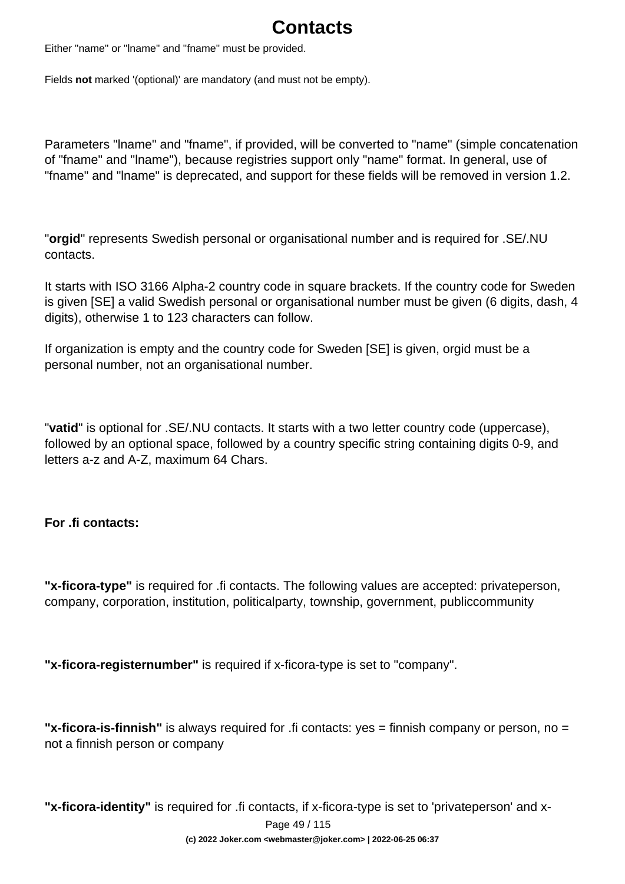# **Contacts**

Either "name" or "lname" and "fname" must be provided.

Fields **not** marked '(optional)' are mandatory (and must not be empty).

Parameters "lname" and "fname", if provided, will be converted to "name" (simple concatenation of "fname" and "lname"), because registries support only "name" format. In general, use of "fname" and "lname" is deprecated, and support for these fields will be removed in version 1.2.

"**orgid**" represents Swedish personal or organisational number and is required for .SE/.NU contacts.

It starts with ISO 3166 Alpha-2 country code in square brackets. If the country code for Sweden is given [SE] a valid Swedish personal or organisational number must be given (6 digits, dash, 4 digits), otherwise 1 to 123 characters can follow.

If organization is empty and the country code for Sweden [SE] is given, orgid must be a personal number, not an organisational number.

"**vatid**" is optional for .SE/.NU contacts. It starts with a two letter country code (uppercase), followed by an optional space, followed by a country specific string containing digits 0-9, and letters a-z and A-Z, maximum 64 Chars.

### **For .fi contacts:**

**"x-ficora-type"** is required for .fi contacts. The following values are accepted: privateperson, company, corporation, institution, politicalparty, township, government, publiccommunity

**"x-ficora-registernumber"** is required if x-ficora-type is set to "company".

**"x-ficora-is-finnish"** is always required for .fi contacts: yes = finnish company or person, no = not a finnish person or company

**"x-ficora-identity"** is required for .fi contacts, if x-ficora-type is set to 'privateperson' and x-

Page 49 / 115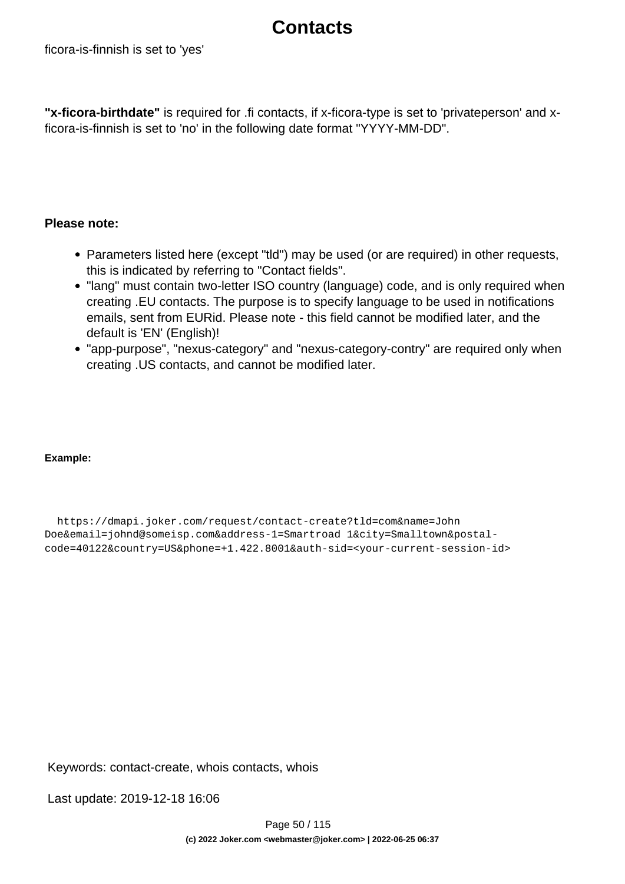### **Contacts**

**"x-ficora-birthdate"** is required for .fi contacts, if x-ficora-type is set to 'privateperson' and xficora-is-finnish is set to 'no' in the following date format "YYYY-MM-DD".

### **Please note:**

- Parameters listed here (except "tid") may be used (or are required) in other requests, this is indicated by referring to "Contact fields".
- "lang" must contain two-letter ISO country (language) code, and is only required when creating .EU contacts. The purpose is to specify language to be used in notifications emails, sent from EURid. Please note - this field cannot be modified later, and the default is 'EN' (English)!
- "app-purpose", "nexus-category" and "nexus-category-contry" are required only when creating .US contacts, and cannot be modified later.

### **Example:**

 https://dmapi.joker.com/request/contact-create?tld=com&name=John Doe&email=johnd@someisp.com&address-1=Smartroad 1&city=Smalltown&postalcode=40122&country=US&phone=+1.422.8001&auth-sid=<your-current-session-id>

Keywords: contact-create, whois contacts, whois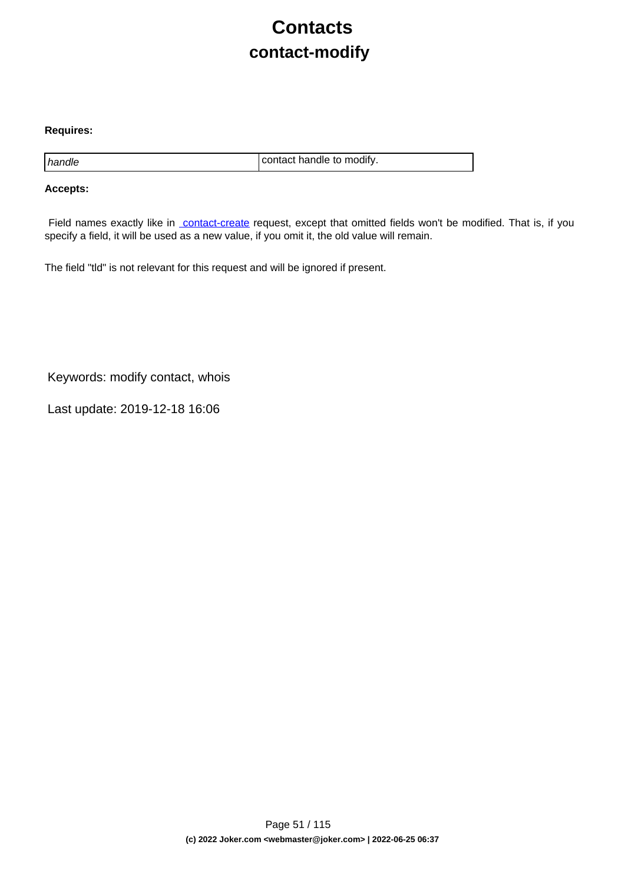# **Contacts contact-modify**

#### **Requires:**

handle contact handle to modify.

#### **Accepts:**

Field names exactly like in [contact-create](index.php?action=artikel&cat=28&id=30&artlang=en) request, except that omitted fields won't be modified. That is, if you specify a field, it will be used as a new value, if you omit it, the old value will remain.

The field "tld" is not relevant for this request and will be ignored if present.

Keywords: modify contact, whois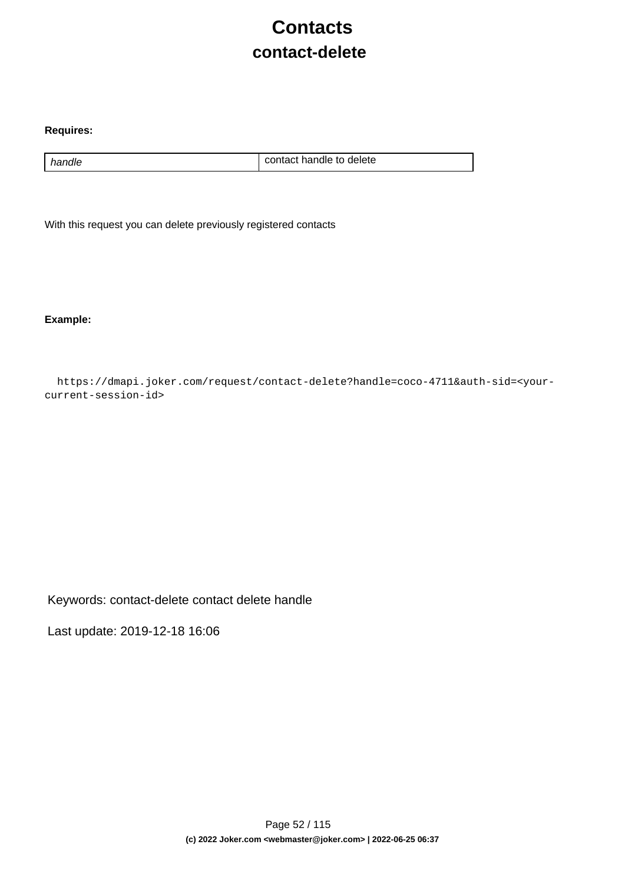# **Contacts contact-delete**

#### **Requires:**

handle handle contact handle to delete

With this request you can delete previously registered contacts

**Example:**

 https://dmapi.joker.com/request/contact-delete?handle=coco-4711&auth-sid=<yourcurrent-session-id>

Keywords: contact-delete contact delete handle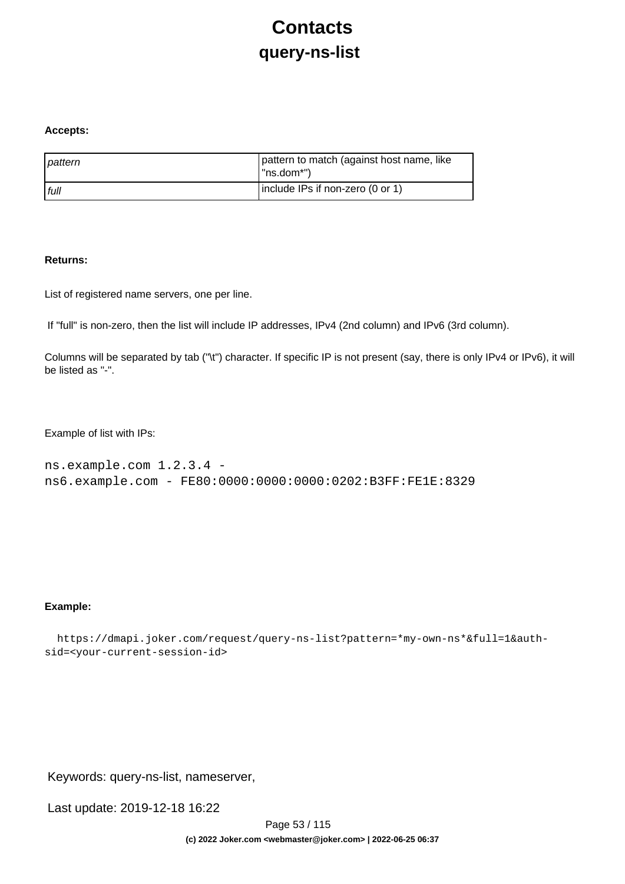# **Contacts query-ns-list**

#### **Accepts:**

| pattern | pattern to match (against host name, like<br>$\vert$ "ns.dom*") |
|---------|-----------------------------------------------------------------|
| l full  | Include IPs if non-zero (0 or 1)                                |

#### **Returns:**

List of registered name servers, one per line.

If "full" is non-zero, then the list will include IP addresses, IPv4 (2nd column) and IPv6 (3rd column).

Columns will be separated by tab ("\t") character. If specific IP is not present (say, there is only IPv4 or IPv6), it will be listed as "-".

Example of list with IPs:

```
ns.example.com 1.2.3.4 - 
ns6.example.com - FE80:0000:0000:0000:0202:B3FF:FE1E:8329
```
#### **Example:**

```
 https://dmapi.joker.com/request/query-ns-list?pattern=*my-own-ns*&full=1&auth-
sid=<your-current-session-id>
```
Keywords: query-ns-list, nameserver,

Last update: 2019-12-18 16:22

Page 53 / 115 **(c) 2022 Joker.com <webmaster@joker.com> | 2022-06-25 06:37**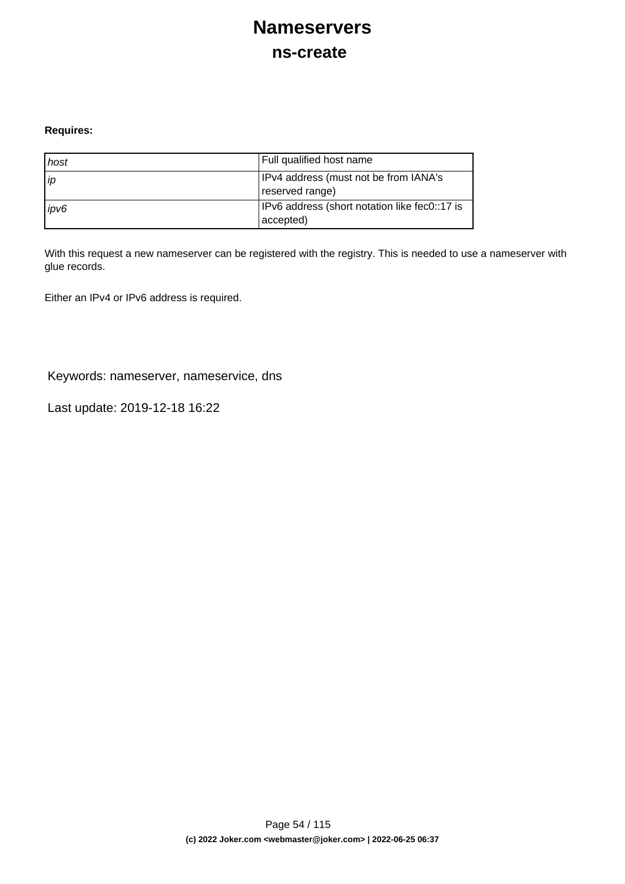## **Nameservers ns-create**

#### **Requires:**

| host | Full qualified host name                                   |
|------|------------------------------------------------------------|
| l ip | IPv4 address (must not be from IANA's<br>reserved range)   |
| ipv6 | IPv6 address (short notation like fec0::17 is<br>accepted) |

With this request a new nameserver can be registered with the registry. This is needed to use a nameserver with glue records.

Either an IPv4 or IPv6 address is required.

Keywords: nameserver, nameservice, dns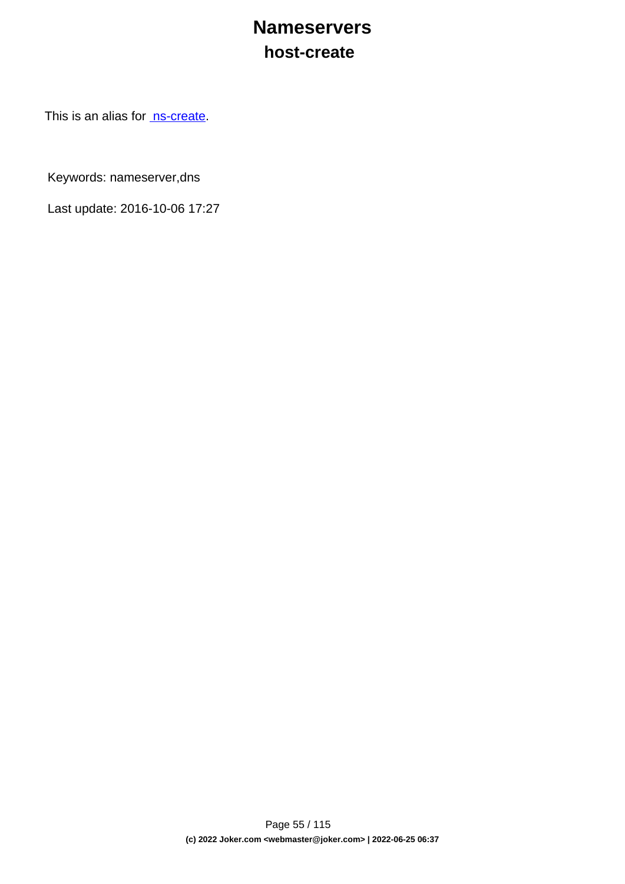### **Nameservers host-create**

This is an alias for [ns-create.](index.php?action=artikel&cat=29&id=34&artlang=en)

Keywords: nameserver,dns

Last update: 2016-10-06 17:27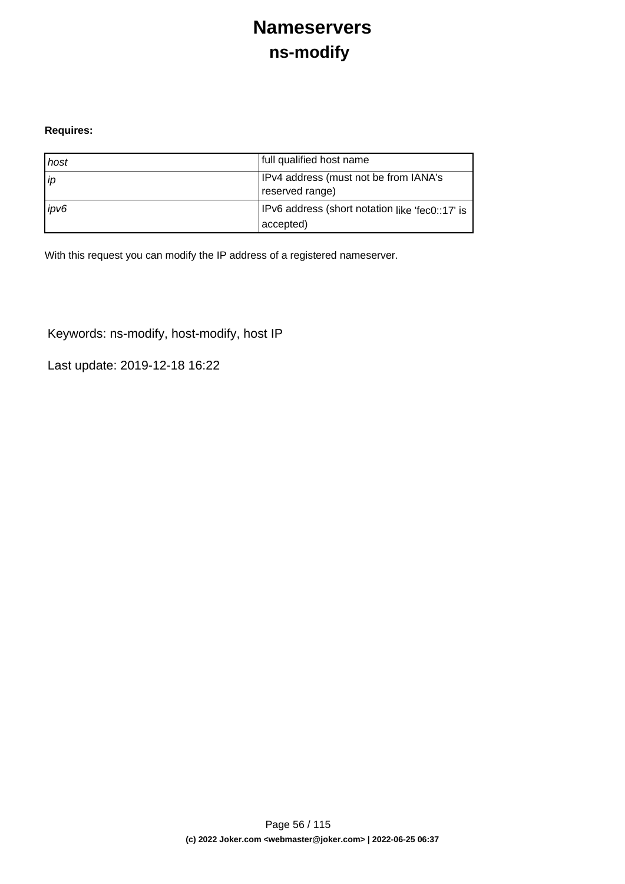# **Nameservers ns-modify**

#### **Requires:**

| host | full qualified host name                                      |
|------|---------------------------------------------------------------|
| ip   | IPv4 address (must not be from IANA's<br>reserved range)      |
| ipv6 | IPv6 address (short notation like 'fec0::17' is<br>(accepted) |

With this request you can modify the IP address of a registered nameserver.

Keywords: ns-modify, host-modify, host IP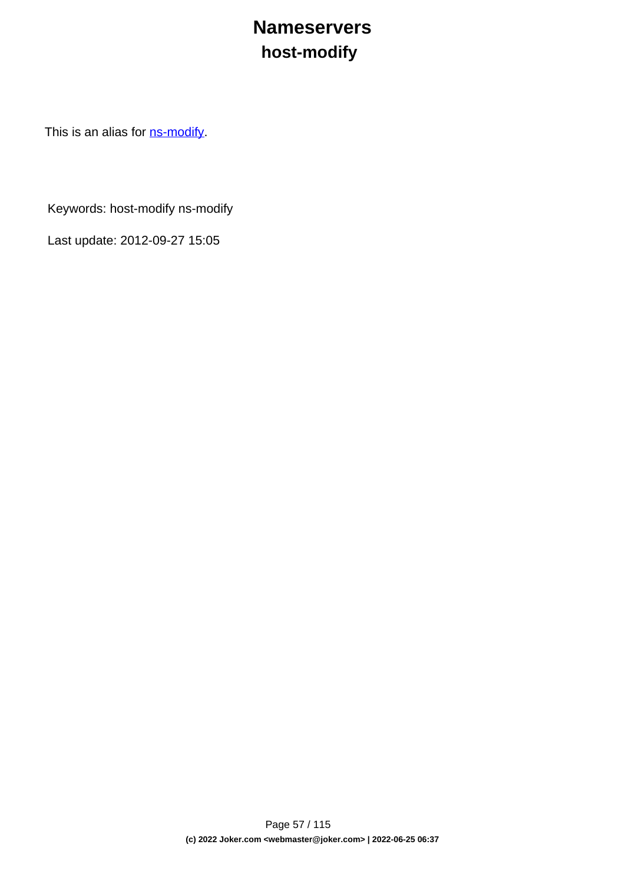# **Nameservers host-modify**

This is an alias for **ns-modify**.

Keywords: host-modify ns-modify

Last update: 2012-09-27 15:05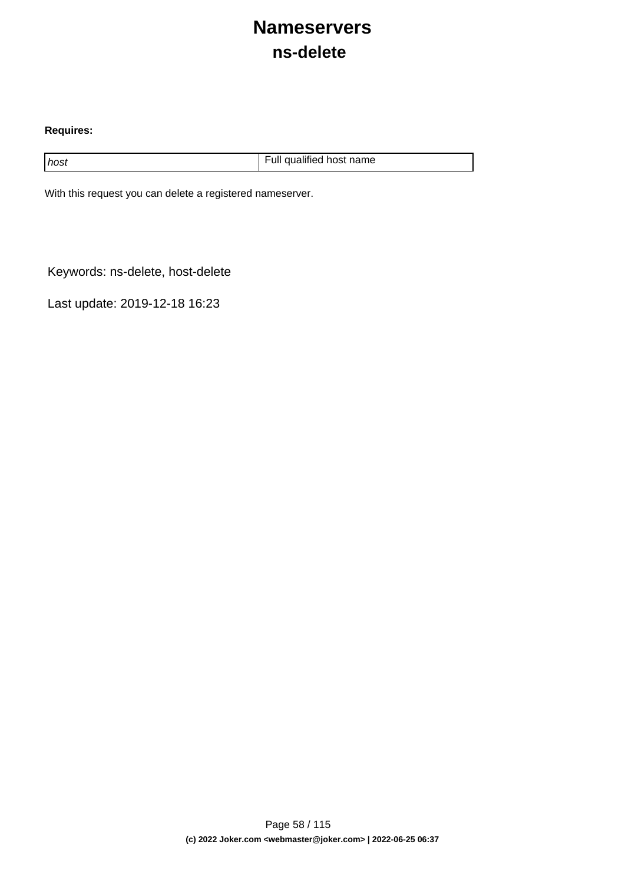### **Nameservers ns-delete**

#### **Requires:**

host host host name host name host name host name host name

With this request you can delete a registered nameserver.

Keywords: ns-delete, host-delete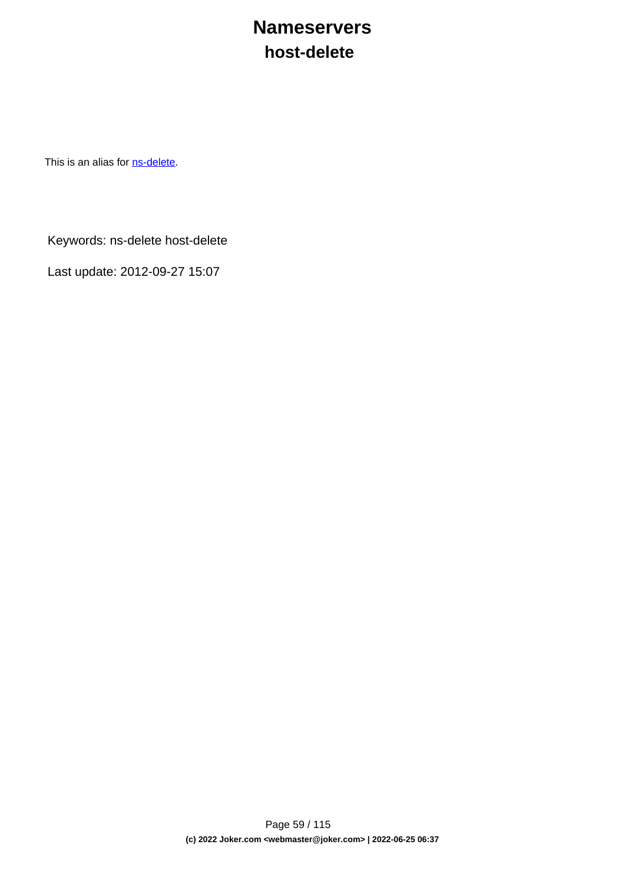### **Nameservers host-delete**

This is an alias for **[ns-delete](index.php?action=artikel&cat=29&id=38&artlang=en)**.

Keywords: ns-delete host-delete

Last update: 2012-09-27 15:07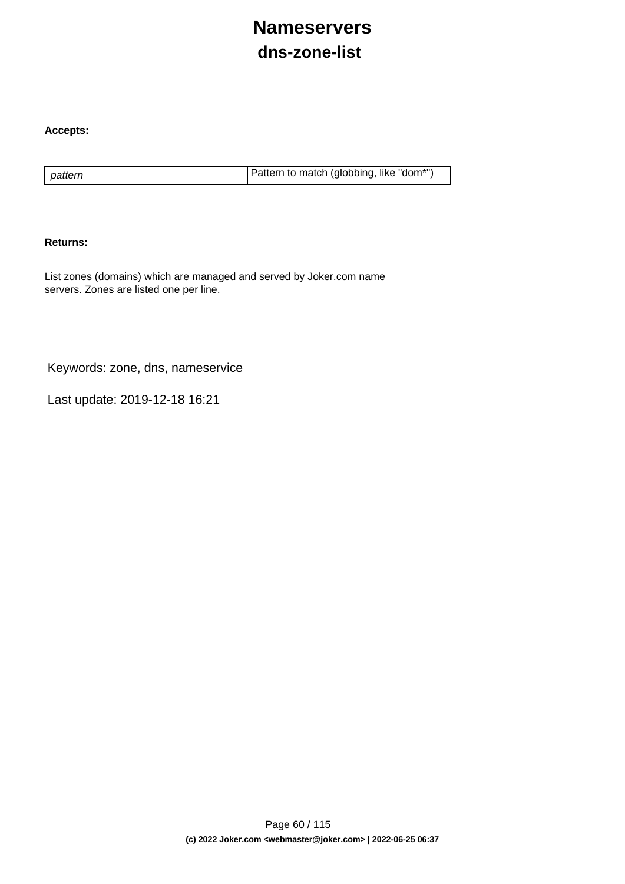# **Nameservers dns-zone-list**

#### **Accepts:**

pattern **Pattern is a pattern to match (globbing, like "dom\*")** 

#### **Returns:**

List zones (domains) which are managed and served by Joker.com name servers. Zones are listed one per line.

Keywords: zone, dns, nameservice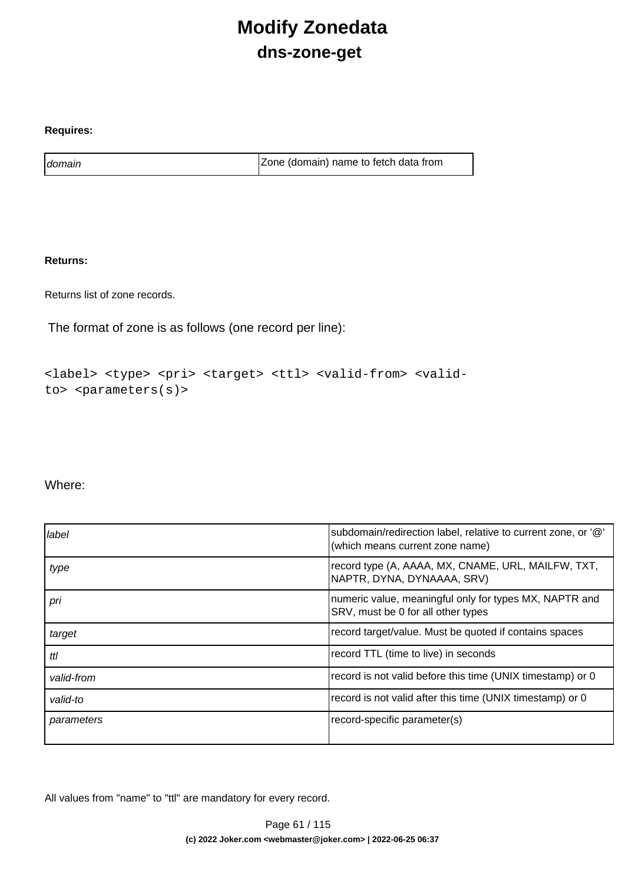# **Modify Zonedata dns-zone-get**

#### **Requires:**

domain domain and a contract a contract a late of  $\vert$  Zone (domain) name to fetch data from

### **Returns:**

Returns list of zone records.

The format of zone is as follows (one record per line):

```
<label> <type> <pri> <target> <ttl> <valid-from> <valid-
to> <parameters(s)>
```
### Where:

| label      | subdomain/redirection label, relative to current zone, or '@'<br>(which means current zone name) |
|------------|--------------------------------------------------------------------------------------------------|
| type       | record type (A, AAAA, MX, CNAME, URL, MAILFW, TXT,<br>NAPTR, DYNA, DYNAAAA, SRV)                 |
| pri        | numeric value, meaningful only for types MX, NAPTR and<br>SRV, must be 0 for all other types     |
| target     | record target/value. Must be quoted if contains spaces                                           |
| ttl        | record TTL (time to live) in seconds                                                             |
| valid-from | record is not valid before this time (UNIX timestamp) or 0                                       |
| valid-to   | record is not valid after this time (UNIX timestamp) or 0                                        |
| parameters | record-specific parameter(s)                                                                     |

All values from "name" to "ttl" are mandatory for every record.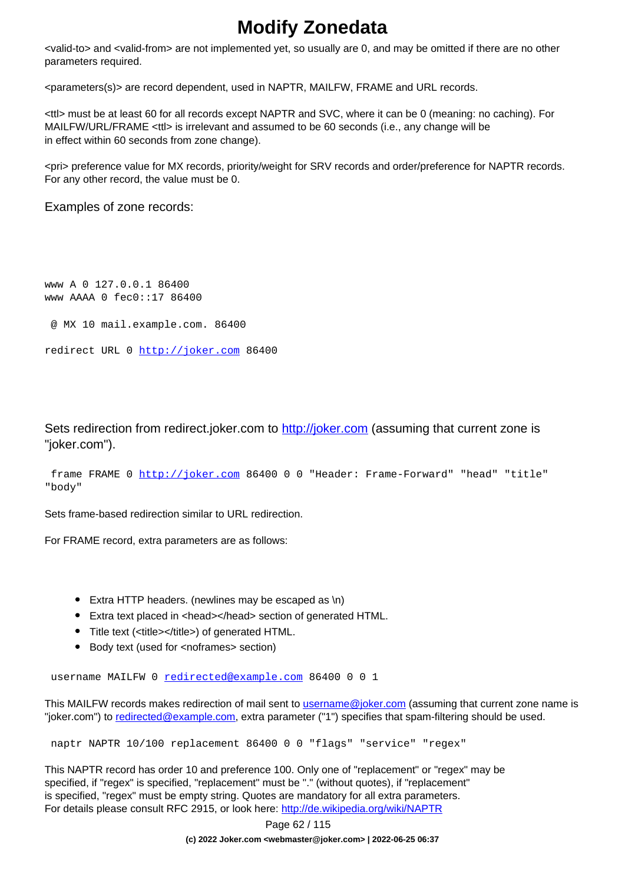# **Modify Zonedata**

<valid-to> and <valid-from> are not implemented yet, so usually are 0, and may be omitted if there are no other parameters required.

<parameters(s)> are record dependent, used in NAPTR, MAILFW, FRAME and URL records.

<ttl> must be at least 60 for all records except NAPTR and SVC, where it can be 0 (meaning: no caching). For MAILFW/URL/FRAME <ttl> is irrelevant and assumed to be 60 seconds (i.e., any change will be in effect within 60 seconds from zone change).

<pri> preference value for MX records, priority/weight for SRV records and order/preference for NAPTR records. For any other record, the value must be 0.

Examples of zone records:

www A 0 127.0.0.1 86400 www AAAA 0 fec0::17 86400

@ MX 10 mail.example.com. 86400

```
redirect URL 0 http://joker.com 86400
```
Sets redirection from redirect.joker.com to [http://joker.com](..//) (assuming that current zone is "joker.com").

```
 frame FRAME 0 http://joker.com 86400 0 0 "Header: Frame-Forward" "head" "title"
"body"
```
Sets frame-based redirection similar to URL redirection.

For FRAME record, extra parameters are as follows:

- Extra HTTP headers. (newlines may be escaped as \n)
- Extra text placed in <head></head> section of generated HTML.
- Title text (<title></title>) of generated HTML.
- Body text (used for <noframes> section)

username MAILFW 0 [redirected@example.com](mailto:redirected@example.com) 86400 0 0 1

This MAILFW records makes redirection of mail sent to [username@joker.com](mailto:username@joker.com) (assuming that current zone name is "joker.com") to [redirected@example.com](mailto:redirected@example.com), extra parameter ("1") specifies that spam-filtering should be used.

naptr NAPTR 10/100 replacement 86400 0 0 "flags" "service" "regex"

This NAPTR record has order 10 and preference 100. Only one of "replacement" or "regex" may be specified, if "regex" is specified, "replacement" must be "." (without quotes), if "replacement" is specified, "regex" must be empty string. Quotes are mandatory for all extra parameters. For details please consult RFC 2915, or look here:<http://de.wikipedia.org/wiki/NAPTR>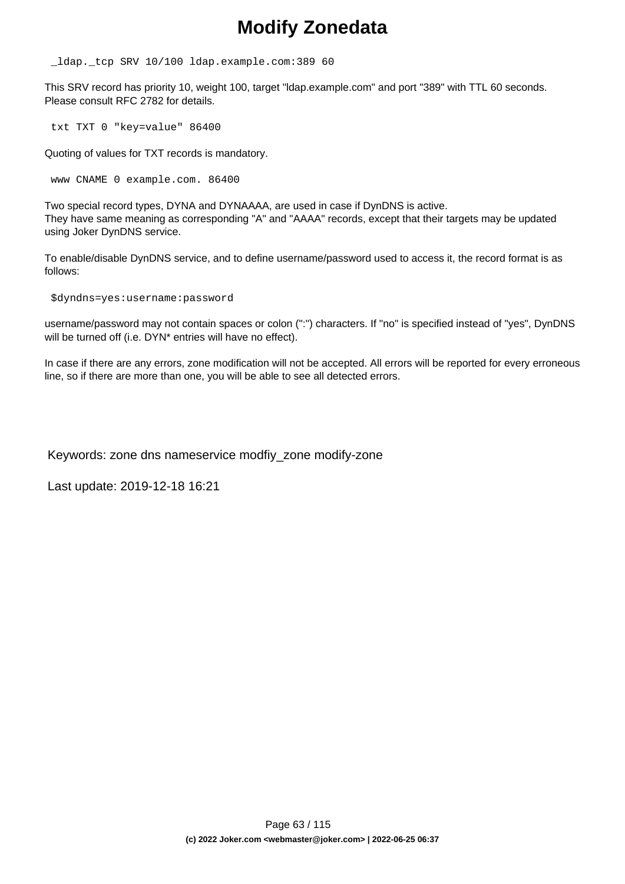### **Modify Zonedata**

\_ldap.\_tcp SRV 10/100 ldap.example.com:389 60

This SRV record has priority 10, weight 100, target "ldap.example.com" and port "389" with TTL 60 seconds. Please consult RFC 2782 for details.

txt TXT 0 "key=value" 86400

Quoting of values for TXT records is mandatory.

www CNAME 0 example.com. 86400

Two special record types, DYNA and DYNAAAA, are used in case if DynDNS is active. They have same meaning as corresponding "A" and "AAAA" records, except that their targets may be updated using Joker DynDNS service.

To enable/disable DynDNS service, and to define username/password used to access it, the record format is as follows:

\$dyndns=yes:username:password

username/password may not contain spaces or colon (":") characters. If "no" is specified instead of "yes", DynDNS will be turned off (i.e. DYN<sup>\*</sup> entries will have no effect).

In case if there are any errors, zone modification will not be accepted. All errors will be reported for every erroneous line, so if there are more than one, you will be able to see all detected errors.

Keywords: zone dns nameservice modfiy\_zone modify-zone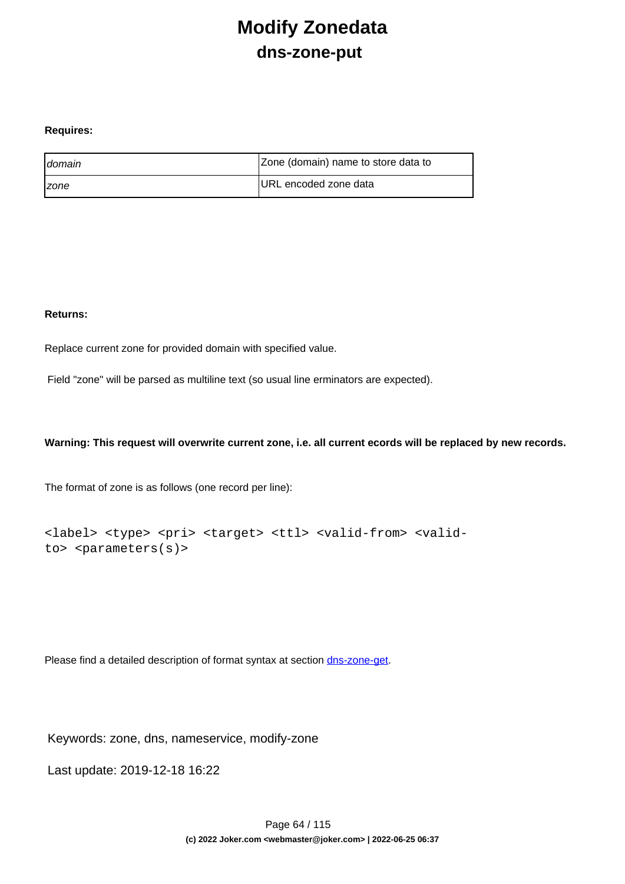# **Modify Zonedata dns-zone-put**

#### **Requires:**

| <b>I</b> domain     | Zone (domain) name to store data to |
|---------------------|-------------------------------------|
| <i><b>Izone</b></i> | URL encoded zone data               |

#### **Returns:**

Replace current zone for provided domain with specified value.

Field "zone" will be parsed as multiline text (so usual line erminators are expected).

#### **Warning: This request will overwrite current zone, i.e. all current ecords will be replaced by new records.**

The format of zone is as follows (one record per line):

```
<label> <type> <pri> <target> <ttl> <valid-from> <valid-
to> <parameters(s)>
```
Please find a detailed description of format syntax at section [dns-zone-get.](index.php?action=artikel&cat=1&id=435&artlang=en)

Keywords: zone, dns, nameservice, modify-zone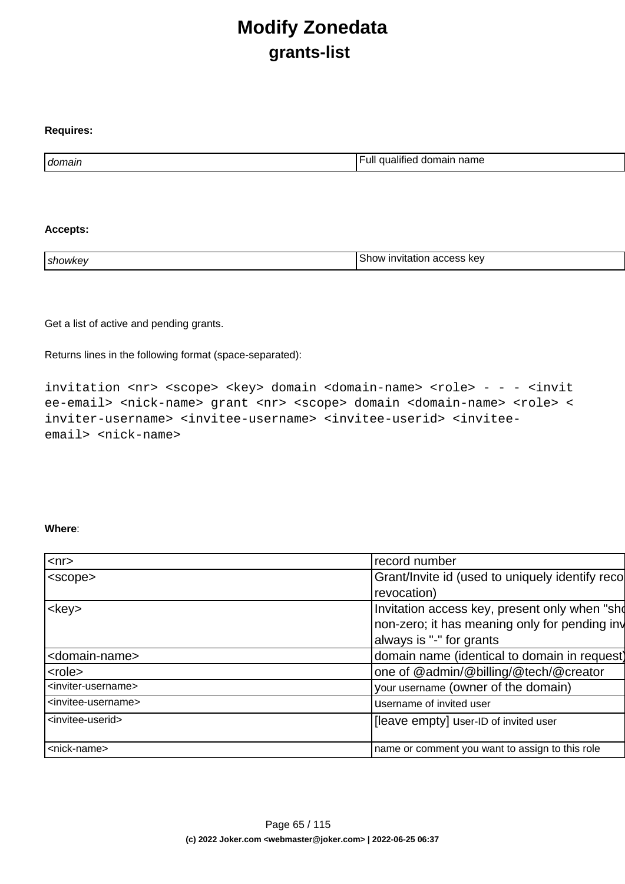# **Modify Zonedata grants-list**

| domain | .<br>·ull<br>name<br>domain<br>malitied<br>чашес. |
|--------|---------------------------------------------------|

#### **Accepts:**

**Requires:**

| ı showke <sup>.</sup> | kev<br>n.,<br>invitation<br>.<br>אנזר<br>auutss |
|-----------------------|-------------------------------------------------|
|                       |                                                 |

Get a list of active and pending grants.

Returns lines in the following format (space-separated):

invitation <nr> <scope> <key> domain <domain-name> <role> - - - <invit ee-email> <nick-name> grant <nr> <scope> domain <domain-name> <role> < inviter-username> <invitee-username> <invitee-userid> <inviteeemail> <nick-name>

#### **Where**:

| $ <$ nr $>$                           | record number                                   |
|---------------------------------------|-------------------------------------------------|
| <scope></scope>                       | Grant/Invite id (used to uniquely identify reco |
|                                       | revocation)                                     |
| <key></key>                           | Invitation access key, present only when "sho   |
|                                       | non-zero; it has meaning only for pending inv   |
|                                       | always is "-" for grants                        |
| <domain-name></domain-name>           | domain name (identical to domain in request)    |
| <role></role>                         | one of @admin/@billing/@tech/@creator           |
| <inviter-username></inviter-username> | your username (owner of the domain)             |
| <invitee-username></invitee-username> | Username of invited user                        |
| <invitee-userid></invitee-userid>     | [leave empty] user-ID of invited user           |
|                                       |                                                 |
| <nick-name></nick-name>               | name or comment you want to assign to this role |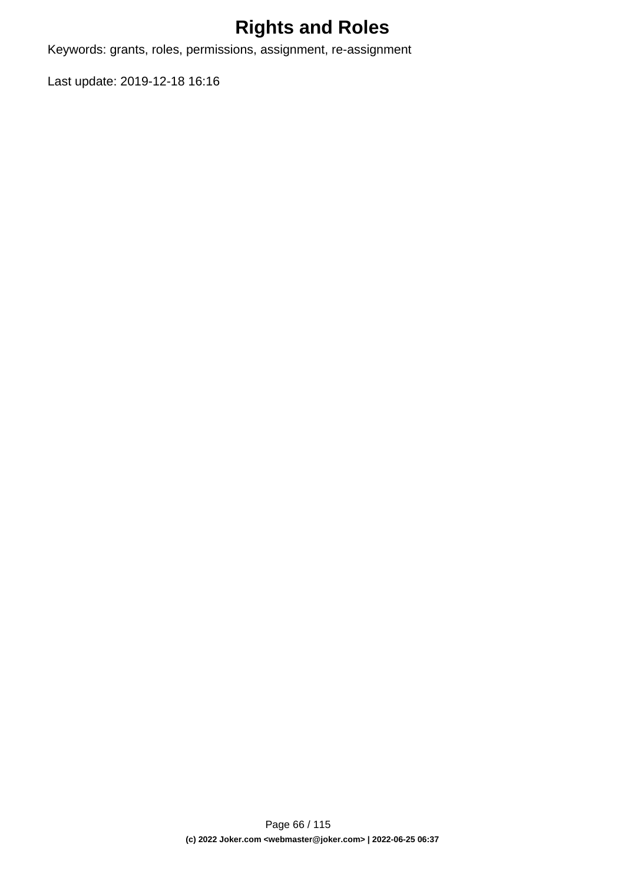# **Rights and Roles**

Keywords: grants, roles, permissions, assignment, re-assignment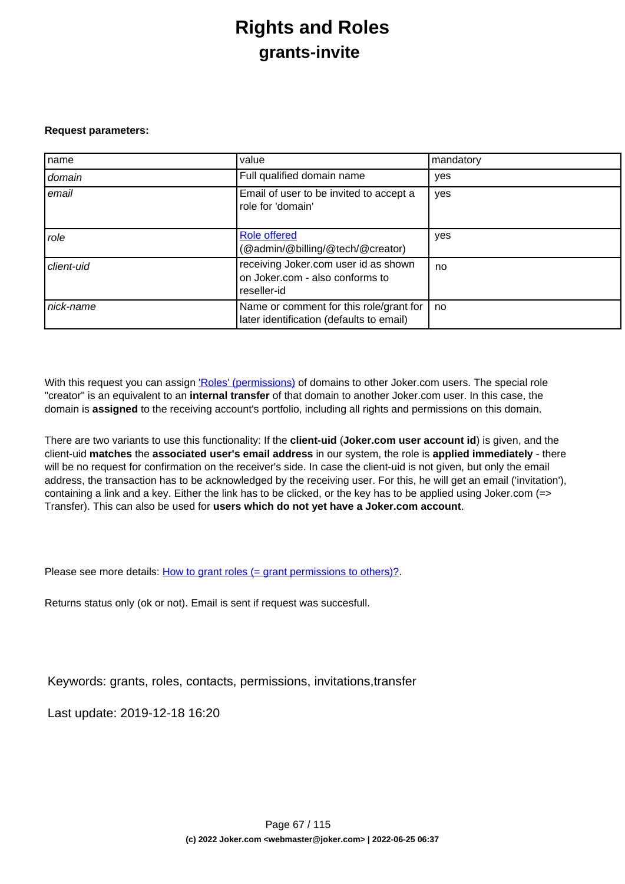### **Rights and Roles grants-invite**

#### **Request parameters:**

| name       | value                                                                                  | mandatory |
|------------|----------------------------------------------------------------------------------------|-----------|
| domain     | Full qualified domain name                                                             | yes       |
| email      | Email of user to be invited to accept a<br>role for 'domain'                           | yes       |
| role       | <b>Role offered</b><br>(@admin/@billing/@tech/@creator)                                | yes       |
| client-uid | receiving Joker.com user id as shown<br>on Joker.com - also conforms to<br>reseller-id | no        |
| nick-name  | Name or comment for this role/grant for<br>later identification (defaults to email)    | no        |

With this request you can assign ['Roles' \(permissions\)](index.php?action=artikel&cat=5&id=446&artlang=en) of domains to other Joker.com users. The special role "creator" is an equivalent to an **internal transfer** of that domain to another Joker.com user. In this case, the domain is **assigned** to the receiving account's portfolio, including all rights and permissions on this domain.

There are two variants to use this functionality: If the **client-uid** (**Joker.com user account id**) is given, and the client-uid **matches** the **associated user's email address** in our system, the role is **applied immediately** - there will be no request for confirmation on the receiver's side. In case the client-uid is not given, but only the email address, the transaction has to be acknowledged by the receiving user. For this, he will get an email ('invitation'), containing a link and a key. Either the link has to be clicked, or the key has to be applied using Joker.com (=> Transfer). This can also be used for **users which do not yet have a Joker.com account**.

Please see more details: [How to grant roles \(= grant permissions to others\)?](index.php?action=artikel&cat=5&id=446&artlang=en)

Returns status only (ok or not). Email is sent if request was succesfull.

Keywords: grants, roles, contacts, permissions, invitations,transfer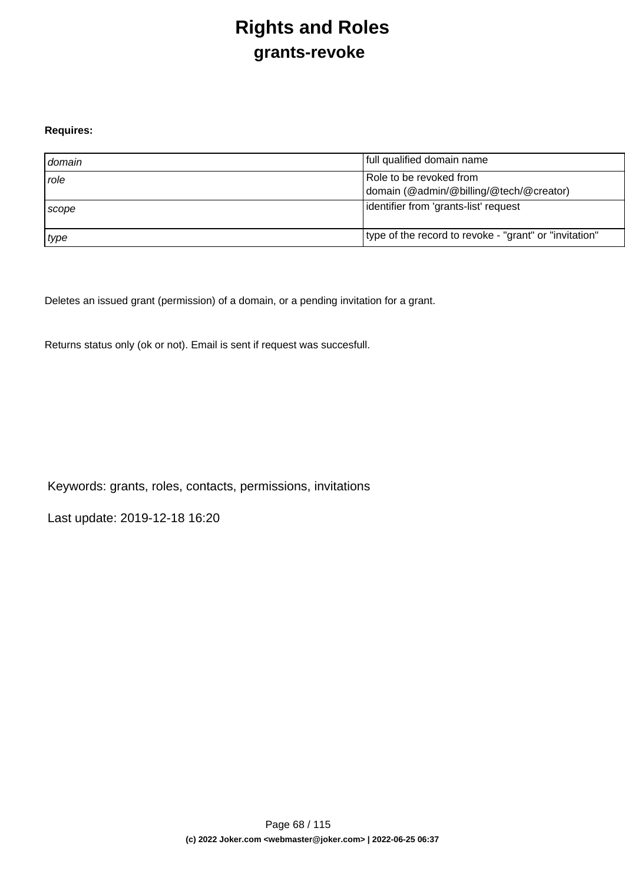# **Rights and Roles grants-revoke**

#### **Requires:**

| domain      | full qualified domain name                                         |
|-------------|--------------------------------------------------------------------|
| <i>role</i> | Role to be revoked from<br>domain (@admin/@billing/@tech/@creator) |
| Scope       | lidentifier from 'grants-list' request                             |
| type        | type of the record to revoke - "grant" or "invitation"             |

Deletes an issued grant (permission) of a domain, or a pending invitation for a grant.

Returns status only (ok or not). Email is sent if request was succesfull.

Keywords: grants, roles, contacts, permissions, invitations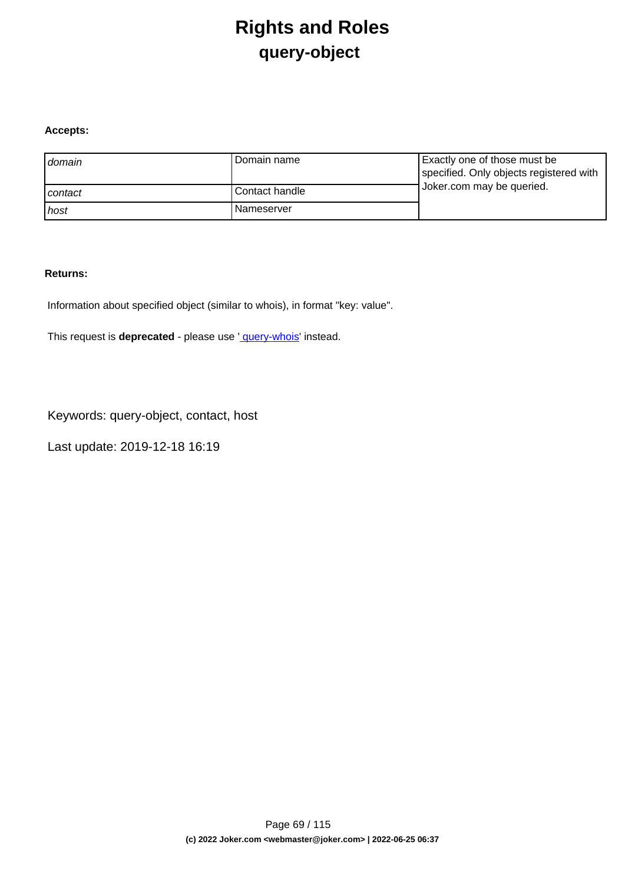# **Rights and Roles query-object**

#### **Accepts:**

| domain  | Domain name    | Exactly one of those must be<br>specified. Only objects registered with |
|---------|----------------|-------------------------------------------------------------------------|
| contact | Contact handle | Joker.com may be queried.                                               |
| host    | l Nameserver   |                                                                         |

#### **Returns:**

Information about specified object (similar to whois), in format "key: value".

This request is **deprecated** - please use ' [query-whois](index.php?action=artikel&cat=79&id=455&artlang=en)' instead.

Keywords: query-object, contact, host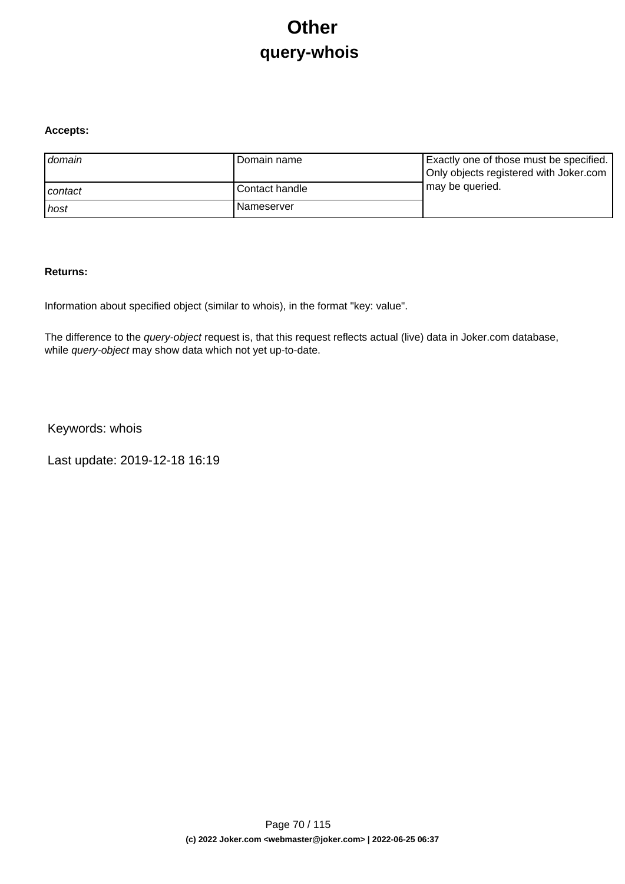# **Other query-whois**

#### **Accepts:**

| domain  | Domain name       | Exactly one of those must be specified.<br>Only objects registered with Joker.com |
|---------|-------------------|-----------------------------------------------------------------------------------|
| contact | l Contact handle  | may be queried.                                                                   |
| ı host  | <b>Nameserver</b> |                                                                                   |

#### **Returns:**

Information about specified object (similar to whois), in the format "key: value".

The difference to the *query-object* request is, that this request reflects actual (live) data in Joker.com database, while query-object may show data which not yet up-to-date.

Keywords: whois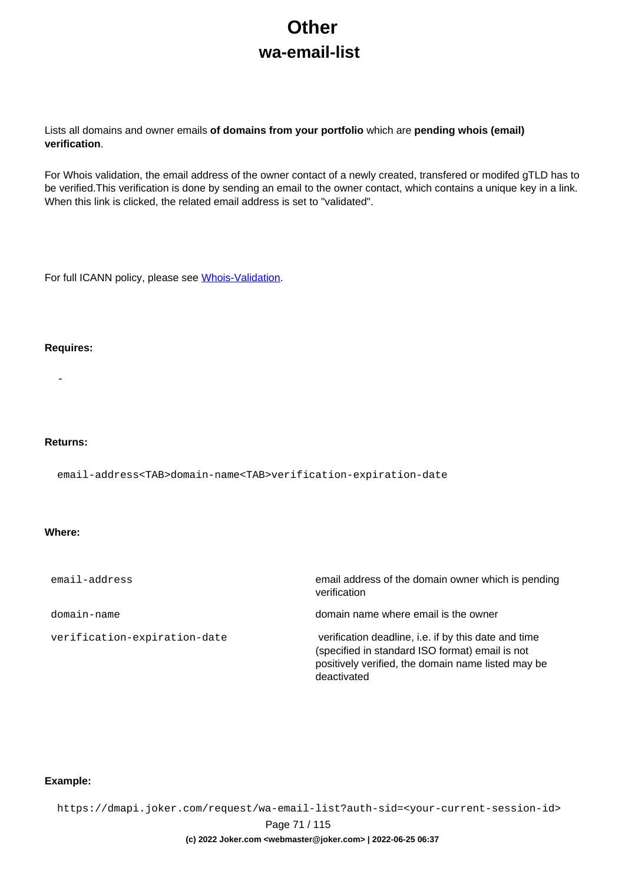# **Other wa-email-list**

Lists all domains and owner emails **of domains from your portfolio** which are **pending whois (email) verification**.

For Whois validation, the email address of the owner contact of a newly created, transfered or modifed gTLD has to be verified.This verification is done by sending an email to the owner contact, which contains a unique key in a link. When this link is clicked, the related email address is set to "validated".

For full ICANN policy, please see [Whois-Validation](https://joker.com/goto/icann_ra_whois).

#### **Requires:**

-

#### **Returns:**

email-address<TAB>domain-name<TAB>verification-expiration-date

#### **Where:**

| email-address                | email address of the domain owner which is pending<br>verification                                                                                                           |
|------------------------------|------------------------------------------------------------------------------------------------------------------------------------------------------------------------------|
| domain-name                  | domain name where email is the owner                                                                                                                                         |
| verification-expiration-date | verification deadline, i.e. if by this date and time<br>(specified in standard ISO format) email is not<br>positively verified, the domain name listed may be<br>deactivated |

#### **Example:**

https://dmapi.joker.com/request/wa-email-list?auth-sid=<your-current-session-id>

Page 71 / 115

#### **(c) 2022 Joker.com <webmaster@joker.com> | 2022-06-25 06:37**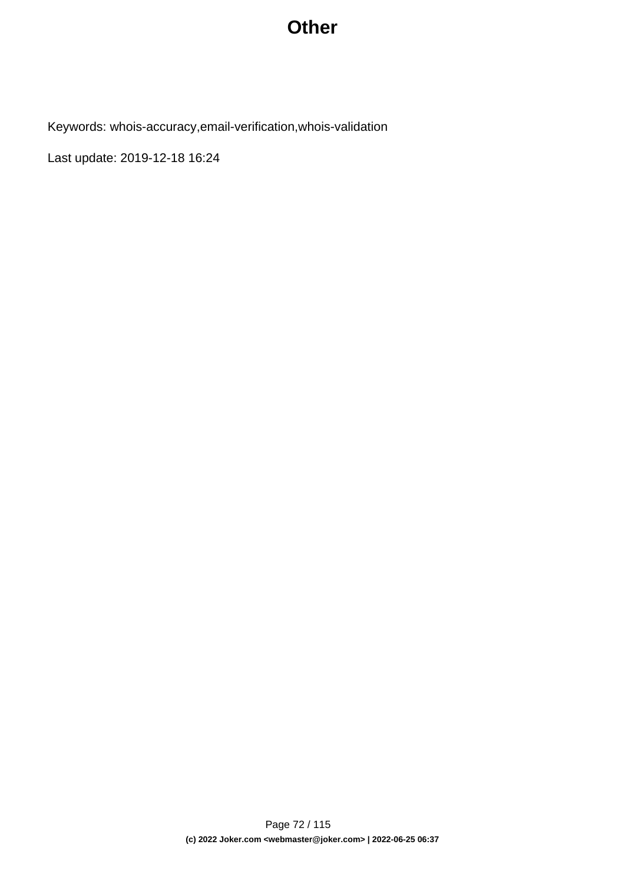### **Other**

Keywords: whois-accuracy,email-verification,whois-validation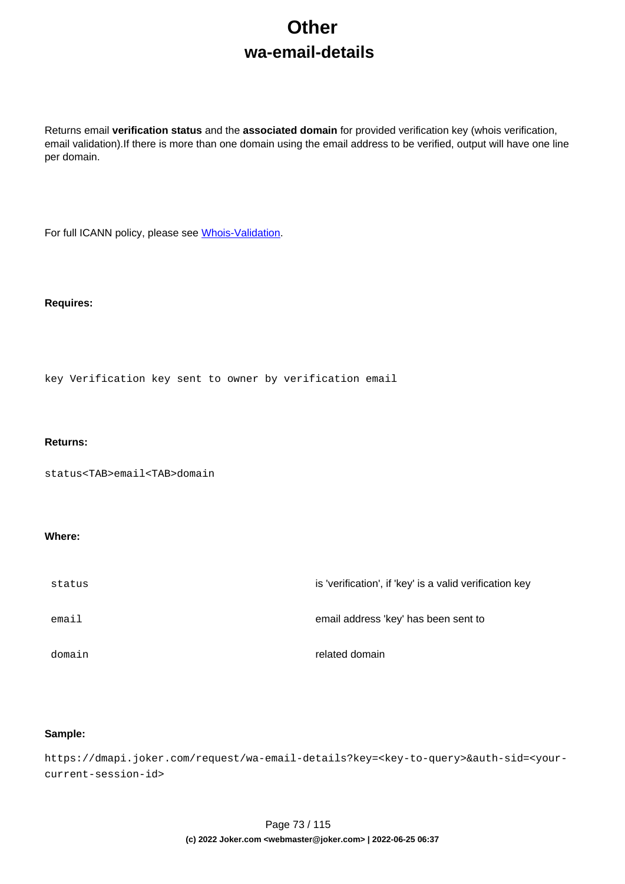# **Other wa-email-details**

Returns email **verification status** and the **associated domain** for provided verification key (whois verification, email validation).If there is more than one domain using the email address to be verified, output will have one line per domain.

For full ICANN policy, please see [Whois-Validation](https://joker.com/goto/icann_ra_whois).

#### **Requires:**

key Verification key sent to owner by verification email

### **Returns:**

status<TAB>email<TAB>domain

### **Where:**

| status | is 'verification', if 'key' is a valid verification key |
|--------|---------------------------------------------------------|
| email  | email address 'key' has been sent to                    |
| domain | related domain                                          |

### **Sample:**

https://dmapi.joker.com/request/wa-email-details?key=<key-to-query>&auth-sid=<yourcurrent-session-id>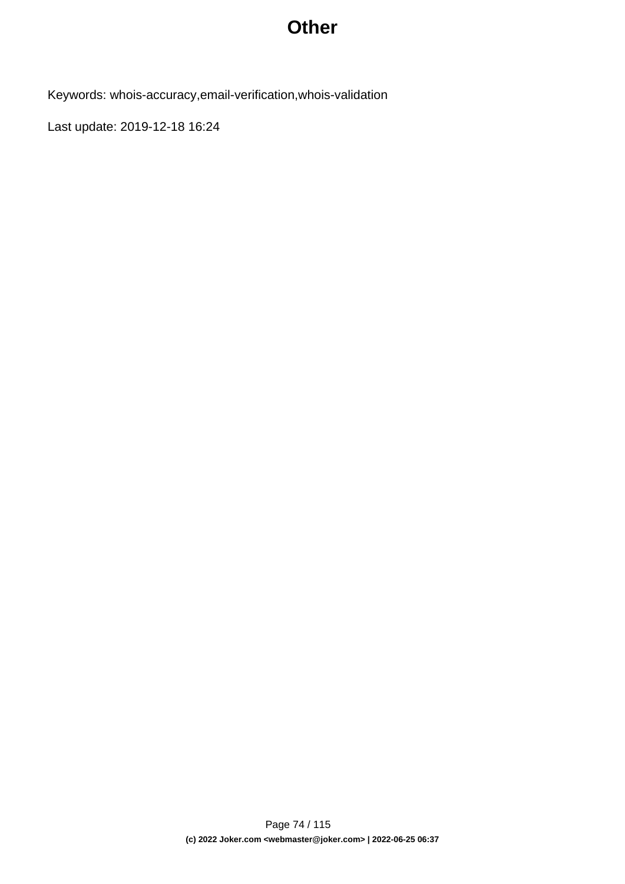## **Other**

Keywords: whois-accuracy,email-verification,whois-validation

Last update: 2019-12-18 16:24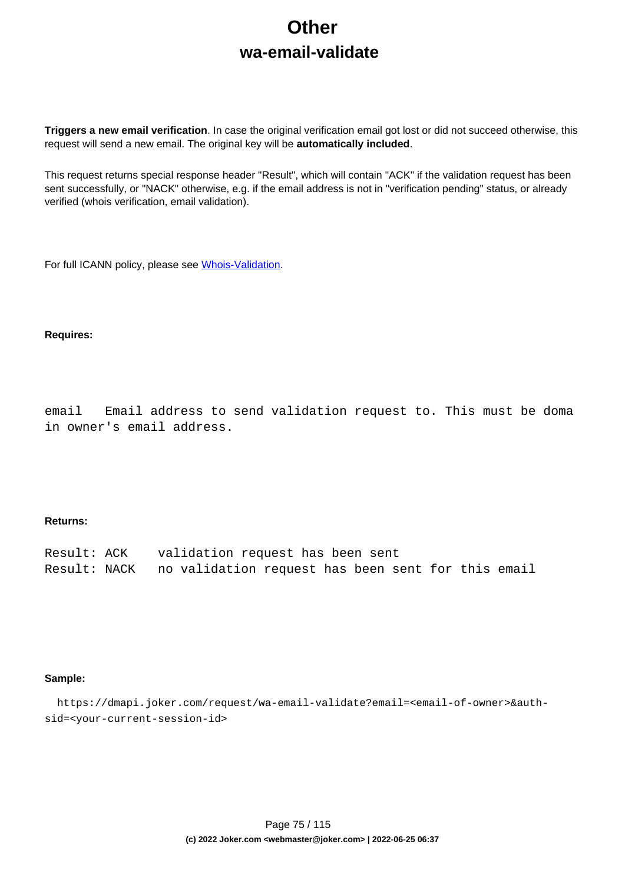# **Other wa-email-validate**

**Triggers a new email verification**. In case the original verification email got lost or did not succeed otherwise, this request will send a new email. The original key will be **automatically included**.

This request returns special response header "Result", which will contain "ACK" if the validation request has been sent successfully, or "NACK" otherwise, e.g. if the email address is not in "verification pending" status, or already verified (whois verification, email validation).

For full ICANN policy, please see [Whois-Validation](https://joker.com/goto/icann_ra_whois).

### **Requires:**

email Email address to send validation request to. This must be doma in owner's email address.

#### **Returns:**

| Result: ACK | validation request has been sent                                |
|-------------|-----------------------------------------------------------------|
|             | Result: NACK no validation request has been sent for this email |

#### **Sample:**

 https://dmapi.joker.com/request/wa-email-validate?email=<email-of-owner>&authsid=<your-current-session-id>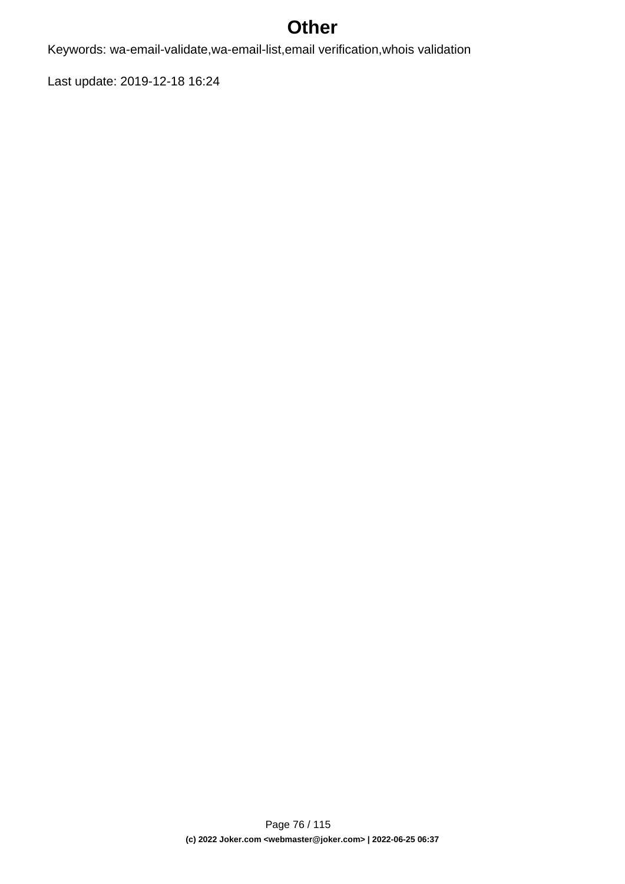# **Other**

Keywords: wa-email-validate,wa-email-list,email verification,whois validation

Last update: 2019-12-18 16:24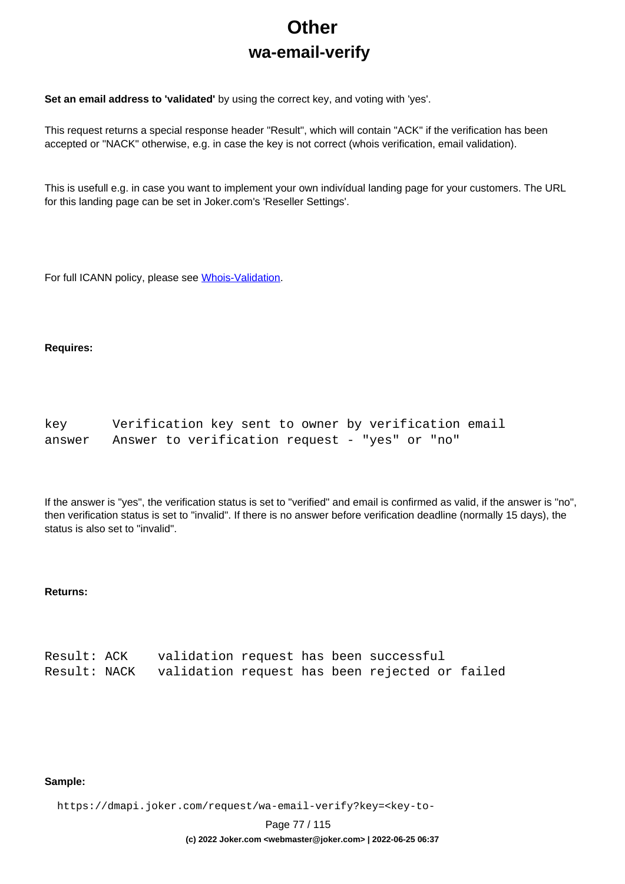# **Other wa-email-verify**

**Set an email address to 'validated'** by using the correct key, and voting with 'yes'.

This request returns a special response header "Result", which will contain "ACK" if the verification has been accepted or "NACK" otherwise, e.g. in case the key is not correct (whois verification, email validation).

This is usefull e.g. in case you want to implement your own indivídual landing page for your customers. The URL for this landing page can be set in Joker.com's 'Reseller Settings'.

For full ICANN policy, please see [Whois-Validation](https://joker.com/goto/icann_ra_whois).

#### **Requires:**

| key.   | Verification key sent to owner by verification email |  |  |  |  |  |
|--------|------------------------------------------------------|--|--|--|--|--|
| answer | Answer to verification request - "yes" or "no"       |  |  |  |  |  |

If the answer is "yes", the verification status is set to "verified" and email is confirmed as valid, if the answer is "no", then verification status is set to "invalid". If there is no answer before verification deadline (normally 15 days), the status is also set to "invalid".

### **Returns:**

| Result: ACK | validation request has been successful                      |  |  |  |
|-------------|-------------------------------------------------------------|--|--|--|
|             | Result: NACK validation request has been rejected or failed |  |  |  |

### **Sample:**

https://dmapi.joker.com/request/wa-email-verify?key=<key-to-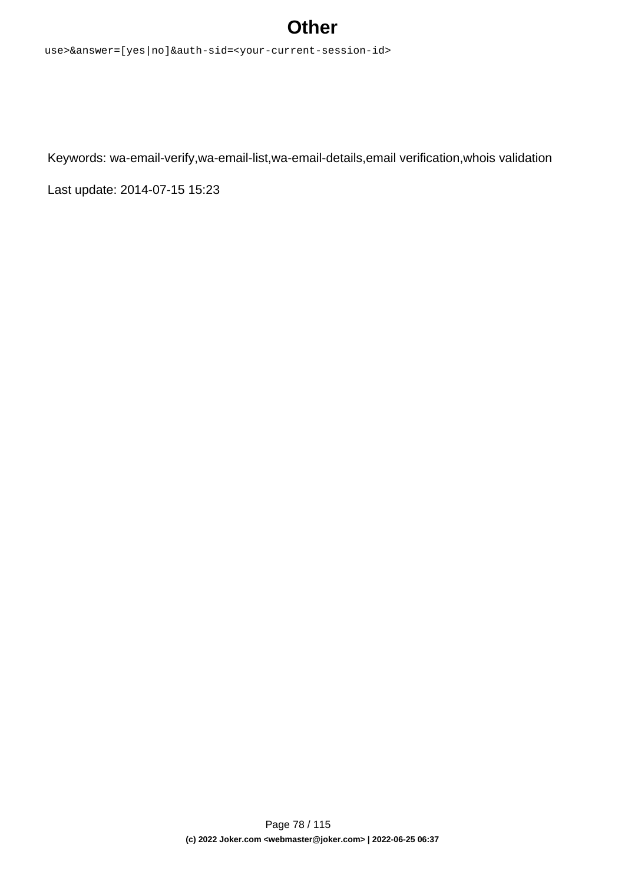## **Other**

use>&answer=[yes|no]&auth-sid=<your-current-session-id>

Keywords: wa-email-verify,wa-email-list,wa-email-details,email verification,whois validation

Last update: 2014-07-15 15:23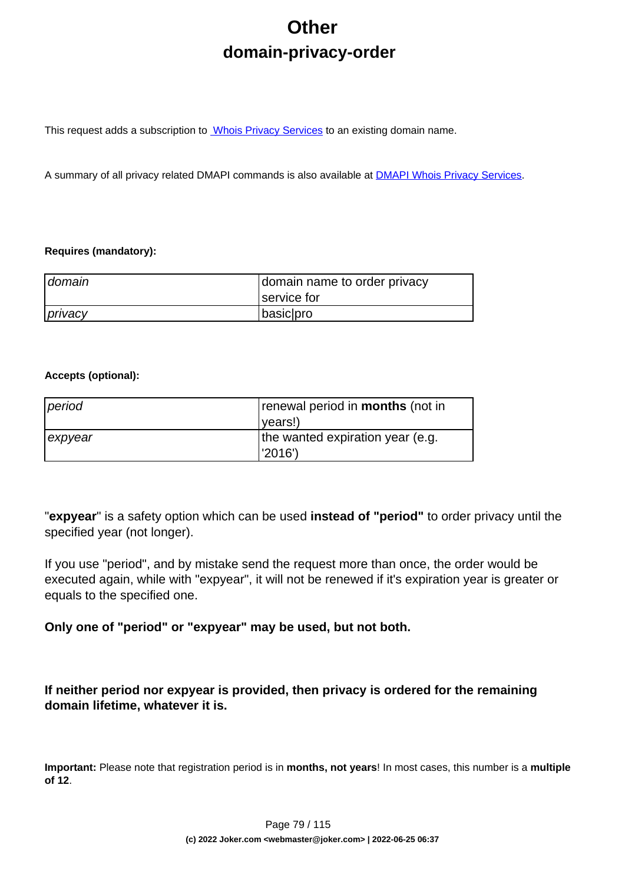# **Other domain-privacy-order**

This request adds a subscription to **Whois Privacy Services** to an existing domain name.

A summary of all privacy related DMAPI commands is also available at [DMAPI Whois Privacy Services](index.php?action=artikel&cat=22&id=477&artlang=en).

### **Requires (mandatory):**

| domain  | domain name to order privacy |
|---------|------------------------------|
|         | service for                  |
| privacy | basic pro                    |

### **Accepts (optional):**

| period  | renewal period in <b>months</b> (not in |
|---------|-----------------------------------------|
|         | ( <i>vears!</i>                         |
| expyear | the wanted expiration year (e.g.        |
|         | l'2016')                                |

"**expyear**" is a safety option which can be used **instead of "period"** to order privacy until the specified year (not longer).

If you use "period", and by mistake send the request more than once, the order would be executed again, while with "expyear", it will not be renewed if it's expiration year is greater or equals to the specified one.

**Only one of "period" or "expyear" may be used, but not both.**

**If neither period nor expyear is provided, then privacy is ordered for the remaining domain lifetime, whatever it is.**

**Important:** Please note that registration period is in **months, not years**! In most cases, this number is a **multiple of 12**.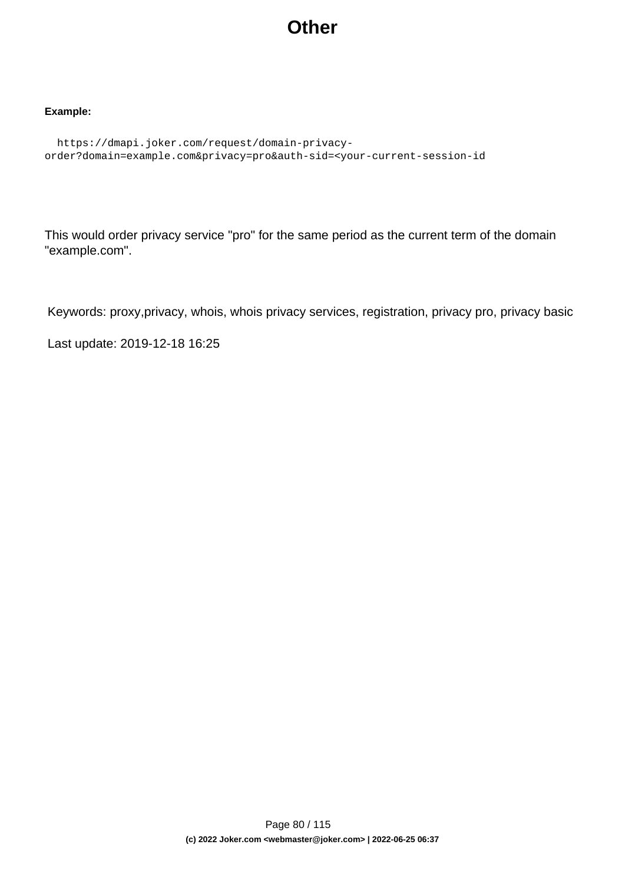## **Other**

### **Example:**

```
 https://dmapi.joker.com/request/domain-privacy-
order?domain=example.com&privacy=pro&auth-sid=<your-current-session-id
```
This would order privacy service "pro" for the same period as the current term of the domain "example.com".

Keywords: proxy,privacy, whois, whois privacy services, registration, privacy pro, privacy basic

Last update: 2019-12-18 16:25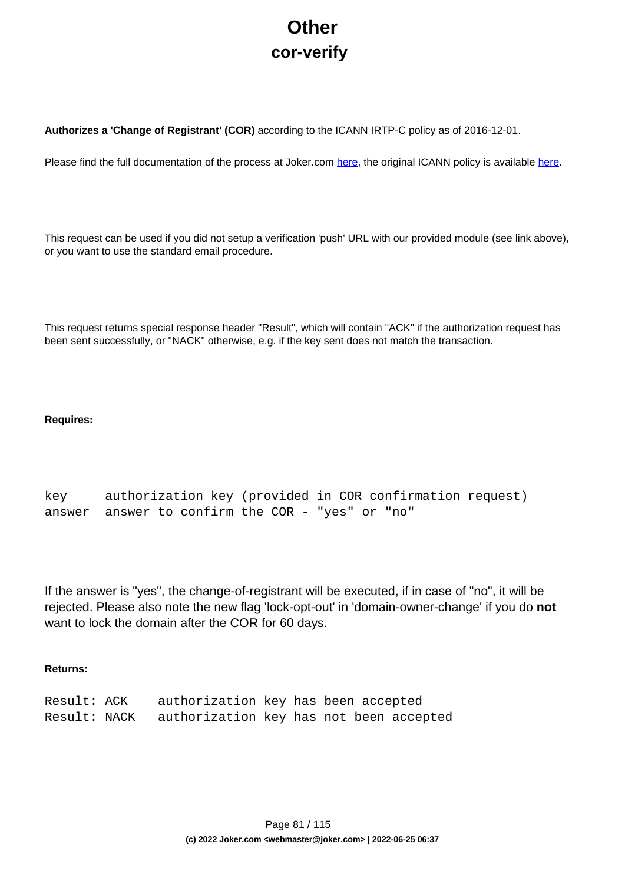# **Other cor-verify**

**Authorizes a 'Change of Registrant' (COR)** according to the ICANN IRTP-C policy as of 2016-12-01.

Please find the full documentation of the process at Joker.com [here,](https://joker.com/goto/resdocs) the original ICANN policy is available [here.](https://joker.com/goto/icann_irtp)

This request can be used if you did not setup a verification 'push' URL with our provided module (see link above), or you want to use the standard email procedure.

This request returns special response header "Result", which will contain "ACK" if the authorization request has been sent successfully, or "NACK" otherwise, e.g. if the key sent does not match the transaction.

### **Requires:**

```
key authorization key (provided in COR confirmation request)
answer answer to confirm the COR - "yes" or "no"
```
If the answer is "yes", the change-of-registrant will be executed, if in case of "no", it will be rejected. Please also note the new flag 'lock-opt-out' in 'domain-owner-change' if you do **not** want to lock the domain after the COR for 60 days.

### **Returns:**

| Result: ACK  | authorization key has been accepted     |  |  |  |
|--------------|-----------------------------------------|--|--|--|
| Result: NACK | authorization key has not been accepted |  |  |  |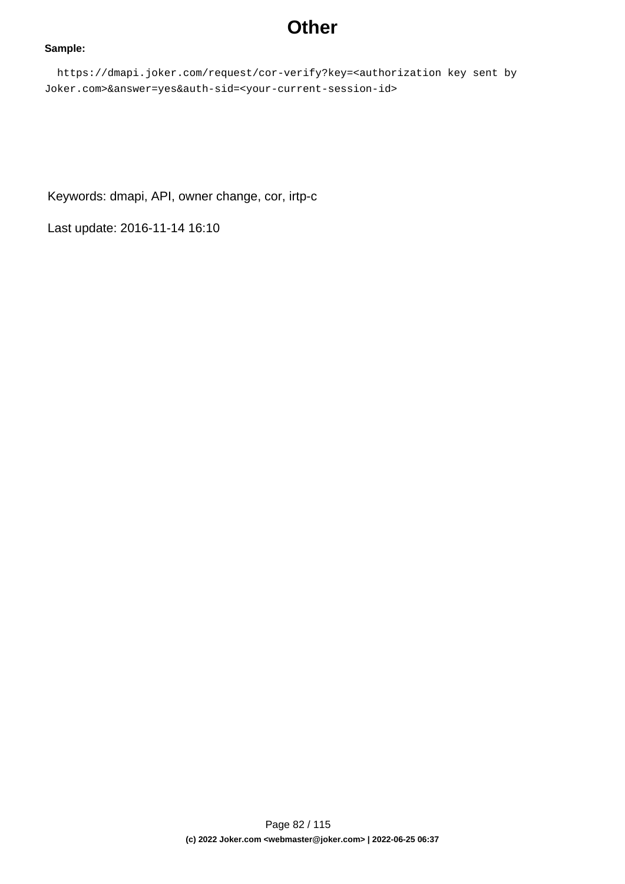## **Other**

### **Sample:**

 https://dmapi.joker.com/request/cor-verify?key=<authorization key sent by Joker.com>&answer=yes&auth-sid=<your-current-session-id>

Keywords: dmapi, API, owner change, cor, irtp-c

Last update: 2016-11-14 16:10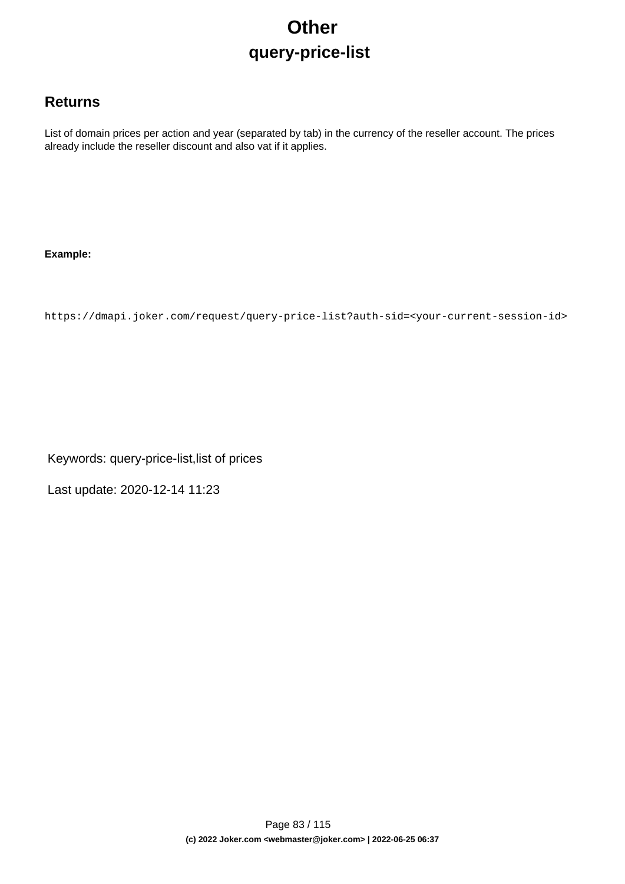# **Other query-price-list**

### **Returns**

List of domain prices per action and year (separated by tab) in the currency of the reseller account. The prices already include the reseller discount and also vat if it applies.

### **Example:**

https://dmapi.joker.com/request/query-price-list?auth-sid=<your-current-session-id>

Keywords: query-price-list,list of prices

Last update: 2020-12-14 11:23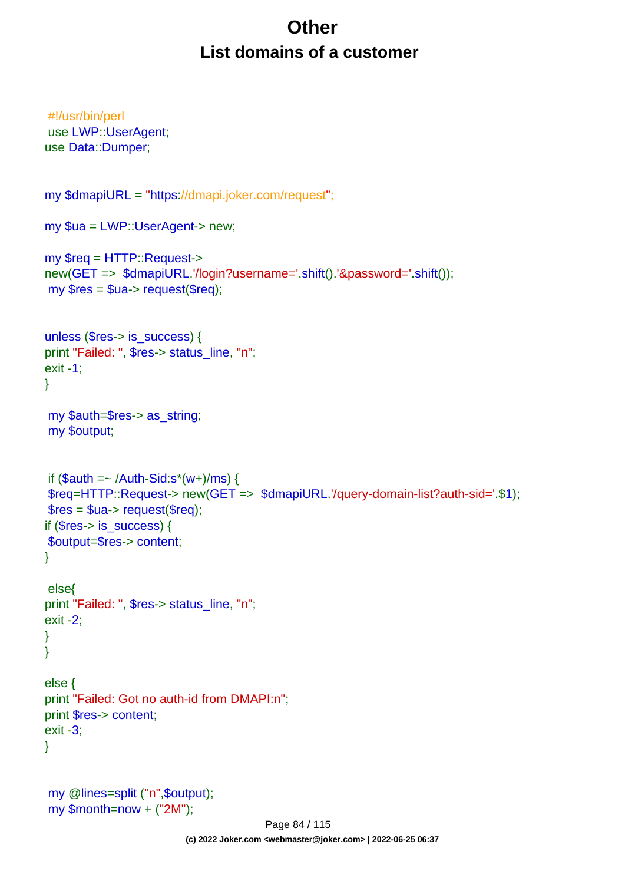# **Other List domains of a customer**

```
#!/usr/bin/perl
use LWP::UserAgent;
use Data::Dumper;
my $dmapiURL = "https://dmapi.joker.com/request";
my $ua = LWP::UserAgent-> new;
my $req = HTTP::Request->
new(GET => $dmapiURL.'/login?username='.shift().'&password='.shift());
my $res = $ua-> request($req);
unless ($res-> is_success) {
print "Failed: ", $res-> status_line, "n";
exit -1;
}
my $auth=$res-> as_string;
my $output;
if (Sauth = \sim /Author-Sid:s^*(w+)/ms) {
$req=HTTP::Request-> new(GET => $dmapiURL.'/query-domain-list?auth-sid='.$1);
$res = $ua->request($req);if ($res-> is {}success) {
$output=$res-> content;
}
 else{
print "Failed: ", $res-> status_line, "n";
exit -2;
}
}
else {
print "Failed: Got no auth-id from DMAPI:n";
print $res-> content;
exit -3;
}
my @lines=split ("n",$output);
my $month=now + ("2M");
```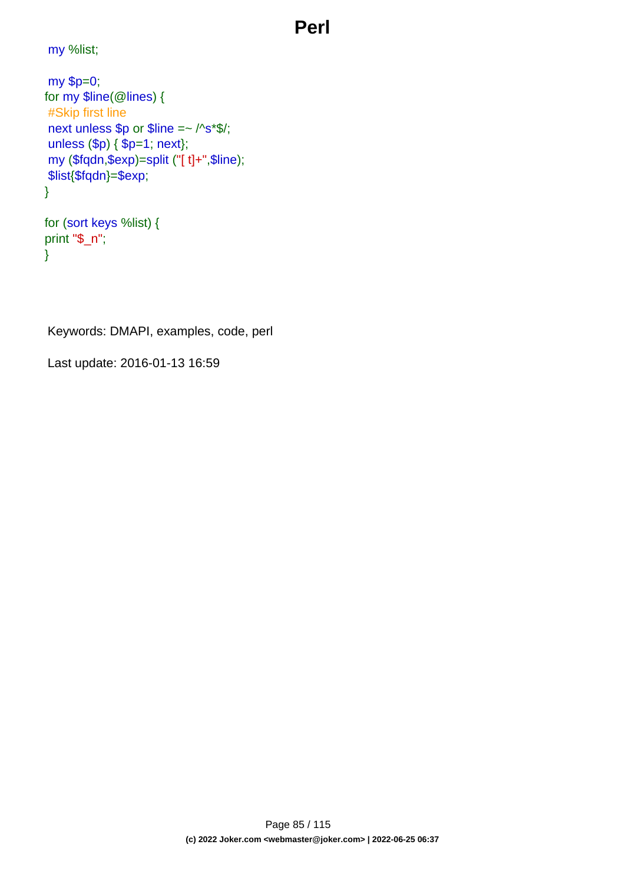# **Perl**

my %list;

```
my $p=0;
for my $line(@lines) {
#Skip first line
next unless $p or $line =~ /^s*$/;
unless ($p) { $p=1; next};
my ($fqdn,$exp)=split ("[ t]+",$line);
$list{$fqdn}=$exp;
}
```

```
for (sort keys %list) {
print "$_n";
}
```
Keywords: DMAPI, examples, code, perl

Last update: 2016-01-13 16:59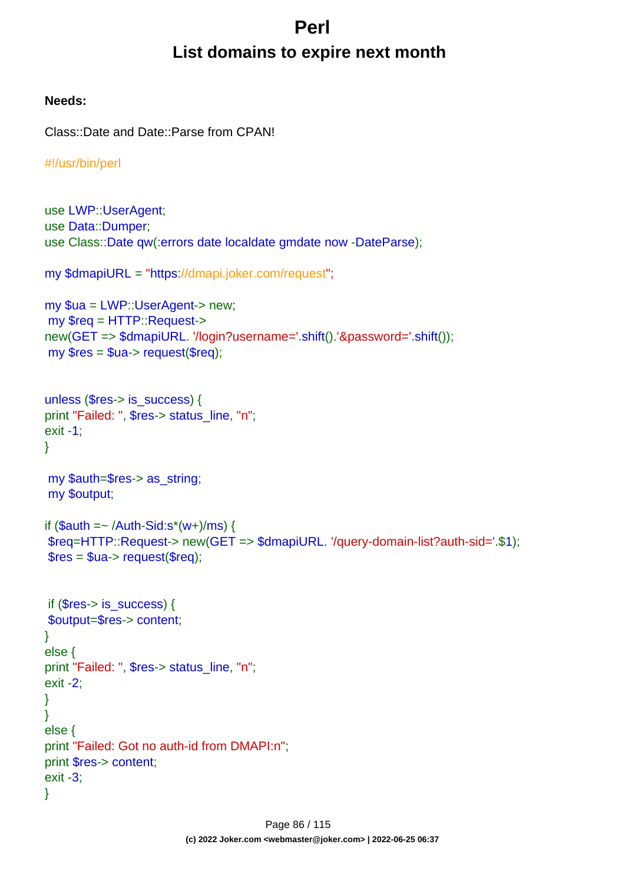# **Perl List domains to expire next month**

### **Needs:**

```
Class::Date and Date::Parse from CPAN!
```

```
#!/usr/bin/perl
```

```
use LWP::UserAgent;
use Data::Dumper;
use Class::Date qw(:errors date localdate gmdate now -DateParse);
my $dmapiURL = "https://dmapi.joker.com/request";
my $ua = LWP::UserAgent-> new;
my $req = HTTP::Request->
new(GET => $dmapiURL. '/login?username='.shift().'&password='.shift());
my Sres = Sua - z request(Sreq);
unless ($res-> is_success) {
print "Failed: ", $res-> status_line, "n";
exit -1;
}
my $auth=$res-> as_string;
my $output;
if $auth = \sim /Auth-Sid:s^*(w+)/ms) {
$req=HTTP::Request-> new(GET => $dmapiURL. '/query-domain-list?auth-sid='.$1);
$res = $ua->request($rea): if ($res-> is_success) {
$output=$res-> content;
}
else {
print "Failed: ", $res-> status_line, "n";
exit -2;
}
}
else {
print "Failed: Got no auth-id from DMAPI:n";
print $res-> content;
exit -3;
}
```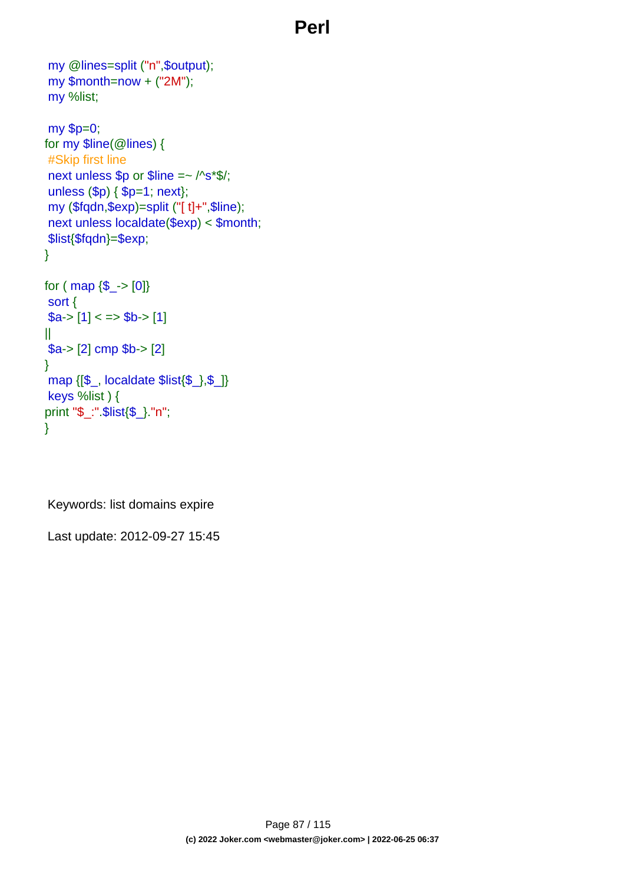## **Perl**

```
my @lines=split ("n",$output);
my $month=now + ("2M");
my %list;
my $p=0;
for my $line(@lines) {
#Skip first line
next unless $p or $line =~ /^s*$/;
unless ($p) { $p=1; next};
my ($fqdn,$exp)=split ("[ t]+",$line);
next unless localdate($exp) < $month;
$list{$fqdn}=$exp;
}
for ( map \{\$ -> [0]}
sort {
a > [1] < \Rightarrow b > [1]||
$a-> [2] cmp $b-> [2]
}
map {[$_, localdate $list{$_},$_]}
keys %list ) {
print "$_:".$list{$_}."n";
}
```
Keywords: list domains expire

Last update: 2012-09-27 15:45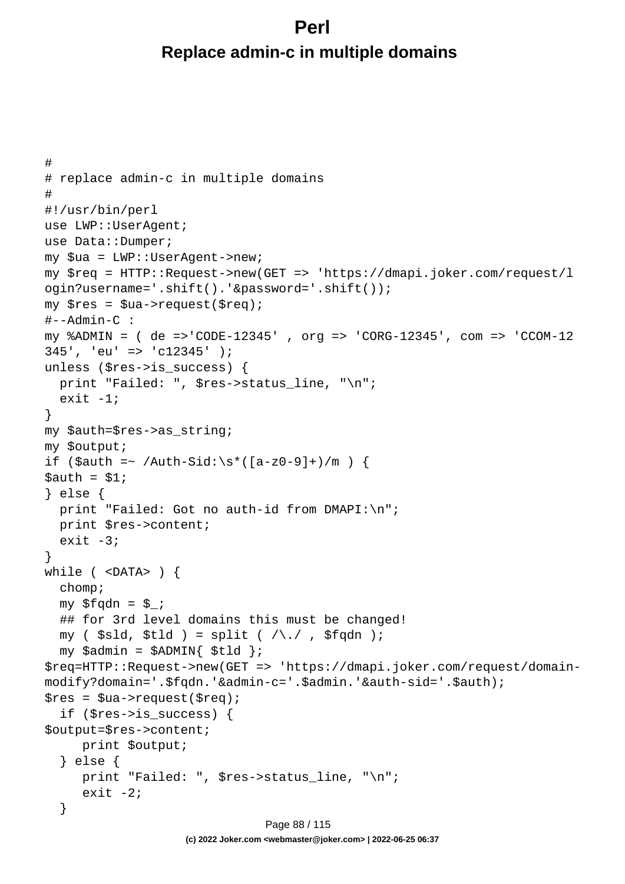## **Perl Replace admin-c in multiple domains**

```
#
# replace admin-c in multiple domains
#
#!/usr/bin/perl
use LWP::UserAgent;
use Data::Dumper;
my $ua = LWP::UserAgent->new;
my $req = HTTP::Request->new(GET => 'https://dmapi.joker.com/request/l
ogin?username='.shift().'&password='.shift());
my $res = $ua->request($req);
#--Admin-C :
my %ADMIN = ( de =>'CODE-12345' , org => 'CORG-12345', com => 'CCOM-12
345', 'eu' => 'c12345' );
unless ($res->is_success) {
  print "Failed: ", $res->status_line, "\n";
  exit -1;
}
my $auth=$res->as_string;
my $output;
if ($auth =~ /Auth-Sid:\s*([a-z0-9]+)/m) {
Sauth = S1;} else {
 print "Failed: Got no auth-id from DMAPI:\n";
   print $res->content;
  exit -3;
}
while ( <DATA> ) {
   chomp;
  my $fqdn = $;
   ## for 3rd level domains this must be changed!
  my ( $sld, $tld ) = split ( /\backslash . / , $fqdn );
  my $admin = $ADMIN{ $tld };
$req=HTTP::Request->new(GET => 'https://dmapi.joker.com/request/domain-
modify?domain='.$fqdn.'&admin-c='.$admin.'&auth-sid='.$auth);
$res = $ua->request ($req); if ($res->is_success) {
$output=$res->content;
      print $output;
   } else {
      print "Failed: ", $res->status_line, "\n";
     exit -2i }
                              Page 88 / 115
```
**(c) 2022 Joker.com <webmaster@joker.com> | 2022-06-25 06:37**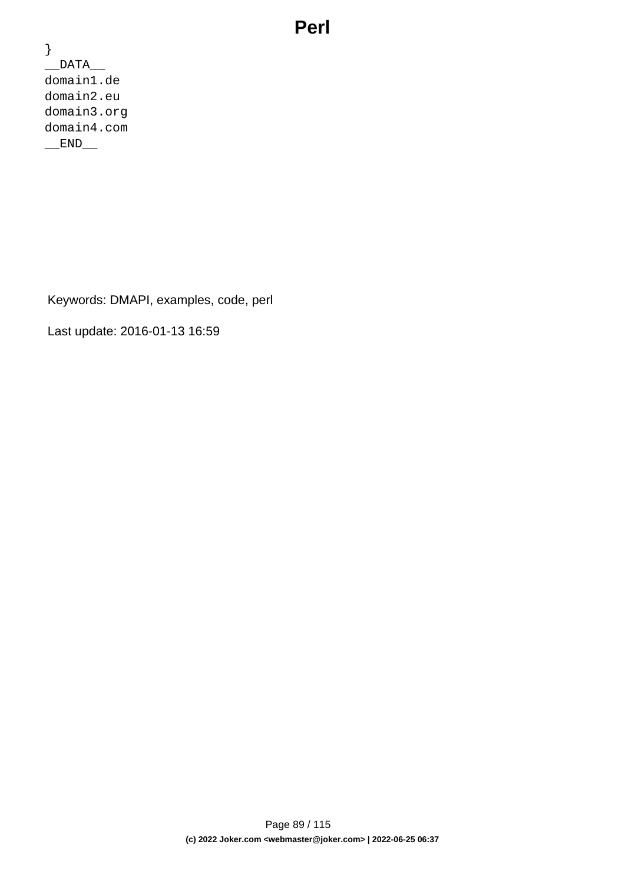## **Perl**

} \_\_DATA\_\_ domain1.de domain2.eu domain3.org domain4.com END

Keywords: DMAPI, examples, code, perl

Last update: 2016-01-13 16:59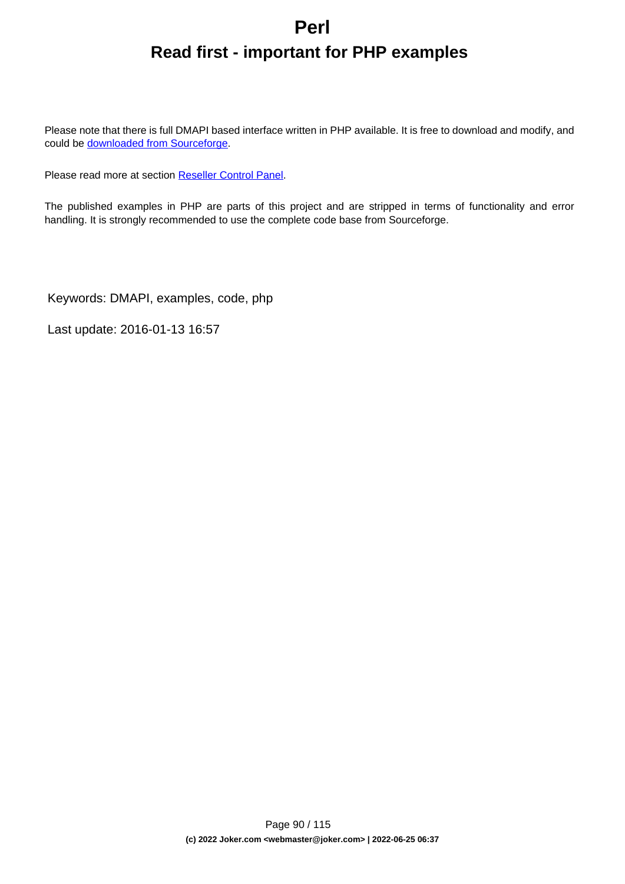# **Perl Read first - important for PHP examples**

Please note that there is full DMAPI based interface written in PHP available. It is free to download and modify, and could be **downloaded** from Sourceforge.

Please read more at section [Reseller Control Panel.](index.php?action=artikel&cat=32&id=44&artlang=en)

The published examples in PHP are parts of this project and are stripped in terms of functionality and error handling. It is strongly recommended to use the complete code base from Sourceforge.

Keywords: DMAPI, examples, code, php

Last update: 2016-01-13 16:57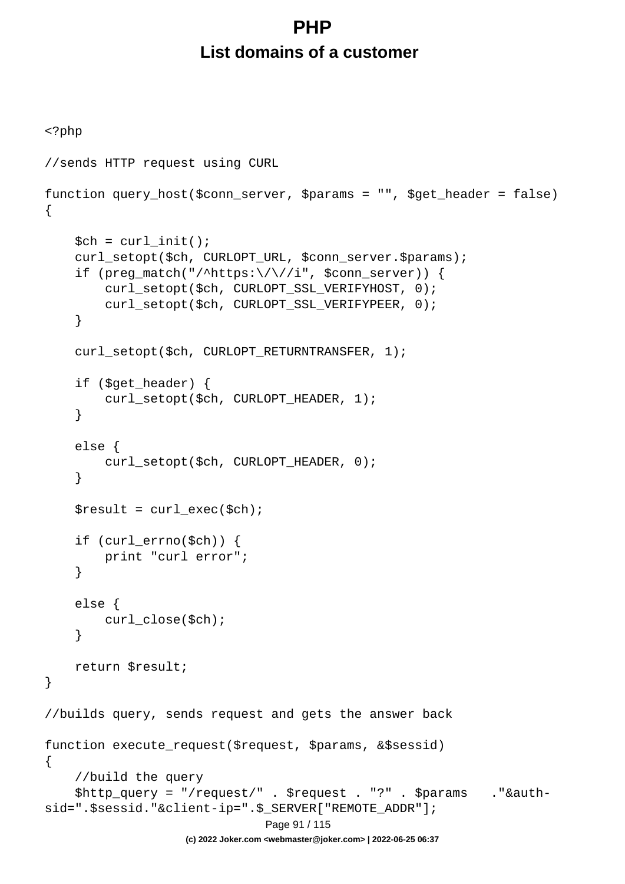# **PHP List domains of a customer**

```
<?php
//sends HTTP request using CURL
function query_host($conn_server, $params = "", $get_header = false)
{
    $ch = curl_init();
     curl_setopt($ch, CURLOPT_URL, $conn_server.$params);
    if (preg_match("/^https:\/\//i", $conn_server)) {
         curl_setopt($ch, CURLOPT_SSL_VERIFYHOST, 0);
         curl_setopt($ch, CURLOPT_SSL_VERIFYPEER, 0);
     }
    curl_setopt($ch, CURLOPT_RETURNTRANSFER, 1);
     if ($get_header) {
        curl_setopt($ch, CURLOPT_HEADER, 1);
     }
     else {
         curl_setopt($ch, CURLOPT_HEADER, 0);
     }
    $result = curl\_exec({\text{5ch}}); if (curl_errno($ch)) {
         print "curl error";
     }
     else {
         curl_close($ch);
     }
     return $result;
}
//builds query, sends request and gets the answer back
function execute_request($request, $params, &$sessid)
{
     //build the query
     $http_query = "/request/" . $request . "?" . $params ."&auth-
sid=".$sessid."&client-ip=".$_SERVER["REMOTE_ADDR"];
                                Page 91 / 115
                    (c) 2022 Joker.com <webmaster@joker.com> | 2022-06-25 06:37
```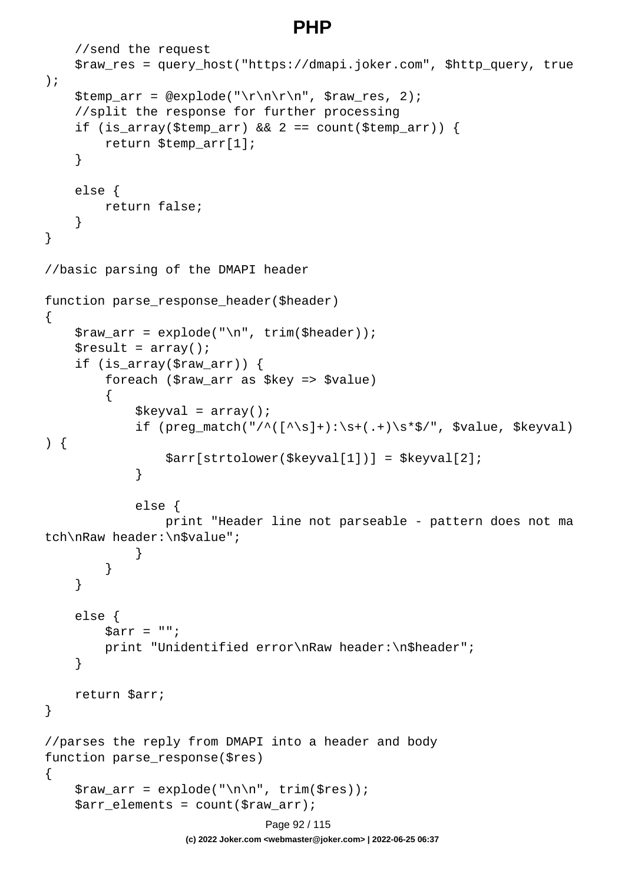### **PHP**

```
 //send the request
     $raw_res = query_host("https://dmapi.joker.com", $http_query, true
);
     $temp_arr = @explode("\r\n\r\n", $raw_res, 2);
     //split the response for further processing
    if (is_array($temp_arr) && 2 == count($temp_arr)) {
         return $temp_arr[1];
     }
     else {
         return false;
     }
}
//basic parsing of the DMAPI header
function parse_response_header($header)
\{$raw_arr = explode("n", trim({Sheader}));$result = array();
     if (is_array($raw_arr)) {
         foreach ($raw_arr as $key => $value)
\{$keyval = array();
            if (preg_match("/^([^\s]+):\s+(.+)\s*$/", $value, $keyval)
) {
                 $arr[strtolower($keyval[1])] = $keyval[2];
 }
             else {
                 print "Header line not parseable - pattern does not ma
tch\nRaw header:\n$value";
 }
 }
     }
     else {
        \text{Sarr} = " " print "Unidentified error\nRaw header:\n$header";
     }
    return $arr;
}
//parses the reply from DMAPI into a header and body
function parse_response($res)
\{$raw_arr = explode('\\n\\n", trim(Sres)); $arr_elements = count($raw_arr);
                              Page 92 / 115
```
**(c) 2022 Joker.com <webmaster@joker.com> | 2022-06-25 06:37**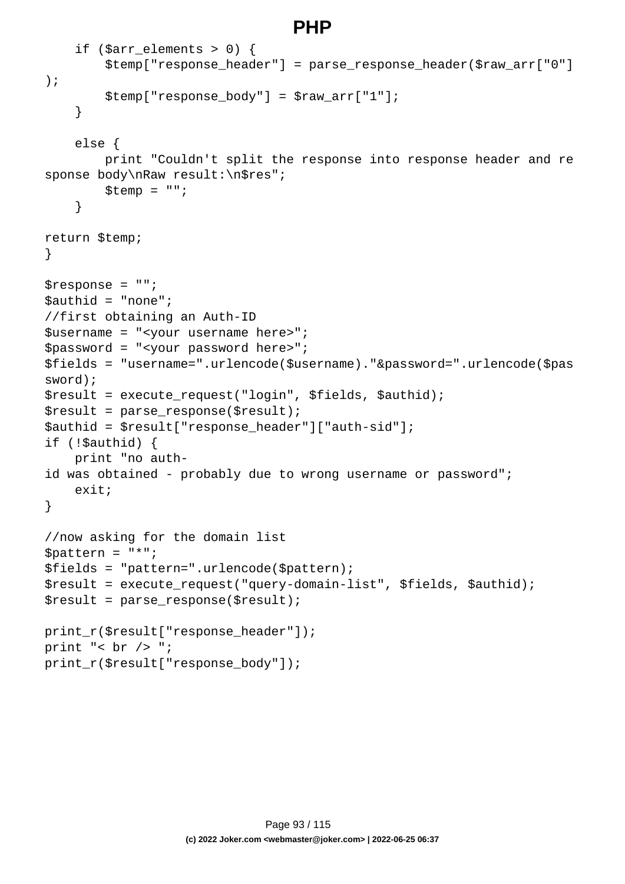## **PHP**

```
if ($arr elements > 0) {
         $temp["response_header"] = parse_response_header($raw_arr["0"]
);
        $temp['response body"] = $raw arr['1"]; }
     else {
         print "Couldn't split the response into response header and re
sponse body\nRaw result:\n$res";
        $temp = ""; }
return $temp;
}
$response = "";
$authid = "none";
//first obtaining an Auth-ID
$username = "<your username here>";
$password = "<your password here>";
$fields = "username=".urlencode($username)."&password=".urlencode($pas
sword);
$result = execute_request("login", $fields, $authid);
$result = parse response(Sresult);$authid = $result["response_header"]["auth-sid"];
if (!$authid) {
    print "no auth-
id was obtained - probably due to wrong username or password";
     exit;
}
//now asking for the domain list
$pattern = "*";
$fields = "pattern=".urlencode($pattern);
$result = execute_request("query-domain-list", $fields, $authid);
$result = parse_response($result);
print_r($result["response_header"]);
print "< br /> ";
print_r($result["response_body"]);
```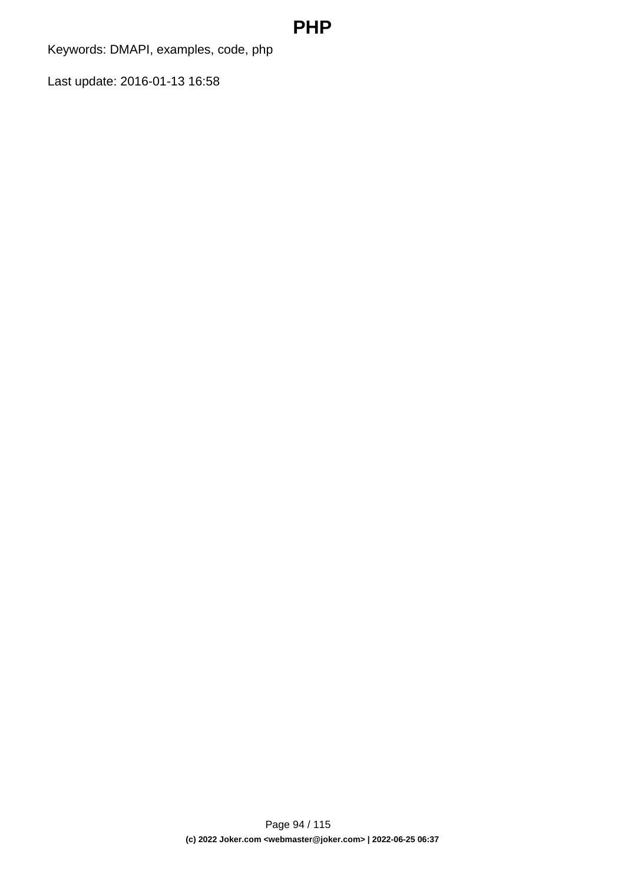## **PHP**

Keywords: DMAPI, examples, code, php

Last update: 2016-01-13 16:58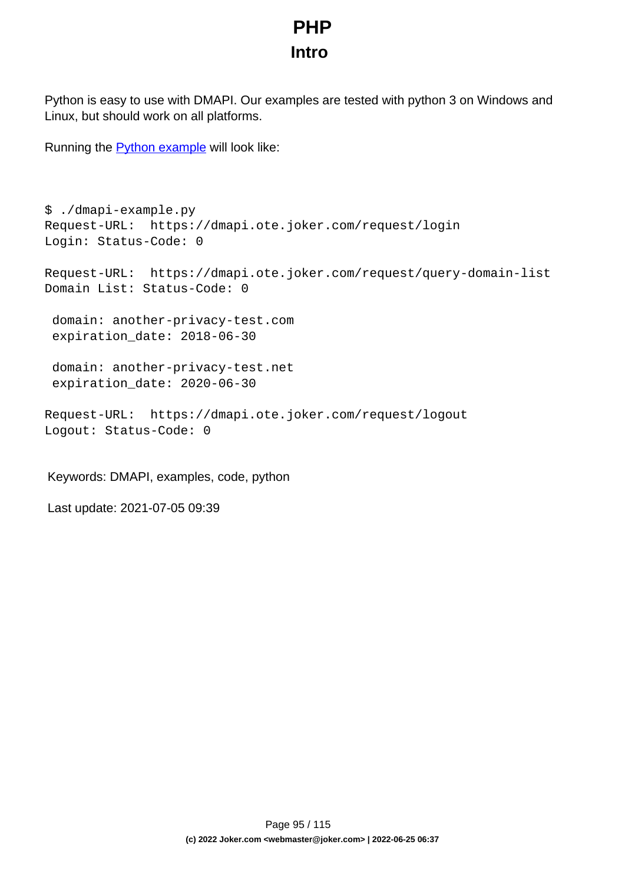# **PHP Intro**

Python is easy to use with DMAPI. Our examples are tested with python 3 on Windows and Linux, but should work on all platforms.

Running the **Python example** will look like:

```
$ ./dmapi-example.py 
Request-URL: https://dmapi.ote.joker.com/request/login
Login: Status-Code: 0
Request-URL: https://dmapi.ote.joker.com/request/query-domain-list
Domain List: Status-Code: 0
  domain: another-privacy-test.com
  expiration_date: 2018-06-30
  domain: another-privacy-test.net
  expiration_date: 2020-06-30
Request-URL: https://dmapi.ote.joker.com/request/logout
Logout: Status-Code: 0
```
Keywords: DMAPI, examples, code, python

Last update: 2021-07-05 09:39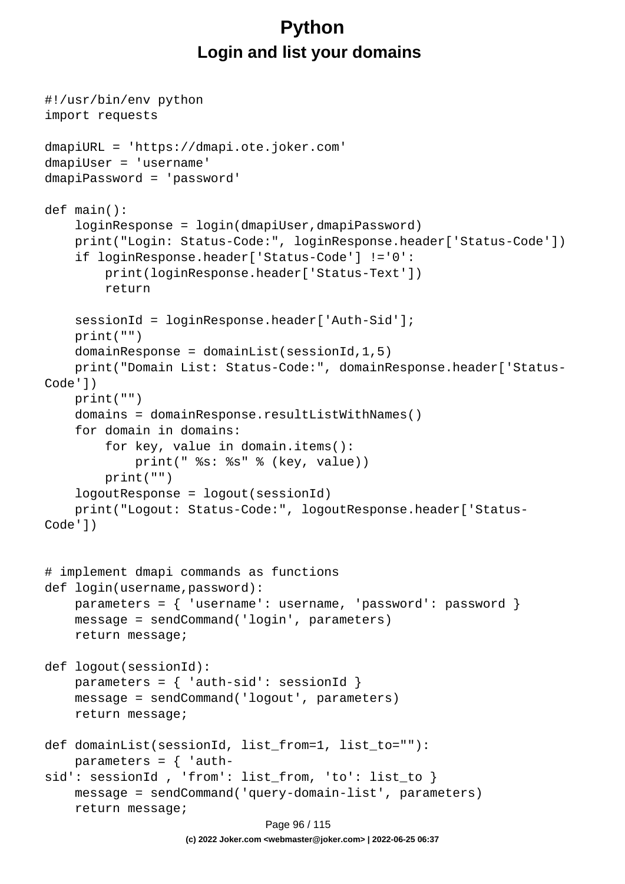# **Python Login and list your domains**

```
#!/usr/bin/env python
import requests
dmapiURL = 'https://dmapi.ote.joker.com'
dmapiUser = 'username'
dmapiPassword = 'password'
def main():
     loginResponse = login(dmapiUser,dmapiPassword)
     print("Login: Status-Code:", loginResponse.header['Status-Code'])
     if loginResponse.header['Status-Code'] !='0':
         print(loginResponse.header['Status-Text'])
         return
     sessionId = loginResponse.header['Auth-Sid'];
     print("")
    domainResponse = domainList(sessionId, 1, 5) print("Domain List: Status-Code:", domainResponse.header['Status-
Code'])
     print("")
     domains = domainResponse.resultListWithNames()
     for domain in domains:
         for key, value in domain.items():
             print(" %s: %s" % (key, value))
         print("")
     logoutResponse = logout(sessionId)
     print("Logout: Status-Code:", logoutResponse.header['Status-
Code'])
# implement dmapi commands as functions
def login(username,password):
     parameters = { 'username': username, 'password': password }
     message = sendCommand('login', parameters)
     return message;
def logout(sessionId):
    parameters = \{ 'auth-sid': sessionId \} message = sendCommand('logout', parameters)
     return message;
def domainList(sessionId, list_from=1, list_to=""):
    parameters = \{ 'auth-
sid': sessionId , 'from': list_from, 'to': list_to }
     message = sendCommand('query-domain-list', parameters)
     return message;
                              Page 96 / 115
```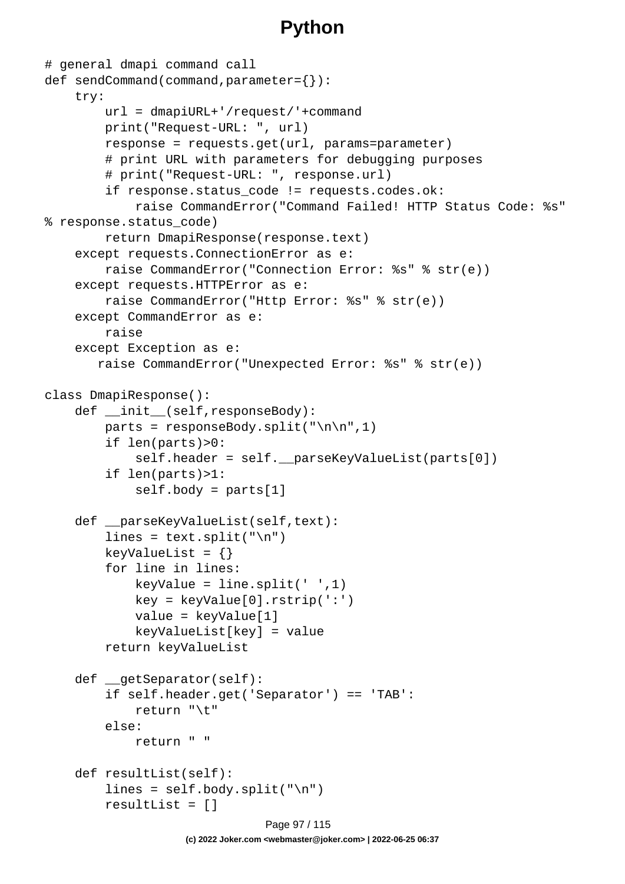```
# general dmapi command call
def sendCommand(command,parameter={}):
     try:
         url = dmapiURL+'/request/'+command
         print("Request-URL: ", url)
         response = requests.get(url, params=parameter)
         # print URL with parameters for debugging purposes
         # print("Request-URL: ", response.url)
         if response.status_code != requests.codes.ok:
              raise CommandError("Command Failed! HTTP Status Code: %s" 
% response.status_code)
         return DmapiResponse(response.text)
     except requests.ConnectionError as e:
         raise CommandError("Connection Error: %s" % str(e))
     except requests.HTTPError as e:
         raise CommandError("Http Error: %s" % str(e))
     except CommandError as e:
         raise
     except Exception as e:
        raise CommandError("Unexpected Error: %s" % str(e))
class DmapiResponse():
     def __init__(self,responseBody):
        parts = responseBody.split("\n\n",1)
         if len(parts)>0:
              self.header = self.__parseKeyValueList(parts[0])
         if len(parts)>1:
              self.body = parts[1]
    def __parseKeyValueList(self,text):
        lines = text.split("\ln")
        keyValueList = \{\} for line in lines:
            keyValue = line.split(' ' , 1) key = keyValue[0].rstrip(':')
             value = keyValue[1]
             keyValueList[key] = value
         return keyValueList
     def __getSeparator(self):
         if self.header.get('Separator') == 'TAB':
             return "\t"
         else:
             return " "
     def resultList(self):
        lines = self.body.split("\n'\n resultList = []
                               Page 97 / 115
                    (c) 2022 Joker.com <webmaster@joker.com> | 2022-06-25 06:37
```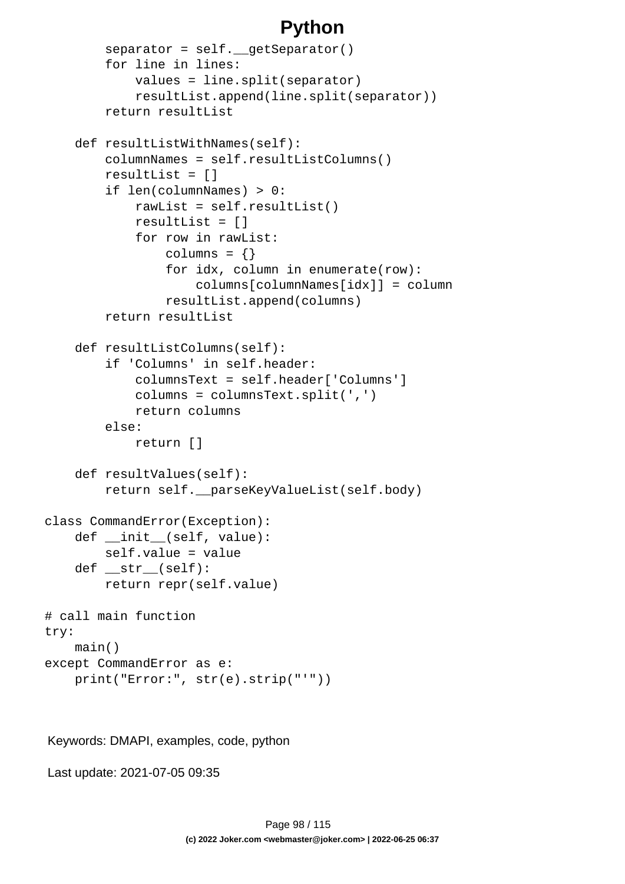```
separation = self. qetseparator() for line in lines:
             values = line.split(separator)
             resultList.append(line.split(separator))
         return resultList
     def resultListWithNames(self):
         columnNames = self.resultListColumns()
         resultList = []
         if len(columnNames) > 0:
             rawList = self.resultList()
             resultList = []
             for row in rawList:
                 columns = \{\} for idx, column in enumerate(row):
                      columns[columnNames[idx]] = column
                  resultList.append(columns)
         return resultList
     def resultListColumns(self):
         if 'Columns' in self.header:
             columnsText = self.header['Columns']
             columns = columnsText.split(',')
             return columns
         else:
             return []
     def resultValues(self):
         return self.__parseKeyValueList(self.body)
class CommandError(Exception):
    def __init__(self, value):
         self.value = value
     def __str__(self):
         return repr(self.value)
# call main function
try:
     main()
except CommandError as e:
     print("Error:", str(e).strip("'"))
```
Keywords: DMAPI, examples, code, python

Last update: 2021-07-05 09:35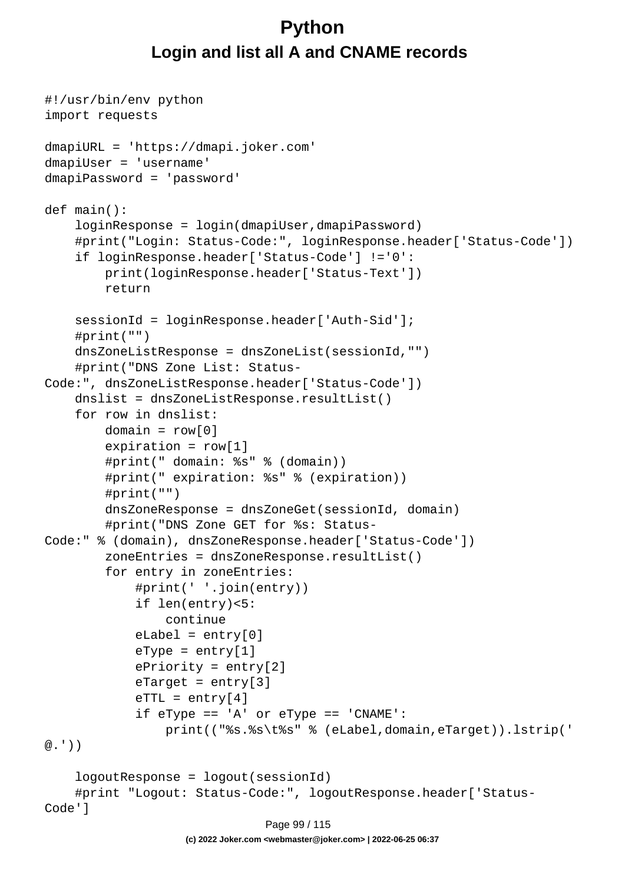# **Python Login and list all A and CNAME records**

```
#!/usr/bin/env python
import requests
dmapiURL = 'https://dmapi.joker.com'
dmapiUser = 'username'
dmapiPassword = 'password'
def main():
     loginResponse = login(dmapiUser,dmapiPassword)
     #print("Login: Status-Code:", loginResponse.header['Status-Code'])
     if loginResponse.header['Status-Code'] !='0':
         print(loginResponse.header['Status-Text'])
         return
     sessionId = loginResponse.header['Auth-Sid'];
     #print("")
     dnsZoneListResponse = dnsZoneList(sessionId,"")
     #print("DNS Zone List: Status-
Code:", dnsZoneListResponse.header['Status-Code'])
    dnslist = dnsZoneListResponse.resultList()
     for row in dnslist:
        domain = row[0]expiration = row[1] #print(" domain: %s" % (domain))
         #print(" expiration: %s" % (expiration))
         #print("")
         dnsZoneResponse = dnsZoneGet(sessionId, domain)
         #print("DNS Zone GET for %s: Status-
Code:" % (domain), dnsZoneResponse.header['Status-Code'])
         zoneEntries = dnsZoneResponse.resultList()
         for entry in zoneEntries:
             #print(' '.join(entry))
             if len(entry)<5:
                  continue
            eLabel = entry[0]eType = entry[1] ePriority = entry[2]
            \text{er}_{\text{target}} = \text{entry}[3]erTL = entry[4] if eType == 'A' or eType == 'CNAME':
                  print(("%s.%s\t%s" % (eLabel,domain,eTarget)).lstrip('
@.'))
     logoutResponse = logout(sessionId)
     #print "Logout: Status-Code:", logoutResponse.header['Status-
Code']
                               Page 99 / 115
```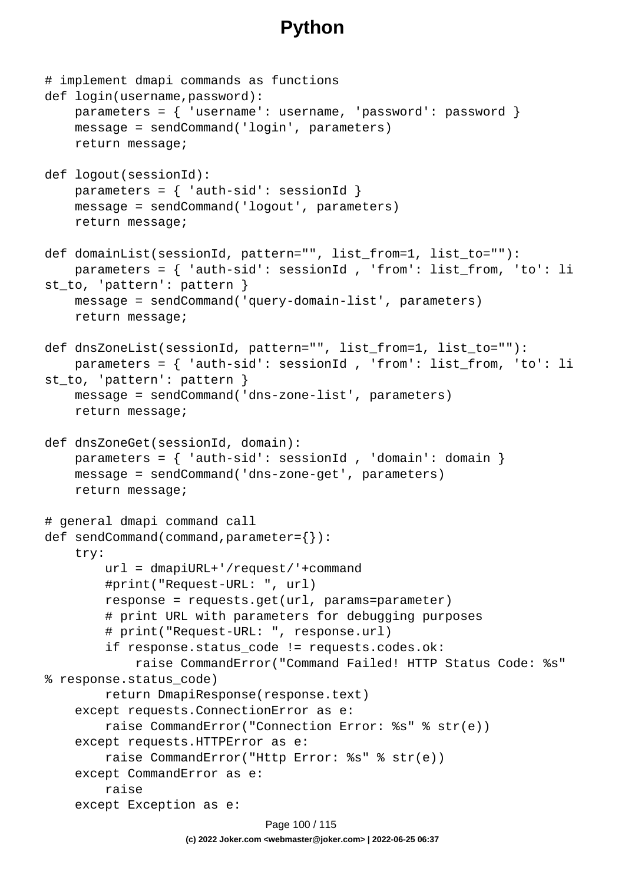```
# implement dmapi commands as functions
def login(username,password):
     parameters = { 'username': username, 'password': password }
     message = sendCommand('login', parameters)
     return message;
def logout(sessionId):
    parameters = \{ 'auth-sid': sessionId \} message = sendCommand('logout', parameters)
     return message;
def domainList(sessionId, pattern="", list_from=1, list_to=""):
     parameters = { 'auth-sid': sessionId , 'from': list_from, 'to': li
st_to, 'pattern': pattern }
     message = sendCommand('query-domain-list', parameters)
     return message;
def dnsZoneList(sessionId, pattern="", list_from=1, list_to=""):
     parameters = { 'auth-sid': sessionId , 'from': list_from, 'to': li
st_to, 'pattern': pattern }
     message = sendCommand('dns-zone-list', parameters)
     return message;
def dnsZoneGet(sessionId, domain):
    parameters = \{ 'auth-sid': sessionId , 'domain': domain \} message = sendCommand('dns-zone-get', parameters)
     return message;
# general dmapi command call
def sendCommand(command,parameter={}):
     try:
         url = dmapiURL+'/request/'+command
         #print("Request-URL: ", url)
         response = requests.get(url, params=parameter)
         # print URL with parameters for debugging purposes
         # print("Request-URL: ", response.url)
         if response.status_code != requests.codes.ok:
             raise CommandError("Command Failed! HTTP Status Code: %s" 
% response.status_code)
         return DmapiResponse(response.text)
     except requests.ConnectionError as e:
         raise CommandError("Connection Error: %s" % str(e))
     except requests.HTTPError as e:
         raise CommandError("Http Error: %s" % str(e))
     except CommandError as e:
         raise
     except Exception as e:
                              Page 100 / 115
```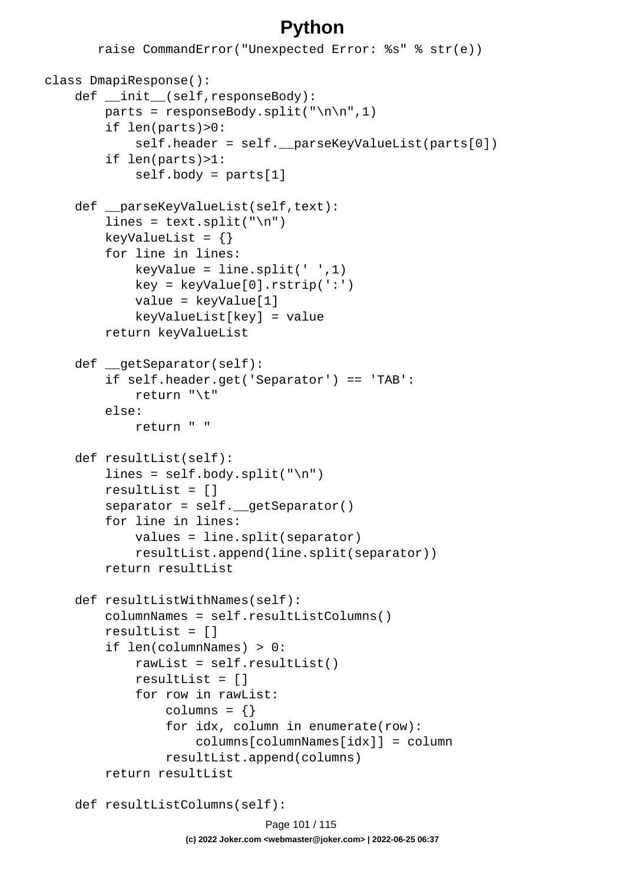```
 raise CommandError("Unexpected Error: %s" % str(e))
class DmapiResponse():
    def __init (self,responseBody):
        parts = responseBody.split("\n\n",1)
         if len(parts)>0:
            self.header = self. parseKeyValueList(parts[0])
         if len(parts)>1:
             self.body = parts[1]
    def parseKeyValueList(self,text):
        lines = text.split("\n\pi")
        keyValueList = \{\} for line in lines:
            keyValue = line.split(' ' , 1) key = keyValue[0].rstrip(':')
             value = keyValue[1]
             keyValueList[key] = value
         return keyValueList
     def __getSeparator(self):
         if self.header.get('Separator') == 'TAB':
             return "\t"
         else:
             return " "
     def resultList(self):
        lines = self.body.split("n") resultList = []
         separator = self.__getSeparator()
         for line in lines:
             values = line.split(separator)
             resultList.append(line.split(separator))
         return resultList
     def resultListWithNames(self):
         columnNames = self.resultListColumns()
         resultList = []
         if len(columnNames) > 0:
             rawList = self.resultList()
             resultList = []
             for row in rawList:
                columns = \{\} for idx, column in enumerate(row):
                      columns[columnNames[idx]] = column
                  resultList.append(columns)
         return resultList
     def resultListColumns(self):
```
Page 101 / 115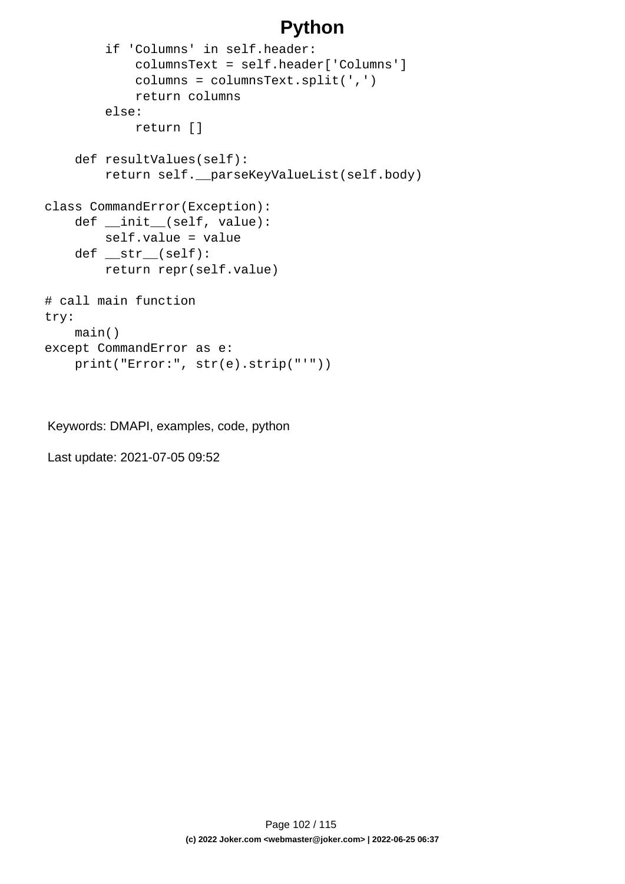```
 if 'Columns' in self.header:
             columnsText = self.header['Columns']
             columns = columnsText.split(',')
             return columns
         else:
             return []
     def resultValues(self):
         return self.__parseKeyValueList(self.body)
class CommandError(Exception):
     def __init__(self, value):
         self.value = value
     def __str__(self):
         return repr(self.value)
# call main function
try:
     main()
except CommandError as e:
     print("Error:", str(e).strip("'"))
```
Keywords: DMAPI, examples, code, python

Last update: 2021-07-05 09:52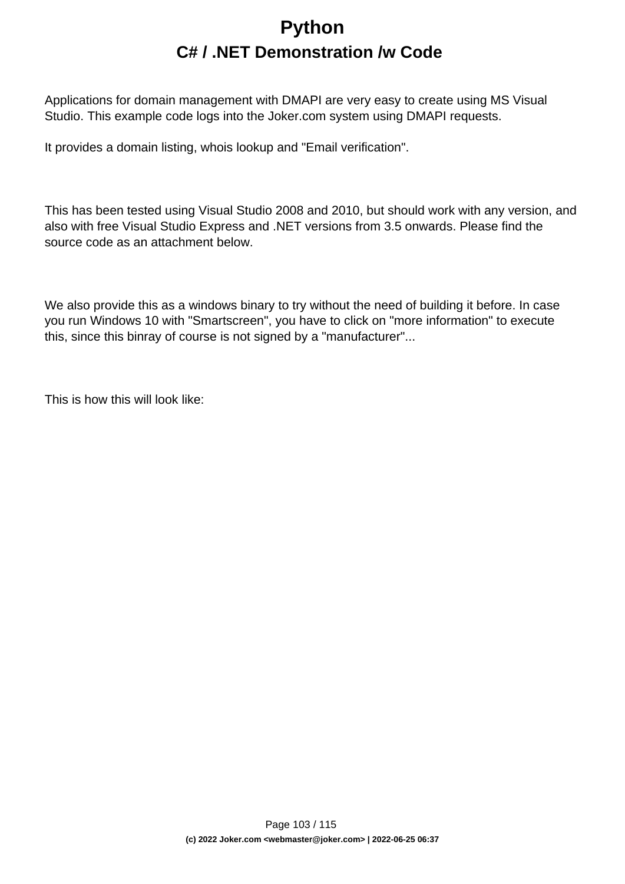# **Python C# / .NET Demonstration /w Code**

Applications for domain management with DMAPI are very easy to create using MS Visual Studio. This example code logs into the Joker.com system using DMAPI requests.

It provides a domain listing, whois lookup and "Email verification".

This has been tested using Visual Studio 2008 and 2010, but should work with any version, and also with free Visual Studio Express and .NET versions from 3.5 onwards. Please find the source code as an attachment below.

We also provide this as a windows binary to try without the need of building it before. In case you run Windows 10 with "Smartscreen", you have to click on "more information" to execute this, since this binray of course is not signed by a "manufacturer"...

This is how this will look like: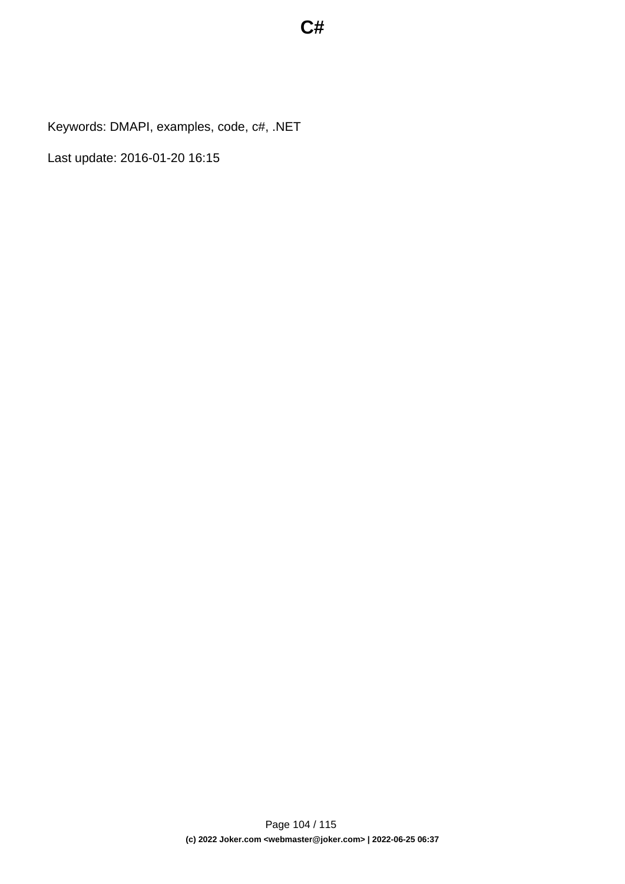Keywords: DMAPI, examples, code, c#, .NET

Last update: 2016-01-20 16:15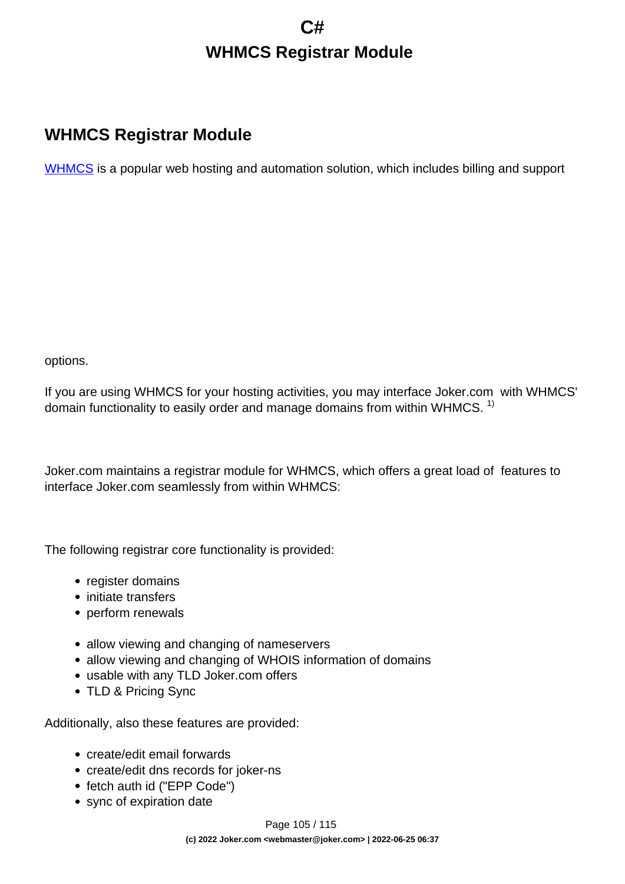# **C# WHMCS Registrar Module**

## **WHMCS Registrar Module**

[WHMCS](https://www.whmcs.com/) is a popular web hosting and automation solution, which includes billing and support

options.

If you are using WHMCS for your hosting activities, you may interface Joker.com with WHMCS' domain functionality to easily order and manage domains from within WHMCS.  $1$ 

Joker.com maintains a registrar module for WHMCS, which offers a great load of features to interface Joker.com seamlessly from within WHMCS:

The following registrar core functionality is provided:

- register domains
- initiate transfers
- perform renewals
- allow viewing and changing of nameservers
- allow viewing and changing of WHOIS information of domains
- usable with any TLD Joker.com offers
- TLD & Pricing Sync

Additionally, also these features are provided:

- create/edit email forwards
- create/edit dns records for joker-ns
- fetch auth id ("EPP Code")
- sync of expiration date

Page 105 / 115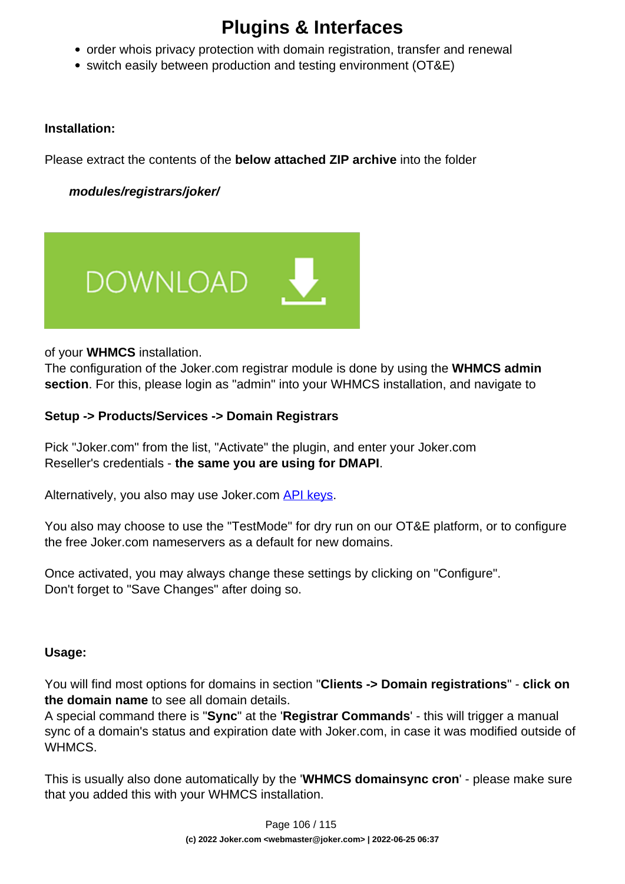# **Plugins & Interfaces**

- order whois privacy protection with domain registration, transfer and renewal
- switch easily between production and testing environment (OT&E)

### **Installation:**

Please extract the contents of the **below attached ZIP archive** into the folder

 **modules/registrars/joker/**



of your **WHMCS** installation.

The configuration of the Joker.com registrar module is done by using the **WHMCS admin section**. For this, please login as "admin" into your WHMCS installation, and navigate to

### **Setup -> Products/Services -> Domain Registrars**

Pick "Joker.com" from the list, "Activate" the plugin, and enter your Joker.com Reseller's credentials - **the same you are using for DMAPI**.

Alternatively, you also may use Joker.com [API keys](index.php?action=artikel&cat=26&id=14&artlang=en).

You also may choose to use the "TestMode" for dry run on our OT&E platform, or to configure the free Joker.com nameservers as a default for new domains.

Once activated, you may always change these settings by clicking on "Configure". Don't forget to "Save Changes" after doing so.

### **Usage:**

You will find most options for domains in section "**Clients -> Domain registrations**" - **click on the domain name** to see all domain details.

A special command there is "**Sync**" at the '**Registrar Commands**' - this will trigger a manual sync of a domain's status and expiration date with Joker.com, in case it was modified outside of WHMCS.

This is usually also done automatically by the '**WHMCS domainsync cron**' - please make sure that you added this with your WHMCS installation.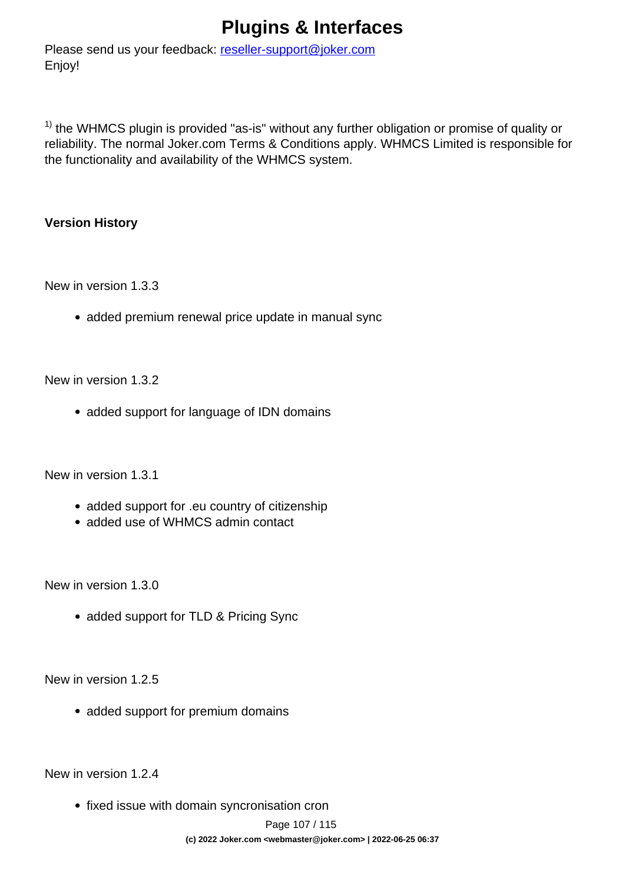# **Plugins & Interfaces**

Please send us your feedback: [reseller-support@joker.com](mailto:reseller-support@joker.com) Enjoy!

 $1)$  the WHMCS plugin is provided "as-is" without any further obligation or promise of quality or reliability. The normal Joker.com Terms & Conditions apply. WHMCS Limited is responsible for the functionality and availability of the WHMCS system.

### **Version History**

New in version 1.3.3

• added premium renewal price update in manual sync

New in version 1.3.2

• added support for language of IDN domains

New in version 1.3.1

- added support for .eu country of citizenship
- added use of WHMCS admin contact

New in version 1.3.0

• added support for TLD & Pricing Sync

New in version 1.2.5

• added support for premium domains

New in version 1.2.4

• fixed issue with domain syncronisation cron

Page 107 / 115 **(c) 2022 Joker.com <webmaster@joker.com> | 2022-06-25 06:37**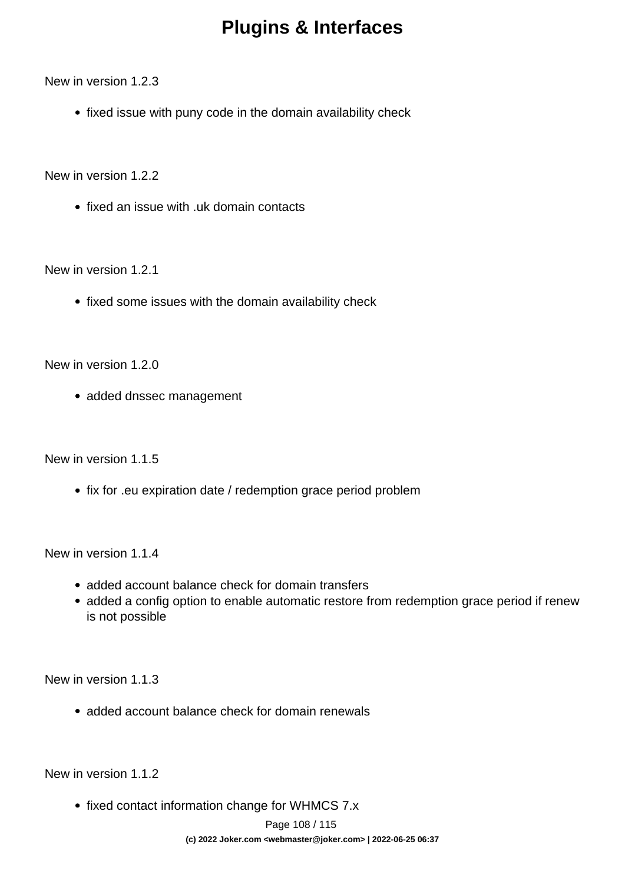## **Plugins & Interfaces**

New in version 1.2.3

• fixed issue with puny code in the domain availability check

New in version 1.2.2

• fixed an issue with .uk domain contacts

New in version 1.2.1

• fixed some issues with the domain availability check

New in version 1.2.0

• added dnssec management

New in version 1.1.5

• fix for .eu expiration date / redemption grace period problem

New in version 1.1.4

- added account balance check for domain transfers
- added a config option to enable automatic restore from redemption grace period if renew is not possible

New in version 1.1.3

• added account balance check for domain renewals

New in version 1.1.2

• fixed contact information change for WHMCS 7.x

Page 108 / 115 **(c) 2022 Joker.com <webmaster@joker.com> | 2022-06-25 06:37**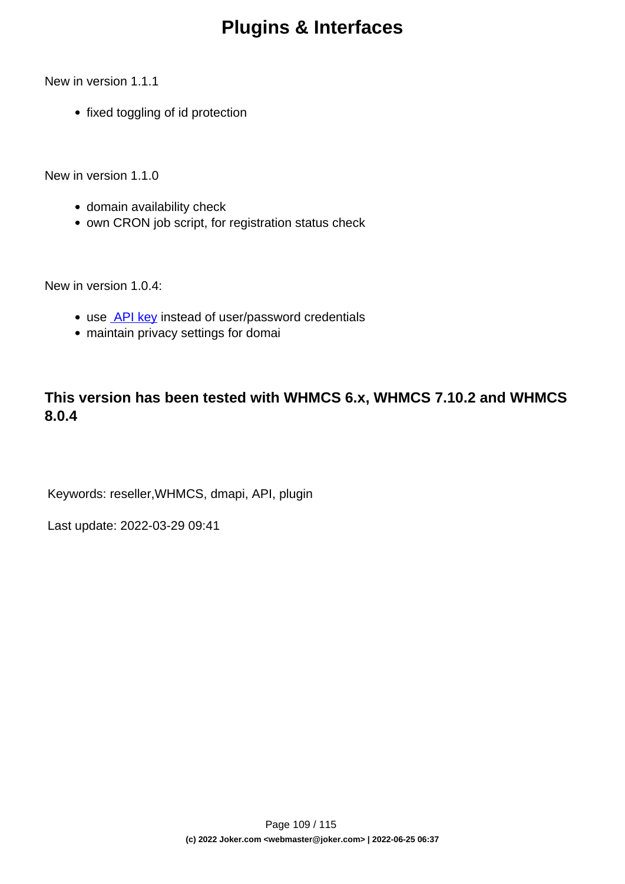New in version 1.1.1

• fixed toggling of id protection

New in version 1.1.0

- domain availability check
- own CRON job script, for registration status check

New in version 1.0.4:

- use **API key** instead of user/password credentials
- maintain privacy settings for domai

### **This version has been tested with WHMCS 6.x, WHMCS 7.10.2 and WHMCS 8.0.4**

Keywords: reseller,WHMCS, dmapi, API, plugin

Last update: 2022-03-29 09:41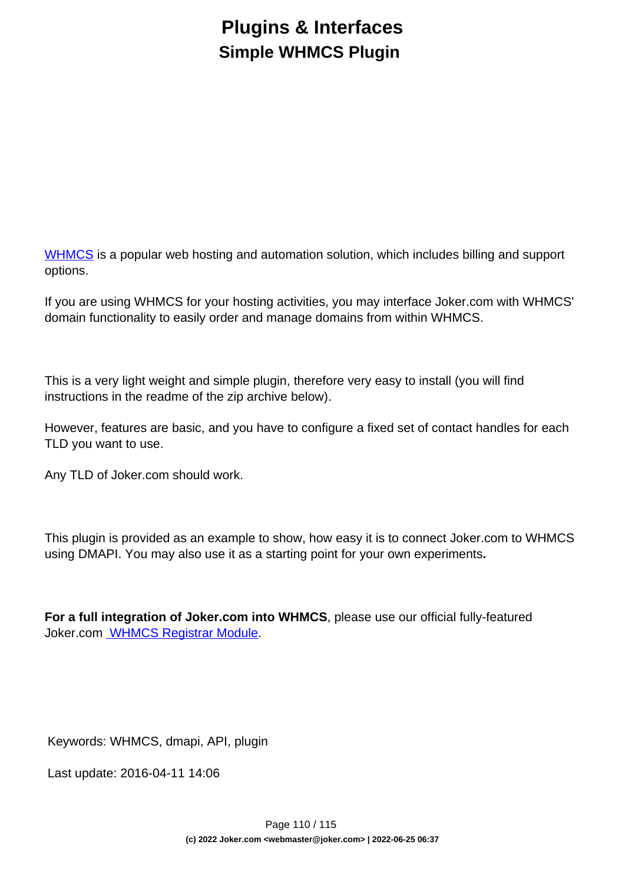## **Plugins & Interfaces Simple WHMCS Plugin**

[WHMCS](https://www.whmcs.com/) is a popular web hosting and automation solution, which includes billing and support options.

If you are using WHMCS for your hosting activities, you may interface Joker.com with WHMCS' domain functionality to easily order and manage domains from within WHMCS.

This is a very light weight and simple plugin, therefore very easy to install (you will find instructions in the readme of the zip archive below).

However, features are basic, and you have to configure a fixed set of contact handles for each TLD you want to use.

Any TLD of Joker.com should work.

This plugin is provided as an example to show, how easy it is to connect Joker.com to WHMCS using DMAPI. You may also use it as a starting point for your own experiments**.**

**For a full integration of Joker.com into WHMCS**, please use our official fully-featured Joker.com [WHMCS Registrar Module.](index.php?action=artikel&cat=84&id=488&artlang=en)

Keywords: WHMCS, dmapi, API, plugin

Last update: 2016-04-11 14:06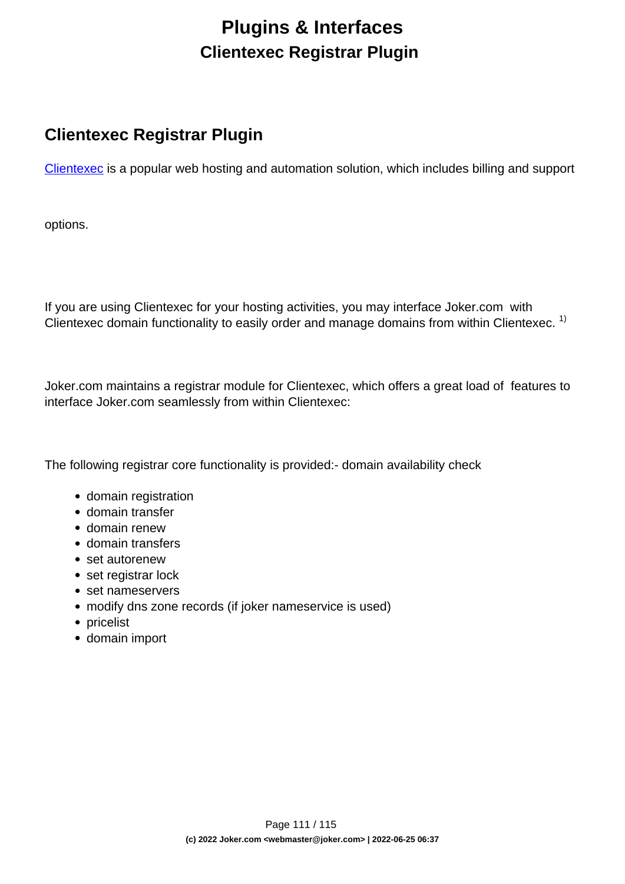## **Plugins & Interfaces Clientexec Registrar Plugin**

### **Clientexec Registrar Plugin**

[Clientexec](https://www.clientexec.com/) is a popular web hosting and automation solution, which includes billing and support

options.

If you are using Clientexec for your hosting activities, you may interface Joker.com with Clientexec domain functionality to easily order and manage domains from within Clientexec.<sup>1)</sup>

Joker.com maintains a registrar module for Clientexec, which offers a great load of features to interface Joker.com seamlessly from within Clientexec:

The following registrar core functionality is provided:- domain availability check

- domain registration
- domain transfer
- domain renew
- domain transfers
- set autorenew
- set registrar lock
- set nameservers
- modify dns zone records (if joker nameservice is used)
- pricelist
- domain import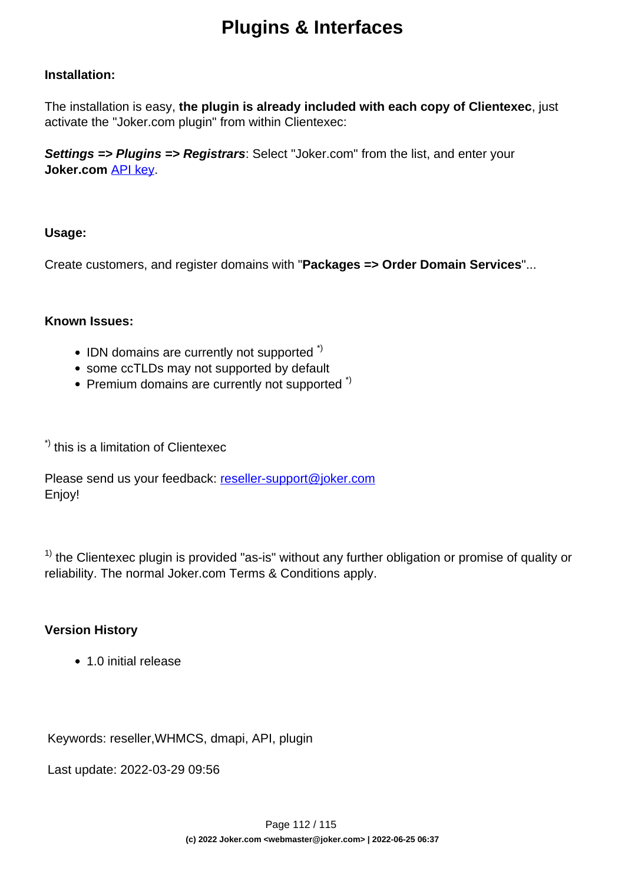#### **Installation:**

The installation is easy, **the plugin is already included with each copy of Clientexec**, just activate the "Joker.com plugin" from within Clientexec:

**Settings => Plugins => Registrars**: Select "Joker.com" from the list, and enter your **Joker.com** [API key](index.php?action=artikel&cat=26&id=14&artlang=en).

### **Usage:**

Create customers, and register domains with "**Packages => Order Domain Services**"...

#### **Known Issues:**

- $\bullet$  IDN domains are currently not supported  $\dot{\phantom{\phi}}$
- some ccTLDs may not supported by default
- Premium domains are currently not supported<sup>\*)</sup>

\*) this is a limitation of Clientexec

Please send us your feedback: [reseller-support@joker.com](mailto:reseller-support@joker.com) Enjoy!

 $1)$  the Clientexec plugin is provided "as-is" without any further obligation or promise of quality or reliability. The normal Joker.com Terms & Conditions apply.

### **Version History**

• 1.0 initial release

Keywords: reseller,WHMCS, dmapi, API, plugin

Last update: 2022-03-29 09:56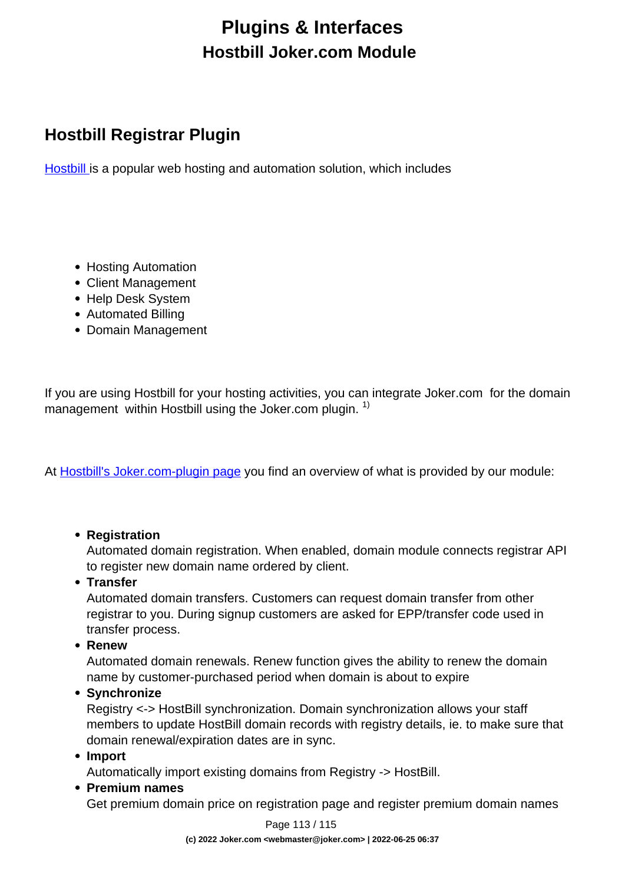# **Plugins & Interfaces Hostbill Joker.com Module**

### **Hostbill Registrar Plugin**

[Hostbill](https://hostbillapp.com/) is a popular web hosting and automation solution, which includes

- Hosting Automation
- Client Management
- Help Desk System
- Automated Billing
- Domain Management

If you are using Hostbill for your hosting activities, you can integrate Joker.com for the domain management within Hostbill using the Joker.com plugin.  $1$ )

At [Hostbill's Joker.com-plugin page](https://hostbillapp.com/hostbill/domainmanagement/registrars/joker.com/) you find an overview of what is provided by our module:

### **• Registration**

Automated domain registration. When enabled, domain module connects registrar API to register new domain name ordered by client.

**Transfer**

Automated domain transfers. Customers can request domain transfer from other registrar to you. During signup customers are asked for EPP/transfer code used in transfer process.

**Renew**

Automated domain renewals. Renew function gives the ability to renew the domain name by customer-purchased period when domain is about to expire

**Synchronize**

Registry <-> HostBill synchronization. Domain synchronization allows your staff members to update HostBill domain records with registry details, ie. to make sure that domain renewal/expiration dates are in sync.

**Import**

Automatically import existing domains from Registry -> HostBill.

**Premium names**

Get premium domain price on registration page and register premium domain names